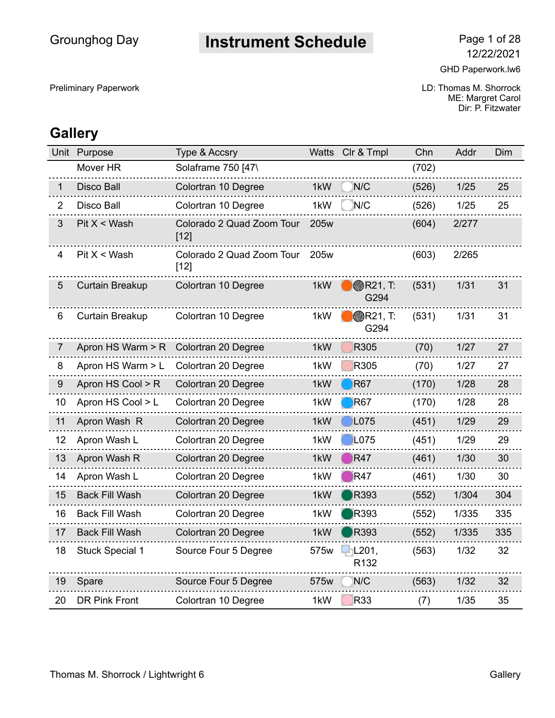## **Instrument Schedule** Page 1 of 28

Preliminary Paperwork **COVID: Thomas M. Shorrock** COVID: Thomas M. Shorrock ME: Margret Carol Dir: P. Fitzwater

|                | Unit Purpose           | Type & Accsry                       | Watts            | Clr & Tmpl              | Chn   | Addr  | Dim |
|----------------|------------------------|-------------------------------------|------------------|-------------------------|-------|-------|-----|
|                | Mover HR               | Solaframe 750 [47\                  |                  |                         | (702) |       |     |
| 1              | <b>Disco Ball</b>      | Colortran 10 Degree                 | 1kW              | N/C                     | (526) | 1/25  | 25  |
| $\overline{2}$ | Disco Ball             | Colortran 10 Degree                 | 1kW              | N/C                     | (526) | 1/25  | 25  |
| 3              | Pit X < Wash           | Colorado 2 Quad Zoom Tour<br>$[12]$ | 205w             |                         | (604) | 2/277 |     |
| 4              | Pit X < Wash           | Colorado 2 Quad Zoom Tour<br>$[12]$ | 205 <sub>w</sub> |                         | (603) | 2/265 |     |
| $\overline{5}$ | <b>Curtain Breakup</b> | Colortran 10 Degree                 | 1kW              | <b>R21, T:</b><br>G294  | (531) | 1/31  | 31  |
| 6              | Curtain Breakup        | Colortran 10 Degree                 | 1kW              | <b>@R21, T:</b><br>G294 | (531) | 1/31  | 31  |
| 7              | Apron HS Warm > R      | Colortran 20 Degree                 | 1kW              | R305                    | (70)  | 1/27  | 27  |
| 8              | Apron HS Warm > L      | Colortran 20 Degree                 | 1kW              | R305                    | (70)  | 1/27  | 27  |
| 9              | Apron HS Cool > R      | Colortran 20 Degree                 | 1kW              | <b>R67</b>              | (170) | 1/28  | 28  |
| 10             | Apron HS Cool > L      | Colortran 20 Degree                 | 1kW              | <b>R67</b>              | (170) | 1/28  | 28  |
| 11             | Apron Wash R           | Colortran 20 Degree                 | 1kW              | L075                    | (451) | 1/29  | 29  |
| 12             | Apron Wash L           | Colortran 20 Degree                 | 1kW              | L075                    | (451) | 1/29  | 29  |
| 13             | Apron Wash R           | Colortran 20 Degree                 | 1kW              | R47                     | (461) | 1/30  | 30  |
| 14             | Apron Wash L           | Colortran 20 Degree                 | 1kW              | R47                     | (461) | 1/30  | 30  |
| 15             | <b>Back Fill Wash</b>  | Colortran 20 Degree                 | 1kW              | R393                    | (552) | 1/304 | 304 |
| 16             | <b>Back Fill Wash</b>  | Colortran 20 Degree                 | 1kW              | R393                    | (552) | 1/335 | 335 |
| 17             | <b>Back Fill Wash</b>  | Colortran 20 Degree                 | 1kW              | <b>R393</b>             | (552) | 1/335 | 335 |
| 18             | <b>Stuck Special 1</b> | Source Four 5 Degree                | 575w             | L201,<br>R132           | (563) | 1/32  | 32  |
| 19             | Spare                  | Source Four 5 Degree                | 575w             | N/C                     | (563) | 1/32  | 32  |
| 20             | <b>DR Pink Front</b>   | Colortran 10 Degree                 | 1kW              | R33                     | (7)   | 1/35  | 35  |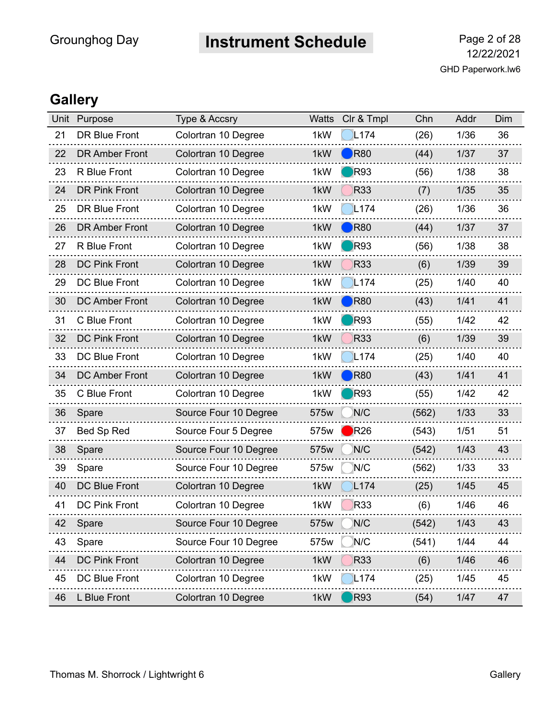# **Instrument Schedule** Page 2 of 28

| Unit | Purpose               | <b>Type &amp; Accsry</b> | <b>Watts</b> | Clr & Tmpl       | Chn   | Addr   | Dim |
|------|-----------------------|--------------------------|--------------|------------------|-------|--------|-----|
| 21   | <b>DR Blue Front</b>  | Colortran 10 Degree      | 1kW          | L <sub>174</sub> | (26)  | 1/36   | 36  |
| 22   | <b>DR Amber Front</b> | Colortran 10 Degree      | 1kW          | <b>R80</b>       | (44)  | 1/37   | 37  |
| 23   | R Blue Front          | Colortran 10 Degree      | 1kW          | <b>R93</b>       | (56)  | 1/38   | 38  |
| 24   | <b>DR Pink Front</b>  | Colortran 10 Degree      | 1kW          | <b>R33</b>       | (7)   | $1/35$ | 35  |
| 25   | <b>DR Blue Front</b>  | Colortran 10 Degree      | 1kW          | L <sub>174</sub> | (26)  | 1/36   | 36  |
| 26   | <b>DR Amber Front</b> | Colortran 10 Degree      | 1kW          | R80              | (44)  | 1/37   | 37  |
| 27   | R Blue Front          | Colortran 10 Degree      | 1kW          | R93              | (56)  | 1/38   | 38  |
| 28   | <b>DC Pink Front</b>  | Colortran 10 Degree      | 1kW          | <b>R33</b>       | (6)   | 1/39   | 39  |
| 29   | <b>DC Blue Front</b>  | Colortran 10 Degree      | 1kW          | L <sub>174</sub> | (25)  | 1/40   | 40  |
| 30   | <b>DC Amber Front</b> | Colortran 10 Degree      | 1kW          | R80              | (43)  | 1/41   | 41  |
| 31   | C Blue Front          | Colortran 10 Degree      | 1kW          | <b>R93</b>       | (55)  | 1/42   | 42  |
| 32   | <b>DC Pink Front</b>  | Colortran 10 Degree      | 1kW          | <b>R33</b>       | (6)   | 1/39   | 39  |
| 33   | <b>DC Blue Front</b>  | Colortran 10 Degree      | 1kW          | L <sub>174</sub> | (25)  | 1/40   | 40  |
| 34   | <b>DC Amber Front</b> | Colortran 10 Degree      | 1kW          | <b>R80</b>       | (43)  | 1/41   | 41  |
| 35   | C Blue Front          | Colortran 10 Degree      | 1kW          | <b>R93</b>       | (55)  | 1/42   | 42  |
| 36   | Spare                 | Source Four 10 Degree    | 575w         | N/C              | (562) | 1/33   | 33  |
| 37   | Bed Sp Red            | Source Four 5 Degree     | 575w         | R26              | (543) | 1/51   | 51  |
| 38   | Spare                 | Source Four 10 Degree    | 575w         | N/C              | (542) | 1/43   | 43  |
| 39   | Spare                 | Source Four 10 Degree    | 575w         | N/C              | (562) | 1/33   | 33  |
| 40   | <b>DC Blue Front</b>  | Colortran 10 Degree      | 1kW          | L <sub>174</sub> | (25)  | $1/45$ | 45  |
| 41   | <b>DC Pink Front</b>  | Colortran 10 Degree      | 1kW          | R33              | (6)   | 1/46   | 46  |
| 42   | Spare                 | Source Four 10 Degree    | 575w         | N/C              | (542) | 1/43   | 43  |
| 43   | Spare                 | Source Four 10 Degree    | 575w         | N/C              | (541) | 1/44   | 44  |
| 44   | <b>DC Pink Front</b>  | Colortran 10 Degree      | 1kW          | <b>R33</b>       | (6)   | 1/46   | 46  |
| 45   | DC Blue Front         | Colortran 10 Degree      | 1kW          | L174             | (25)  | 1/45   | 45  |
| 46   | L Blue Front          | Colortran 10 Degree      | 1kW          | <b>R93</b>       | (54)  | 1/47   | 47  |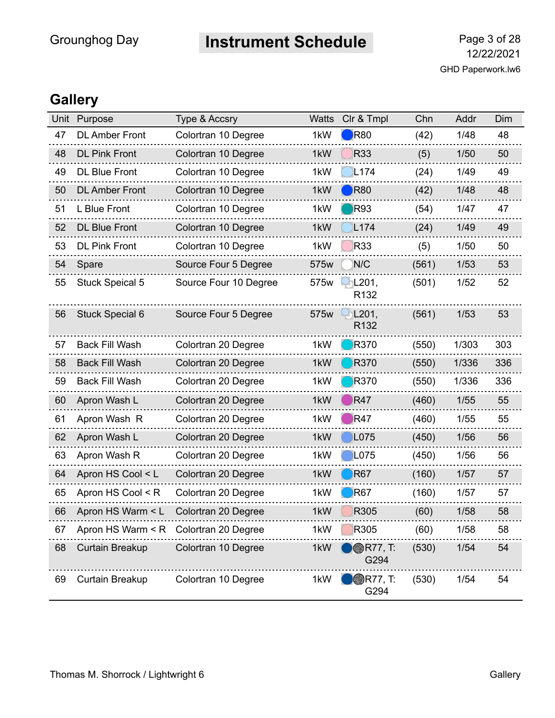# **Instrument Schedule** Page 3 of 28

| Unit | Purpose                               | <b>Type &amp; Accsry</b> | <b>Watts</b> | Clr & Tmpl               | Chn   | Addr   | Dim |
|------|---------------------------------------|--------------------------|--------------|--------------------------|-------|--------|-----|
| 47   | <b>DL Amber Front</b>                 | Colortran 10 Degree      | 1kW          | R80                      | (42)  | 1/48   | 48  |
| 48   | <b>DL Pink Front</b>                  | Colortran 10 Degree      | 1kW          | <b>R33</b>               | (5)   | 1/50   | 50  |
| 49   | <b>DL Blue Front</b>                  | Colortran 10 Degree      | 1kW          | L <sub>174</sub>         | (24)  | 1/49   | 49  |
| 50   | <b>DL Amber Front</b>                 | Colortran 10 Degree      | 1kW          | R80                      | (42)  | 1/48   | 48  |
| 51   | L Blue Front                          | Colortran 10 Degree      | 1kW          | <b>R93</b>               | (54)  | 1/47   | 47  |
| 52   | <b>DL Blue Front</b>                  | Colortran 10 Degree      | 1kW          | L <sub>174</sub>         | (24)  | 1/49   | 49  |
| 53   | <b>DL Pink Front</b>                  | Colortran 10 Degree      | 1kW          | R33                      | (5)   | 1/50   | 50  |
| 54   | Spare                                 | Source Four 5 Degree     | 575w         | N/C                      | (561) | 1/53   | 53  |
| 55   | <b>Stuck Speical 5</b>                | Source Four 10 Degree    | 575w         | L201,<br>R132            | (501) | 1/52   | 52  |
| 56   | <b>Stuck Special 6</b>                | Source Four 5 Degree     | 575w         | L201,<br>R132            | (561) | 1/53   | 53  |
| 57   | <b>Back Fill Wash</b>                 | Colortran 20 Degree      | 1kW          | <b>R370</b>              | (550) | 1/303  | 303 |
| 58   | <b>Back Fill Wash</b>                 | Colortran 20 Degree      | 1kW          | <b>R370</b>              | (550) | 1/336  | 336 |
| 59   | <b>Back Fill Wash</b>                 | Colortran 20 Degree      | 1kW          | <b>R370</b>              | (550) | 1/336  | 336 |
| 60   | Apron Wash L                          | Colortran 20 Degree      | 1kW          | R47                      | (460) | $1/55$ | 55  |
| 61   | Apron Wash R                          | Colortran 20 Degree      | 1kW          | R47                      | (460) | 1/55   | 55  |
| 62   | Apron Wash L                          | Colortran 20 Degree      | 1kW          | L075                     | (450) | 1/56   | 56  |
| 63   | Apron Wash R                          | Colortran 20 Degree      | 1kW          | L075                     | (450) | 1/56   | 56  |
| 64   | Apron HS Cool < L                     | Colortran 20 Degree      | 1kW          | <b>R67</b>               | (160) | 1/57   | 57  |
| 65   | Apron HS Cool < R                     | Colortran 20 Degree      | 1kW          | R67                      | (160) | 1/57   | 57  |
| 66   | Apron HS Warm < L                     | Colortran 20 Degree      | 1kW          | R305                     | (60)  | 1/58   | 58  |
| 67   | Apron HS Warm < R Colortran 20 Degree |                          | 1kW          | R305                     | (60)  | 1/58   | 58  |
| 68   | <b>Curtain Breakup</b>                | Colortran 10 Degree      | 1kW          | <b>BR77, T:</b><br>G294  | (530) | 1/54   | 54  |
| 69   | Curtain Breakup                       | Colortran 10 Degree      | 1kW          | <b>● R77, T:</b><br>G294 | (530) | 1/54   | 54  |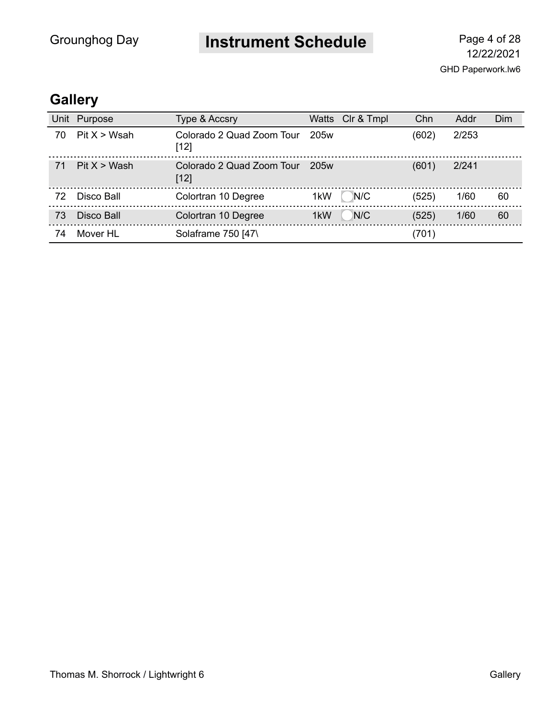**Instrument Schedule** Page 4 of 28

GHD Paperwork.lw6 12/22/2021

| Unit | Purpose      | <b>Type &amp; Accsry</b>            |      | Watts Clr & Tmpl | Chn   | Addr  | Dim |
|------|--------------|-------------------------------------|------|------------------|-------|-------|-----|
| 70   | Pit X > Wsah | Colorado 2 Quad Zoom Tour<br>$[12]$ | 205w |                  | (602) | 2/253 |     |
| 71   | Pit X > Wash | Colorado 2 Quad Zoom Tour<br>$[12]$ | 205w |                  | (601) | 2/241 |     |
| 72   | Disco Ball   | Colortran 10 Degree                 | 1kW  | N/C              | (525) | 1/60  | 60  |
| 73   | Disco Ball   | Colortran 10 Degree                 | 1kW  | N/C              | (525) | 1/60  | 60  |
| 74   | Mover HL     | Solaframe 750 [47\                  |      |                  | (701) |       |     |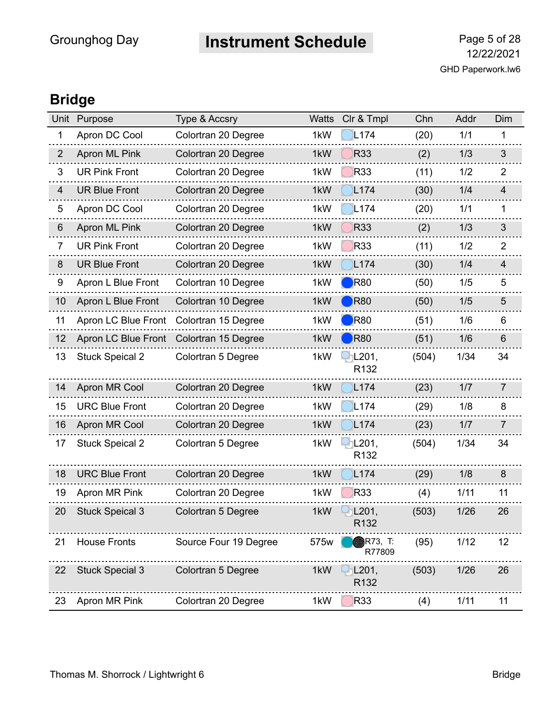**Instrument Schedule** Page 5 of 28

### **Bridge**

| Unit           | Purpose                | Type & Accsry         | <b>Watts</b> | Clr & Tmpl                | Chn   | Addr | Dim            |
|----------------|------------------------|-----------------------|--------------|---------------------------|-------|------|----------------|
| 1              | Apron DC Cool          | Colortran 20 Degree   | 1kW          | L <sub>174</sub>          | (20)  | 1/1  | 1              |
| $\overline{2}$ | Apron ML Pink          | Colortran 20 Degree   | 1kW          | <b>R33</b>                | (2)   | 1/3  | $\mathfrak{S}$ |
| 3              | <b>UR Pink Front</b>   | Colortran 20 Degree   | 1kW          | <b>R33</b>                | (11)  | 1/2  | 2              |
| $\overline{4}$ | <b>UR Blue Front</b>   | Colortran 20 Degree   | 1kW          | L <sub>174</sub>          | (30)  | 1/4  | 4              |
| 5              | Apron DC Cool          | Colortran 20 Degree   | 1kW          | L <sub>174</sub>          | (20)  | 1/1  | 1              |
| 6              | Apron ML Pink          | Colortran 20 Degree   | 1kW          | <b>R33</b>                | (2)   | 1/3  | 3              |
| $\overline{7}$ | <b>UR Pink Front</b>   | Colortran 20 Degree   | 1kW          | R33                       | (11)  | 1/2  | 2              |
| 8              | <b>UR Blue Front</b>   | Colortran 20 Degree   | 1kW          | L <sub>174</sub>          | (30)  | 1/4  | $\overline{4}$ |
| 9              | Apron L Blue Front     | Colortran 10 Degree   | 1kW          | R80                       | (50)  | 1/5  | 5              |
| 10             | Apron L Blue Front     | Colortran 10 Degree   | 1kW          | R80                       | (50)  | 1/5  | 5              |
| 11             | Apron LC Blue Front    | Colortran 15 Degree   | 1kW          | R80                       | (51)  | 1/6  | 6              |
| 12             | Apron LC Blue Front    | Colortran 15 Degree   | 1kW          | <b>R80</b>                | (51)  | 1/6  | $6\phantom{1}$ |
| 13             | <b>Stuck Speical 2</b> | Colortran 5 Degree    | 1kW          | L201,<br>R <sub>132</sub> | (504) | 1/34 | 34             |
| 14             | Apron MR Cool          | Colortran 20 Degree   | 1kW          | L <sub>174</sub>          | (23)  | 1/7  | $\overline{7}$ |
| 15             | <b>URC Blue Front</b>  | Colortran 20 Degree   | 1kW          | L <sub>174</sub>          | (29)  | 1/8  | 8              |
| 16             | Apron MR Cool          | Colortran 20 Degree   | 1kW          | L <sub>174</sub>          | (23)  | 1/7  | $\overline{7}$ |
| 17             | <b>Stuck Speical 2</b> | Colortran 5 Degree    | 1kW          | L201,<br>R <sub>132</sub> | (504) | 1/34 | 34             |
| 18             | <b>URC Blue Front</b>  | Colortran 20 Degree   | 1kW          | L <sub>174</sub>          | (29)  | 1/8  | 8              |
| 19             | Apron MR Pink          | Colortran 20 Degree   | 1kW          | <b>R33</b>                | (4)   | 1/11 | 11             |
| 20             | <b>Stuck Speical 3</b> | Colortran 5 Degree    | 1kW          | L201,<br>R132             | (503) | 1/26 | 26             |
| 21             | <b>House Fronts</b>    | Source Four 19 Degree | 575w         | <b>R73, T:</b><br>R77809  | (95)  | 1/12 | 12             |
| 22             | <b>Stuck Special 3</b> | Colortran 5 Degree    | 1kW          | L201,<br>R <sub>132</sub> | (503) | 1/26 | 26             |
| 23             | Apron MR Pink          | Colortran 20 Degree   | 1kW          | <b>R33</b>                | (4)   | 1/11 | 11             |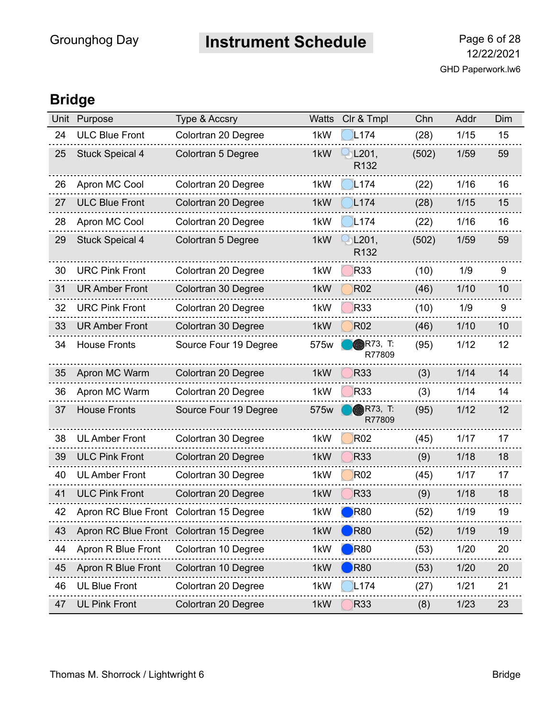**Instrument Schedule** Page 6 of 28

### **Bridge**

| Unit | Purpose                                 | Type & Accsry             | <b>Watts</b> | Clr & Tmpl               | Chn   | Addr | Dim |
|------|-----------------------------------------|---------------------------|--------------|--------------------------|-------|------|-----|
| 24   | <b>ULC Blue Front</b>                   | Colortran 20 Degree       | 1kW          | L <sub>174</sub>         | (28)  | 1/15 | 15  |
| 25   | <b>Stuck Speical 4</b>                  | <b>Colortran 5 Degree</b> | 1kW          | $\bigcup$ L201,<br>R132  | (502) | 1/59 | 59  |
| 26   | Apron MC Cool                           | Colortran 20 Degree       | 1kW          | L <sub>174</sub>         | (22)  | 1/16 | 16  |
| 27   | <b>ULC Blue Front</b>                   | Colortran 20 Degree       | 1kW          | L174                     | (28)  | 1/15 | 15  |
| 28   | Apron MC Cool                           | Colortran 20 Degree       | 1kW          | L <sub>174</sub>         | (22)  | 1/16 | 16  |
| 29   | <b>Stuck Speical 4</b>                  | Colortran 5 Degree        | 1kW          | L201,<br>R132            | (502) | 1/59 | 59  |
| 30   | <b>URC Pink Front</b>                   | Colortran 20 Degree       | 1kW          | <b>R33</b>               | (10)  | 1/9  | 9   |
| 31   | <b>UR Amber Front</b>                   | Colortran 30 Degree       | 1kW          | <b>R02</b>               | (46)  | 1/10 | 10  |
| 32   | <b>URC Pink Front</b>                   | Colortran 20 Degree       | 1kW          | R33                      | (10)  | 1/9  | 9   |
| 33   | <b>UR Amber Front</b>                   | Colortran 30 Degree       | 1kW          | <b>R02</b>               | (46)  | 1/10 | 10  |
| 34   | <b>House Fronts</b>                     | Source Four 19 Degree     | 575w         | <b>R73, T:</b><br>R77809 | (95)  | 1/12 | 12  |
| 35   | Apron MC Warm                           | Colortran 20 Degree       | 1kW          | R33                      | (3)   | 1/14 | 14  |
| 36   | Apron MC Warm                           | Colortran 20 Degree       | 1kW          | <b>R33</b>               | (3)   | 1/14 | 14  |
| 37   | <b>House Fronts</b>                     | Source Four 19 Degree     | 575w         | <b>R73, T:</b><br>R77809 | (95)  | 1/12 | 12  |
| 38   | <b>UL Amber Front</b>                   | Colortran 30 Degree       | 1kW          | <b>R02</b>               | (45)  | 1/17 | 17  |
| 39   | <b>ULC Pink Front</b>                   | Colortran 20 Degree       | 1kW          | <b>R33</b>               | (9)   | 1/18 | 18  |
| 40   | <b>UL Amber Front</b>                   | Colortran 30 Degree       | 1kW          | <b>R02</b>               | (45)  | 1/17 | 17  |
| 41   | <b>ULC Pink Front</b>                   | Colortran 20 Degree       | 1kW          | <b>R33</b>               | (9)   | 1/18 | 18  |
| 42   | Apron RC Blue Front                     | Colortran 15 Degree       | 1kW          | R80                      | (52)  | 1/19 | 19  |
| 43   | Apron RC Blue Front Colortran 15 Degree |                           | 1kW          | R80                      | (52)  | 1/19 | 19  |
| 44   | Apron R Blue Front                      | Colortran 10 Degree       | 1kW          | R80                      | (53)  | 1/20 | 20  |
| 45   | Apron R Blue Front                      | Colortran 10 Degree       | 1kW          | R80                      | (53)  | 1/20 | 20  |
| 46   | <b>UL Blue Front</b>                    | Colortran 20 Degree       | 1kW          | L <sub>174</sub>         | (27)  | 1/21 | 21  |
| 47   | <b>UL Pink Front</b>                    | Colortran 20 Degree       | 1kW          | <b>R33</b>               | (8)   | 1/23 | 23  |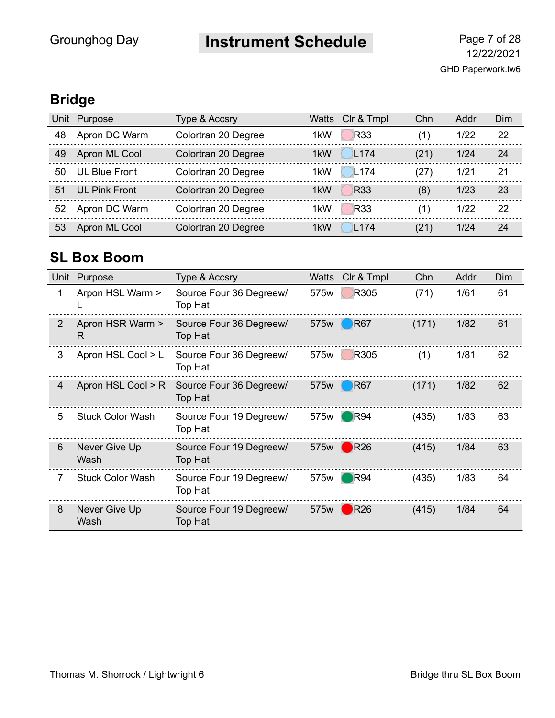# **Instrument Schedule** Page 7 of 28

### **Bridge**

| Unit | Purpose              | Type & Accsry       | Watts            | CIr & Tmpl       | Chn  | Addr | Dim |
|------|----------------------|---------------------|------------------|------------------|------|------|-----|
| 48   | Apron DC Warm        | Colortran 20 Degree | 1 <sub>k</sub> W | <b>R33</b>       | (1)  | 1/22 | 22  |
| 49   | Apron ML Cool        | Colortran 20 Degree | 1 <sub>k</sub> W | L <sub>174</sub> | (21) | 1/24 | 24  |
| 50   | <b>UL Blue Front</b> | Colortran 20 Degree | 1 <sub>k</sub> W | L <sub>174</sub> | (27) | 1/21 | 21  |
| 51   | <b>UL Pink Front</b> | Colortran 20 Degree | 1 <sub>k</sub> W | <b>R33</b>       | (8)  | 1/23 | 23  |
| 52   | Apron DC Warm        | Colortran 20 Degree | 1 <sub>k</sub> W | <b>R33</b>       | (1)  | 1/22 | 22  |
| 53   | Apron ML Cool        | Colortran 20 Degree | 1 <sub>k</sub> W | L <sub>174</sub> | (21) | 1/24 | 24  |

### **SL Box Boom**

| Unit | Purpose                 | <b>Type &amp; Accsry</b>                  | Watts | CIr & Tmpl             | Chn   | Addr | Dim |
|------|-------------------------|-------------------------------------------|-------|------------------------|-------|------|-----|
| 1    | Arpon HSL Warm >        | Source Four 36 Degreew/<br>Top Hat        | 575w  | R305                   | (71)  | 1/61 | 61  |
| 2    | Apron HSR Warm ><br>R   | Source Four 36 Degreew/<br>Top Hat        | 575w  | <b>R67</b>             | (171) | 1/82 | 61  |
| 3    | Apron HSL Cool > L      | Source Four 36 Degreew/<br>Top Hat        | 575w  | R305                   | (1)   | 1/81 | 62  |
| 4    | Apron HSL Cool > R      | Source Four 36 Degreew/<br><b>Top Hat</b> | 575w  | <b>R67</b>             | (171) | 1/82 | 62  |
| 5    | <b>Stuck Color Wash</b> | Source Four 19 Degreew/<br>Top Hat        | 575w  | $\Box$ R94             | (435) | 1/83 | 63  |
| 6    | Never Give Up<br>Wash   | Source Four 19 Degreew/<br>Top Hat        | 575w  | $\bigtriangledown$ R26 | (415) | 1/84 | 63  |
| 7    | <b>Stuck Color Wash</b> | Source Four 19 Degreew/<br>Top Hat        | 575w  | $\bigtriangledown$ R94 | (435) | 1/83 | 64  |
| 8    | Never Give Up<br>Wash   | Source Four 19 Degreew/<br>Top Hat        | 575w  | R26                    | (415) | 1/84 | 64  |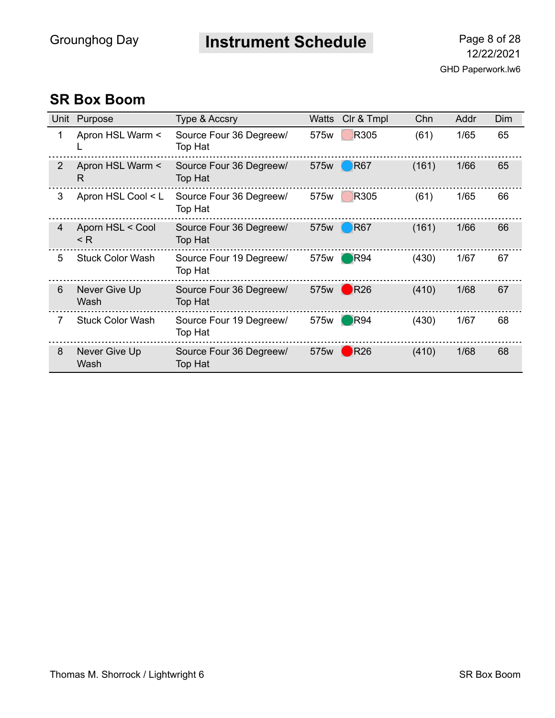**Instrument Schedule** Page 8 of 28

#### **SR Box Boom**

|   | Unit Purpose                 | Type & Accsry                             | Watts | CIr & Tmpl             | Chn   | Addr | Dim |
|---|------------------------------|-------------------------------------------|-------|------------------------|-------|------|-----|
| 1 | Apron HSL Warm <             | Source Four 36 Degreew/<br>Top Hat        | 575w  | R305                   | (61)  | 1/65 | 65  |
| 2 | Apron HSL Warm <<br>R        | Source Four 36 Degreew/<br><b>Top Hat</b> | 575w  | <b>R67</b>             | (161) | 1/66 | 65  |
| 3 | Apron HSL Cool < L           | Source Four 36 Degreew/<br>Top Hat        | 575w  | R305                   | (61)  | 1/65 | 66  |
| 4 | Aporn HSL < Cool<br>$\leq R$ | Source Four 36 Degreew/<br>Top Hat        | 575w  | <b>R67</b>             | (161) | 1/66 | 66  |
| 5 | <b>Stuck Color Wash</b>      | Source Four 19 Degreew/<br>Top Hat        | 575w  | $\blacksquare$ R94     | (430) | 1/67 | 67  |
| 6 | Never Give Up<br>Wash        | Source Four 36 Degreew/<br>Top Hat        | 575w  | $\bigtriangledown$ R26 | (410) | 1/68 | 67  |
| 7 | <b>Stuck Color Wash</b>      | Source Four 19 Degreew/<br>Top Hat        | 575w  | R94                    | (430) | 1/67 | 68  |
| 8 | Never Give Up<br>Wash        | Source Four 36 Degreew/<br>Top Hat        | 575w  | R26                    | (410) | 1/68 | 68  |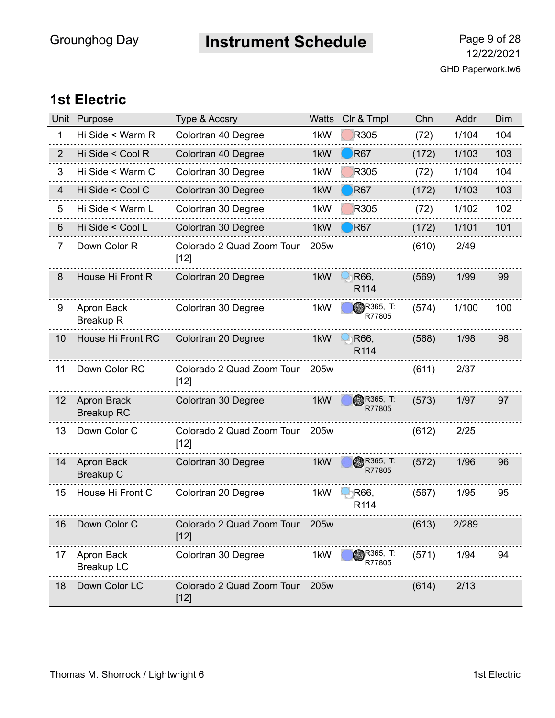**Instrument Schedule** Page 9 of 28

#### **1st Electric**

| Unit           | Purpose                                 | Type & Accsry                            | Watts            | Clr & Tmpl                 | Chn   | Addr  | Dim |
|----------------|-----------------------------------------|------------------------------------------|------------------|----------------------------|-------|-------|-----|
| 1              | Hi Side < Warm R                        | Colortran 40 Degree                      | 1kW              | R305                       | (72)  | 1/104 | 104 |
| 2              | Hi Side < Cool R                        | Colortran 40 Degree                      | 1kW              | <b>R67</b>                 | (172) | 1/103 | 103 |
| 3              | Hi Side < Warm C                        | Colortran 30 Degree                      | 1kW              | R305                       | (72)  | 1/104 | 104 |
| 4              | Hi Side < Cool C                        | Colortran 30 Degree                      | 1kW              | <b>R67</b>                 | (172) | 1/103 | 103 |
| 5              | Hi Side < Warm L                        | Colortran 30 Degree                      | 1kW              | R305                       | (72)  | 1/102 | 102 |
| 6              | Hi Side < Cool L                        | Colortran 30 Degree                      | 1kW              | R67                        | (172) | 1/101 | 101 |
| $\overline{7}$ | Down Color R                            | Colorado 2 Quad Zoom Tour<br>$[12]$      | 205w             |                            | (610) | 2/49  |     |
| 8              | House Hi Front R                        | Colortran 20 Degree                      | 1kW              | R66,<br>R114               | (569) | 1/99  | 99  |
| 9              | Apron Back<br><b>Breakup R</b>          | Colortran 30 Degree                      | 1kW              | R365, T:<br>R77805         | (574) | 1/100 | 100 |
| 10             | House Hi Front RC                       | Colortran 20 Degree                      | 1kW              | R66,<br>R <sub>114</sub>   | (568) | 1/98  | 98  |
| 11             | Down Color RC                           | Colorado 2 Quad Zoom Tour<br>$[12]$      | 205w             |                            | (611) | 2/37  |     |
| 12             | <b>Apron Brack</b><br><b>Breakup RC</b> | Colortran 30 Degree                      | 1kW              | R365, T:<br>R77805         | (573) | 1/97  | 97  |
| 13             | Down Color C                            | Colorado 2 Quad Zoom Tour<br>$[12]$      | 205 <sub>w</sub> |                            | (612) | 2/25  |     |
| 14             | Apron Back<br><b>Breakup C</b>          | Colortran 30 Degree                      | 1kW              | <b>BR365, T:</b><br>R77805 | (572) | 1/96  | 96  |
| 15             | House Hi Front C                        | Colortran 20 Degree                      | 1kW              | R66,<br>R <sub>114</sub>   | (567) | 1/95  | 95  |
| 16             | Down Color C                            | Colorado 2 Quad Zoom Tour 205w<br>$[12]$ |                  |                            | (613) | 2/289 |     |
| 17             | Apron Back<br><b>Breakup LC</b>         | Colortran 30 Degree                      | 1kW              | <b>R365, T:</b><br>R77805  | (571) | 1/94  | 94  |
| 18             | Down Color LC                           | Colorado 2 Quad Zoom Tour<br>$[12]$      | 205w             |                            | (614) | 2/13  |     |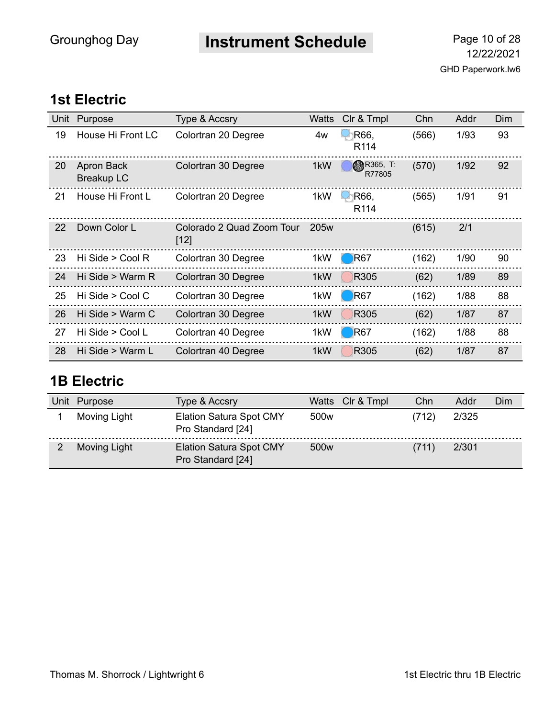**Instrument Schedule** Page 10 of 28

#### **1st Electric**

| Unit | Purpose                         | Type & Accsry                       | Watts | CIr & Tmpl               | Chn   | Addr | Dim |
|------|---------------------------------|-------------------------------------|-------|--------------------------|-------|------|-----|
| 19   | House Hi Front LC               | Colortran 20 Degree                 | 4w    | R66.<br>R <sub>114</sub> | (566) | 1/93 | 93  |
| 20   | Apron Back<br><b>Breakup LC</b> | Colortran 30 Degree                 | 1kW   | R365, T<br>R77805        | (570) | 1/92 | 92  |
| 21   | House Hi Front L                | Colortran 20 Degree                 | 1kW   | R66,<br>R <sub>114</sub> | (565) | 1/91 | 91  |
| 22   | Down Color L                    | Colorado 2 Quad Zoom Tour<br>$[12]$ | 205w  |                          | (615) | 2/1  |     |
| 23   | Hi Side > Cool R                | Colortran 30 Degree                 | 1kW   | R <sub>67</sub>          | (162) | 1/90 | 90  |
| 24   | Hi Side > Warm R                | Colortran 30 Degree                 | 1kW   | R305                     | (62)  | 1/89 | 89  |
| 25   | Hi Side > Cool C                | Colortran 30 Degree                 | 1kW   | <b>R67</b>               | (162) | 1/88 | 88  |
| 26   | Hi Side > Warm C                | Colortran 30 Degree                 | 1kW   | R305                     | (62)  | 1/87 | 87  |
| 27   | Hi Side > Cool L                | Colortran 40 Degree                 | 1kW   | R <sub>67</sub>          | (162) | 1/88 | 88  |
| 28   | Hi Side > Warm L                | Colortran 40 Degree                 | 1kW   | R305                     | (62)  | 1/87 | 87  |

#### **1B Electric**

| Unit | Purpose             | Type & Accsry                                       | Watts Clr & Tmpl | Chn   | Addr  | Dim |
|------|---------------------|-----------------------------------------------------|------------------|-------|-------|-----|
|      | Moving Light        | <b>Elation Satura Spot CMY</b><br>Pro Standard [24] | 500 <sub>w</sub> | (712) | 2/325 |     |
|      | <b>Moving Light</b> | <b>Elation Satura Spot CMY</b><br>Pro Standard [24] | 500 <sub>w</sub> | (711) | 2/301 |     |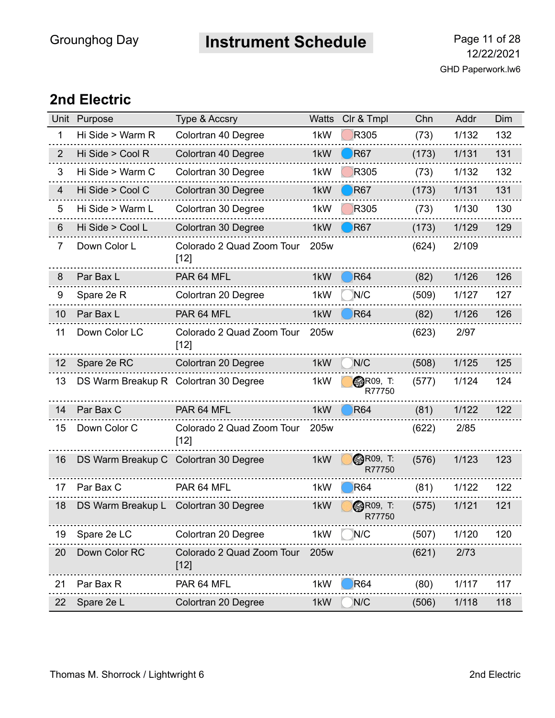# **Instrument Schedule** Page 11 of 28

#### **2nd Electric**

|                | Unit Purpose                          | Type & Accsry                       | <b>Watts</b> | Clr & Tmpl                | Chn   | Addr  | Dim |
|----------------|---------------------------------------|-------------------------------------|--------------|---------------------------|-------|-------|-----|
| 1              | Hi Side > Warm R                      | Colortran 40 Degree                 | 1kW          | R305                      | (73)  | 1/132 | 132 |
| $\overline{2}$ | Hi Side > Cool R                      | Colortran 40 Degree                 | 1kW          | R <sub>67</sub>           | (173) | 1/131 | 131 |
| 3              | Hi Side > Warm C                      | Colortran 30 Degree                 | 1kW          | R305                      | (73)  | 1/132 | 132 |
| 4              | Hi Side > Cool C                      | Colortran 30 Degree                 | 1kW          | <b>R67</b>                | (173) | 1/131 | 131 |
| 5              | Hi Side > Warm L                      | Colortran 30 Degree                 | 1kW          | R305                      | (73)  | 1/130 | 130 |
| 6              | Hi Side > Cool L                      | Colortran 30 Degree                 | 1kW          | R <sub>67</sub>           | (173) | 1/129 | 129 |
| $\overline{7}$ | Down Color L                          | Colorado 2 Quad Zoom Tour<br>$[12]$ | 205w         |                           | (624) | 2/109 |     |
| 8              | Par Bax L                             | PAR 64 MFL                          | 1kW          | <b>R64</b>                | (82)  | 1/126 | 126 |
| 9              | Spare 2e R                            | Colortran 20 Degree                 | 1kW          | N/C                       | (509) | 1/127 | 127 |
| 10             | Par Bax L                             | PAR 64 MFL                          | 1kW          | <b>R64</b>                | (82)  | 1/126 | 126 |
| 11             | Down Color LC                         | Colorado 2 Quad Zoom Tour<br>$[12]$ | 205w         |                           | (623) | 2/97  |     |
| 12             | Spare 2e RC                           | Colortran 20 Degree                 | 1kW          | N/C                       | (508) | 1/125 | 125 |
| 13             | DS Warm Breakup R Colortran 30 Degree |                                     | 1kW          | <b>@R09, T:</b><br>R77750 | (577) | 1/124 | 124 |
| 14             | Par Bax C                             | PAR 64 MFL                          | 1kW          | <b>R64</b>                | (81)  | 1/122 | 122 |
| 15             | Down Color C                          | Colorado 2 Quad Zoom Tour<br>$[12]$ | 205w         |                           | (622) | 2/85  |     |
| 16             | DS Warm Breakup C Colortran 30 Degree |                                     | 1kW          | <b>@R09, T:</b><br>R77750 | (576) | 1/123 | 123 |
| 17             | Par Bax C                             | PAR 64 MFL                          | 1kW          | R64                       | (81)  | 1/122 | 122 |
| 18             | DS Warm Breakup L Colortran 30 Degree |                                     | 1kW          | <b>@R09, T:</b><br>R77750 | (575) | 1/121 | 121 |
| 19             | Spare 2e LC                           | Colortran 20 Degree                 | 1kW          | N/C                       | (507) | 1/120 | 120 |
| 20             | Down Color RC                         | Colorado 2 Quad Zoom Tour<br>$[12]$ | 205w         |                           | (621) | 2/73  |     |
| 21             | Par Bax R                             | PAR 64 MFL                          | 1kW          | <b>R64</b>                | (80)  | 1/117 | 117 |
| 22             | Spare 2e L                            | Colortran 20 Degree                 | 1kW          | N/C                       | (506) | 1/118 | 118 |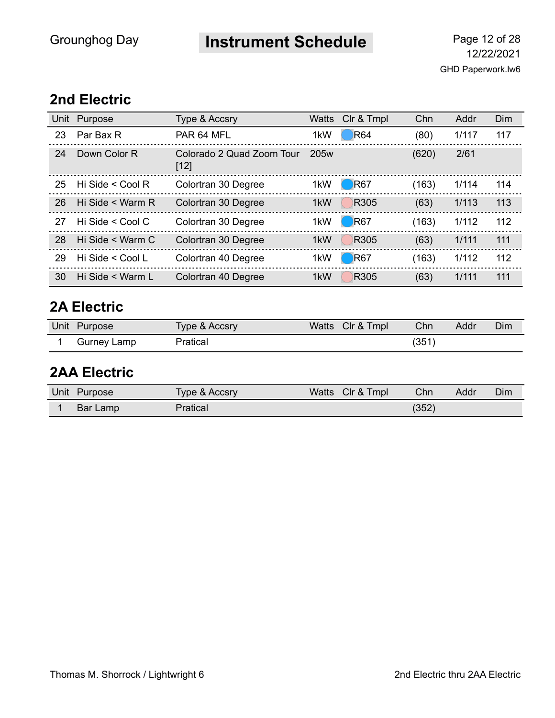**Instrument Schedule** Page 12 of 28

#### **2nd Electric**

|    | Unit Purpose          | <b>Type &amp; Accsry</b>            | Watts            | CIr & Tmpl             | Chn   | Addr  | Dim |
|----|-----------------------|-------------------------------------|------------------|------------------------|-------|-------|-----|
| 23 | Par Bax R             | PAR 64 MFL                          | 1kW              | $\big)$ R64            | (80)  | 1/117 | 117 |
| 24 | Down Color R          | Colorado 2 Quad Zoom Tour<br>$[12]$ | 205 <sub>w</sub> |                        | (620) | 2/61  |     |
| 25 | Hi Side $\leq$ Cool R | Colortran 30 Degree                 | 1kW              | $\bigcirc$ R67         | (163) | 1/114 | 114 |
| 26 | Hi Side < Warm R      | Colortran 30 Degree                 | 1kW              | R305                   | (63)  | 1/113 | 113 |
| 27 | Hi Side < Cool C      | Colortran 30 Degree                 | 1kW              | $\bigtriangledown$ R67 | (163) | 1/112 | 112 |
| 28 | Hi Side < Warm C      | Colortran 30 Degree                 | 1kW              | R305                   | (63)  | 1/111 | 111 |
| 29 | Hi Side < Cool L      | Colortran 40 Degree                 | 1kW              | $\bigcirc$ R67         | (163) | 1/112 | 112 |
| 30 | Hi Side < Warm L      | Colortran 40 Degree                 | 1kW              | R305                   | (63)  | 1/111 | 111 |

#### **2A Electric**

| Unit Purpose | Type & Accsry | Watts Clr & Tmpl | Chn  | Addr | Dim |
|--------------|---------------|------------------|------|------|-----|
| Gurney Lamp  | Pratical      |                  | (351 |      |     |

### **2AA Electric**

| Unit | <b>Purpose</b> | Type & Accsry | Watts | CIr & Tmpl | Chn   | Addr | Dim |
|------|----------------|---------------|-------|------------|-------|------|-----|
|      | Bar Lamp       | Pratical      |       |            | (352) |      |     |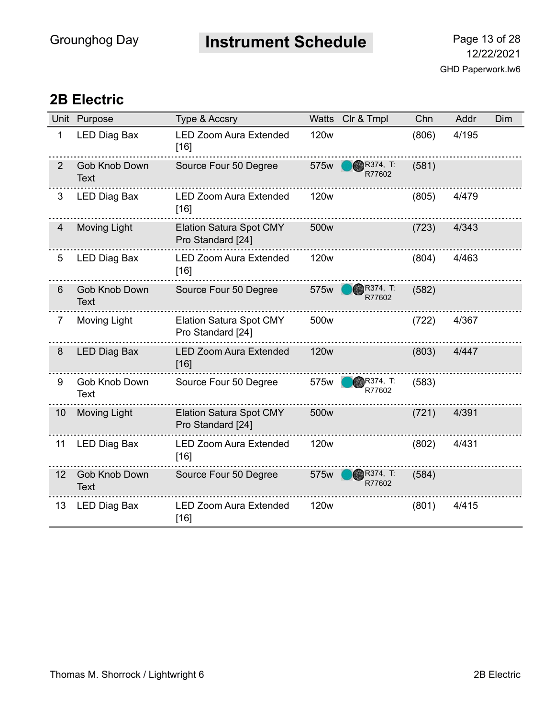**Instrument Schedule** Page 13 of 28

#### **2B Electric**

|                | Unit Purpose                        | <b>Type &amp; Accsry</b>                            | Watts            | Clr & Tmpl                | Chn   | Addr  | Dim |
|----------------|-------------------------------------|-----------------------------------------------------|------------------|---------------------------|-------|-------|-----|
| 1              | <b>LED Diag Bax</b>                 | <b>LED Zoom Aura Extended</b><br>$[16]$             | <b>120w</b>      |                           | (806) | 4/195 |     |
| 2              | <b>Gob Knob Down</b><br><b>Text</b> | Source Four 50 Degree                               | 575w             | R374, T:<br>R77602        | (581) |       |     |
| 3              | <b>LED Diag Bax</b>                 | <b>LED Zoom Aura Extended</b><br>$[16]$             | <b>120w</b>      |                           | (805) | 4/479 |     |
| $\overline{4}$ | <b>Moving Light</b>                 | <b>Elation Satura Spot CMY</b><br>Pro Standard [24] | 500 <sub>w</sub> |                           | (723) | 4/343 |     |
| 5              | <b>LED Diag Bax</b>                 | <b>LED Zoom Aura Extended</b><br>$[16]$             | 120 <sub>w</sub> |                           | (804) | 4/463 |     |
| 6              | <b>Gob Knob Down</b><br><b>Text</b> | Source Four 50 Degree                               | 575w             | <b>R374, T:</b><br>R77602 | (582) |       |     |
| 7              | Moving Light                        | <b>Elation Satura Spot CMY</b><br>Pro Standard [24] | 500 <sub>w</sub> |                           | (722) | 4/367 |     |
| 8              | <b>LED Diag Bax</b>                 | <b>LED Zoom Aura Extended</b><br>$[16]$             | <b>120w</b>      |                           | (803) | 4/447 |     |
| 9              | Gob Knob Down<br>Text               | Source Four 50 Degree                               | 575w             | R374, T:<br>R77602        | (583) |       |     |
| 10             | Moving Light                        | <b>Elation Satura Spot CMY</b><br>Pro Standard [24] | 500 <sub>w</sub> |                           | (721) | 4/391 |     |
| 11             | LED Diag Bax                        | <b>LED Zoom Aura Extended</b><br>[16]               | <b>120w</b>      |                           | (802) | 4/431 |     |
| 12             | Gob Knob Down<br><b>Text</b>        | Source Four 50 Degree                               | 575w             | <b>R374, T:</b><br>R77602 | (584) |       |     |
| 13             | <b>LED Diag Bax</b>                 | <b>LED Zoom Aura Extended</b><br>$[16]$             | <b>120w</b>      |                           | (801) | 4/415 |     |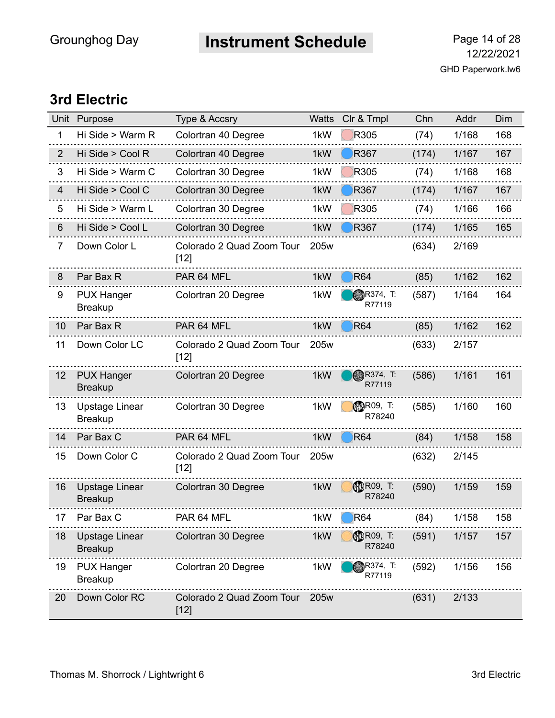# **Instrument Schedule** Page 14 of 28

#### **3rd Electric**

|                | Unit Purpose                            | Type & Accsry                       | <b>Watts</b>     | Clr & Tmpl                  | Chn   | Addr  | Dim |
|----------------|-----------------------------------------|-------------------------------------|------------------|-----------------------------|-------|-------|-----|
| 1              | Hi Side > Warm R                        | Colortran 40 Degree                 | 1kW              | R305                        | (74)  | 1/168 | 168 |
| $\overline{2}$ | Hi Side > Cool R                        | Colortran 40 Degree                 | 1kW              | <b>R367</b>                 | (174) | 1/167 | 167 |
| 3              | Hi Side > Warm C                        | Colortran 30 Degree                 | 1kW              | R305                        | (74)  | 1/168 | 168 |
| $\overline{4}$ | Hi Side > Cool C                        | Colortran 30 Degree                 | 1kW              | R367                        | (174) | 1/167 | 167 |
| 5              | Hi Side > Warm L                        | Colortran 30 Degree                 | 1kW              | R305                        | (74)  | 1/166 | 166 |
| 6              | Hi Side > Cool L                        | Colortran 30 Degree                 | 1kW              | <b>R367</b>                 | (174) | 1/165 | 165 |
| 7              | Down Color L                            | Colorado 2 Quad Zoom Tour<br>$[12]$ | 205w             |                             | (634) | 2/169 |     |
| 8              | Par Bax R                               | PAR 64 MFL                          | 1kW              | <b>R64</b>                  | (85)  | 1/162 | 162 |
| 9              | <b>PUX Hanger</b><br><b>Breakup</b>     | Colortran 20 Degree                 | 1kW              | R374, T:<br>R77119          | (587) | 1/164 | 164 |
| 10             | Par Bax R                               | PAR 64 MFL                          | 1kW              | <b>R64</b>                  | (85)  | 1/162 | 162 |
| 11             | Down Color LC                           | Colorado 2 Quad Zoom Tour<br>$[12]$ | 205w             |                             | (633) | 2/157 |     |
| 12             | <b>PUX Hanger</b><br><b>Breakup</b>     | Colortran 20 Degree                 | 1kW              | <b>R374, T:</b><br>R77119   | (586) | 1/161 | 161 |
| 13             | Upstage Linear<br><b>Breakup</b>        | Colortran 30 Degree                 | 1kW              | <b>ODR09, T:</b><br>R78240  | (585) | 1/160 | 160 |
| 14             | Par Bax C                               | PAR 64 MFL                          | 1kW              | <b>R64</b>                  | (84)  | 1/158 | 158 |
| 15             | Down Color C                            | Colorado 2 Quad Zoom Tour<br>$[12]$ | 205w             |                             | (632) | 2/145 |     |
| 16             | <b>Upstage Linear</b><br><b>Breakup</b> | Colortran 30 Degree                 | 1kW              | <b>CD</b> R09, T:<br>R78240 | (590) | 1/159 | 159 |
| 17             | Par Bax C                               | PAR 64 MFL                          | 1kW              | $\bigcirc$ R64              | (84)  | 1/158 | 158 |
| 18             | Upstage Linear<br><b>Breakup</b>        | Colortran 30 Degree                 | 1kW              | <b>MBR09, T:</b><br>R78240  | (591) | 1/157 | 157 |
| 19             | <b>PUX Hanger</b><br><b>Breakup</b>     | Colortran 20 Degree                 | 1kW              | <b>R374, T:</b><br>R77119   | (592) | 1/156 | 156 |
| 20             | Down Color RC                           | Colorado 2 Quad Zoom Tour<br>$[12]$ | 205 <sub>w</sub> |                             | (631) | 2/133 |     |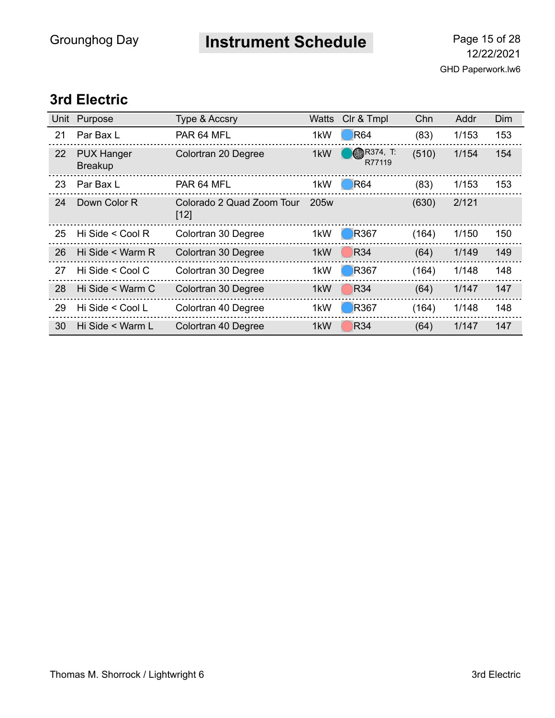**Instrument Schedule** Page 15 of 28

#### **3rd Electric**

| Unit | Purpose                             | <b>Type &amp; Accsry</b>            | <b>Watts</b>     | Clr & Tmpl                | Chn   | Addr  | Dim |
|------|-------------------------------------|-------------------------------------|------------------|---------------------------|-------|-------|-----|
| 21   | Par Bax L                           | PAR 64 MFL                          | 1kW              | <b>R64</b>                | (83)  | 1/153 | 153 |
| 22   | <b>PUX Hanger</b><br><b>Breakup</b> | Colortran 20 Degree                 | 1kW              | <b>R374, T:</b><br>R77119 | (510) | 1/154 | 154 |
| 23   | Par Bax L                           | PAR 64 MFL                          | 1kW              | <b>R64</b>                | (83)  | 1/153 | 153 |
| 24   | Down Color R                        | Colorado 2 Quad Zoom Tour<br>$[12]$ | 205 <sub>w</sub> |                           | (630) | 2/121 |     |
| 25   | Hi Side < Cool R                    | Colortran 30 Degree                 | 1kW              | <b>R367</b>               | (164) | 1/150 | 150 |
| 26   | Hi Side < Warm R                    | Colortran 30 Degree                 | 1kW              | <b>R34</b>                | (64)  | 1/149 | 149 |
| 27   | Hi Side $\leq$ Cool C               | Colortran 30 Degree                 | 1kW              | R367                      | (164) | 1/148 | 148 |
| 28   | Hi Side < Warm C                    | Colortran 30 Degree                 | 1kW              | <b>R34</b>                | (64)  | 1/147 | 147 |
| 29   | Hi Side < Cool L                    | Colortran 40 Degree                 | 1kW              | <b>R367</b>               | (164) | 1/148 | 148 |
| 30   | Hi Side < Warm L                    | Colortran 40 Degree                 | 1kW              | <b>R34</b>                | (64)  | 1/147 | 147 |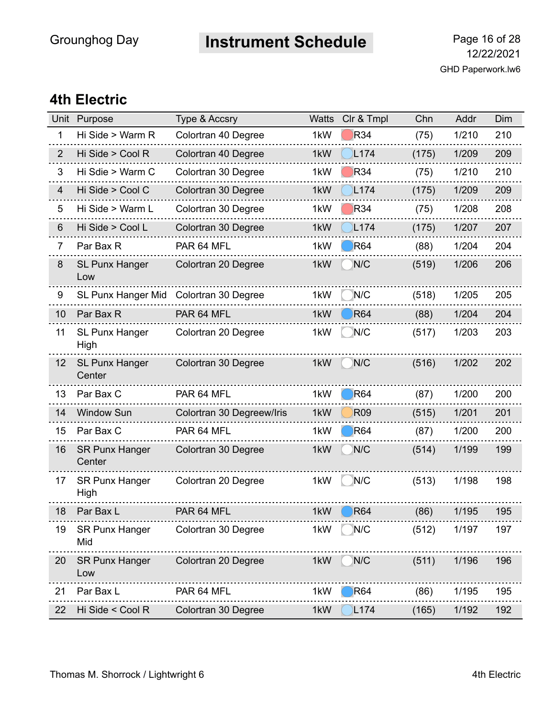# **Instrument Schedule** Page 16 of 28

#### **4th Electric**

| Unit           | Purpose                         | <b>Type &amp; Accsry</b>  | <b>Watts</b> | Clr & Tmpl       | Chn   | Addr  | Dim |
|----------------|---------------------------------|---------------------------|--------------|------------------|-------|-------|-----|
| 1              | Hi Side > Warm R                | Colortran 40 Degree       | 1kW          | <b>R34</b>       | (75)  | 1/210 | 210 |
| $\overline{2}$ | Hi Side > Cool R                | Colortran 40 Degree       | 1kW          | L <sub>174</sub> | (175) | 1/209 | 209 |
| 3              | Hi Sdie > Warm C                | Colortran 30 Degree       | 1kW          | <b>R34</b>       | (75)  | 1/210 | 210 |
| $\overline{4}$ | Hi Side > Cool C                | Colortran 30 Degree       | 1kW          | L174             | (175) | 1/209 | 209 |
| 5              | Hi Side > Warm L                | Colortran 30 Degree       | 1kW          | R34              | (75)  | 1/208 | 208 |
| $6\phantom{1}$ | Hi Side > Cool L                | Colortran 30 Degree       | 1kW          | L <sub>174</sub> | (175) | 1/207 | 207 |
| $\overline{7}$ | Par Bax R                       | PAR 64 MFL                | 1kW          | <b>R64</b>       | (88)  | 1/204 | 204 |
| 8              | <b>SL Punx Hanger</b><br>Low    | Colortran 20 Degree       | 1kW          | N/C              | (519) | 1/206 | 206 |
| 9              | <b>SL Punx Hanger Mid</b>       | Colortran 30 Degree       | 1kW          | N/C              | (518) | 1/205 | 205 |
| 10             | Par Bax R                       | PAR 64 MFL                | 1kW          | <b>R64</b>       | (88)  | 1/204 | 204 |
| 11             | <b>SL Punx Hanger</b><br>High   | Colortran 20 Degree       | 1kW          | N/C              | (517) | 1/203 | 203 |
| 12             | <b>SL Punx Hanger</b><br>Center | Colortran 30 Degree       | 1kW          | N/C              | (516) | 1/202 | 202 |
| 13             | Par Bax C                       | PAR 64 MFL                | 1kW          | <b>R64</b>       | (87)  | 1/200 | 200 |
| 14             | <b>Window Sun</b>               | Colortran 30 Degreew/Iris | 1kW          | <b>R09</b>       | (515) | 1/201 | 201 |
| 15             | Par Bax C                       | PAR 64 MFL                | 1kW          | <b>R64</b>       | (87)  | 1/200 | 200 |
| 16             | <b>SR Punx Hanger</b><br>Center | Colortran 30 Degree       | 1kW          | N/C              | (514) | 1/199 | 199 |
| 17             | <b>SR Punx Hanger</b><br>High   | Colortran 20 Degree       | 1kW          | N/C              | (513) | 1/198 | 198 |
| 18             | Par Bax L                       | PAR 64 MFL                | 1kW          | <b>R64</b>       | (86)  | 1/195 | 195 |
| 19             | <b>SR Punx Hanger</b><br>Mid    | Colortran 30 Degree       | 1kW          | N/C              | (512) | 1/197 | 197 |
| 20             | <b>SR Punx Hanger</b><br>Low    | Colortran 20 Degree       | 1kW          | N/C              | (511) | 1/196 | 196 |
| 21             | Par Bax L                       | PAR 64 MFL                | 1kW          | R64              | (86)  | 1/195 | 195 |
| 22             | Hi Side < Cool R                | Colortran 30 Degree       | 1kW          | L <sub>174</sub> | (165) | 1/192 | 192 |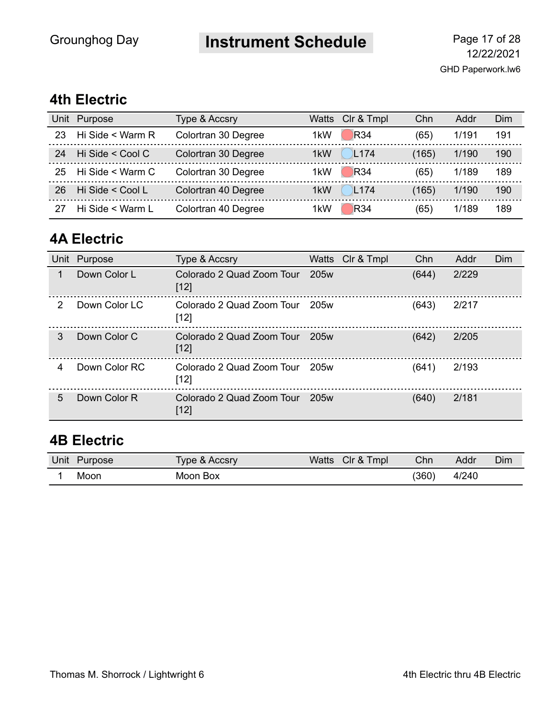## **Instrument Schedule** Page 17 of 28

#### **4th Electric**

| Unit | Purpose          | Type & Accsry       |                  | Watts Clr & Tmpl | Chn   | Addr  | Dim |
|------|------------------|---------------------|------------------|------------------|-------|-------|-----|
| 23   | Hi Side < Warm R | Colortran 30 Degree | 1 <sub>k</sub> W | <b>R34</b>       | (65)  | 1/191 | 191 |
| 24   | Hi Side < Cool C | Colortran 30 Degree | 1kW              | L <sub>174</sub> | (165) | 1/190 | 190 |
| 25   | Hi Side < Warm C | Colortran 30 Degree | 1kW              | <b>R34</b>       | (65)  | 1/189 | 189 |
| 26   | Hi Side < Cool L | Colortran 40 Degree | 1 <sub>k</sub> W | L <sub>174</sub> | (165) | 1/190 | 190 |
|      | Hi Side < Warm L | Colortran 40 Degree | 1 <sub>k</sub> W | R34              | (65)  | 1/189 | 189 |

#### **4A Electric**

| Unit          | Purpose       | Type & Accsry                       | Watts Clr & Tmpl | Chn   | Addr  | Dim |
|---------------|---------------|-------------------------------------|------------------|-------|-------|-----|
| 1             | Down Color L  | Colorado 2 Quad Zoom Tour<br>$[12]$ | 205w             | (644) | 2/229 |     |
| $\mathcal{P}$ | Down Color LC | Colorado 2 Quad Zoom Tour<br>$[12]$ | 205w             | (643) | 2/217 |     |
| 3             | Down Color C  | Colorado 2 Quad Zoom Tour<br>$[12]$ | 205w             | (642) | 2/205 |     |
| 4             | Down Color RC | Colorado 2 Quad Zoom Tour<br>$[12]$ | 205w             | (641) | 2/193 |     |
| 5             | Down Color R  | Colorado 2 Quad Zoom Tour<br>$[12]$ | 205w             | (640) | 2/181 |     |

#### **4B Electric**

| Unit | Purpose | Type & Accsry | Watts | Tmpl<br>Clr<br><u>&amp;</u> | Chn   | Addr  | Dim |
|------|---------|---------------|-------|-----------------------------|-------|-------|-----|
|      | Moon    | Moon Box      |       |                             | (360) | 4/240 |     |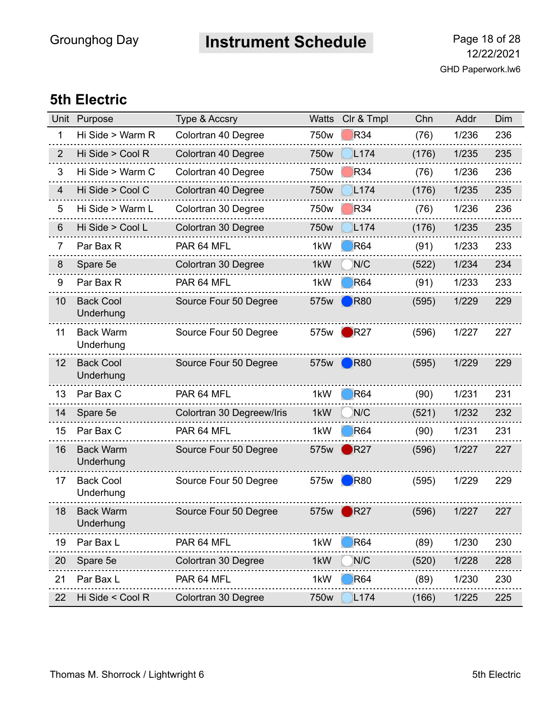# **Instrument Schedule** Page 18 of 28

#### **5th Electric**

| Unit           | Purpose                       | <b>Type &amp; Accsry</b>  | <b>Watts</b> | Clr & Tmpl             | Chn   | Addr  | Dim |
|----------------|-------------------------------|---------------------------|--------------|------------------------|-------|-------|-----|
| 1              | Hi Side > Warm R              | Colortran 40 Degree       | 750w         | R34                    | (76)  | 1/236 | 236 |
| $\overline{2}$ | Hi Side > Cool R              | Colortran 40 Degree       | 750w         | L <sub>174</sub>       | (176) | 1/235 | 235 |
| 3              | Hi Side > Warm C              | Colortran 40 Degree       | 750w         | <b>R34</b>             | (76)  | 1/236 | 236 |
| 4              | Hi Side > Cool C              | Colortran 40 Degree       | 750w         | L174                   | (176) | 1/235 | 235 |
| 5              | Hi Side > Warm L              | Colortran 30 Degree       | 750w         | R34                    | (76)  | 1/236 | 236 |
| 6              | Hi Side > Cool L              | Colortran 30 Degree       | 750w         | L <sub>174</sub>       | (176) | 1/235 | 235 |
| 7              | Par Bax R                     | PAR 64 MFL                | 1kW          | <b>R64</b>             | (91)  | 1/233 | 233 |
| 8              | Spare 5e                      | Colortran 30 Degree       | 1kW          | N/C                    | (522) | 1/234 | 234 |
| 9              | Par Bax R                     | PAR 64 MFL                | 1kW          | <b>R64</b>             | (91)  | 1/233 | 233 |
| 10             | <b>Back Cool</b><br>Underhung | Source Four 50 Degree     | 575w         | $\big)$ R80            | (595) | 1/229 | 229 |
| 11             | <b>Back Warm</b><br>Underhung | Source Four 50 Degree     | 575w         | $\blacksquare$ R27     | (596) | 1/227 | 227 |
| 12             | <b>Back Cool</b><br>Underhung | Source Four 50 Degree     | 575w         | $\blacksquare$ R80     | (595) | 1/229 | 229 |
| 13             | Par Bax C                     | PAR 64 MFL                | 1kW          | <b>R64</b>             | (90)  | 1/231 | 231 |
| 14             | Spare 5e                      | Colortran 30 Degreew/Iris | 1kW          | N/C                    | (521) | 1/232 | 232 |
| 15             | Par Bax C                     | PAR 64 MFL                | 1kW          | <b>R64</b>             | (90)  | 1/231 | 231 |
| 16             | <b>Back Warm</b><br>Underhung | Source Four 50 Degree     | 575w         | R27                    | (596) | 1/227 | 227 |
| 17             | <b>Back Cool</b><br>Underhung | Source Four 50 Degree     | 575w         | R80                    | (595) | 1/229 | 229 |
| 18             | <b>Back Warm</b><br>Underhung | Source Four 50 Degree     | 575w         | $\bigtriangledown$ R27 | (596) | 1/227 | 227 |
| 19             | Par Bax L                     | PAR 64 MFL                | 1kW          | <b>R64</b>             | (89)  | 1/230 | 230 |
| 20             | Spare 5e                      | Colortran 30 Degree       | 1kW          | N/C                    | (520) | 1/228 | 228 |
| 21             | Par Bax L                     | PAR 64 MFL                | 1kW          | <b>R64</b>             | (89)  | 1/230 | 230 |
| 22             | Hi Side < Cool R              | Colortran 30 Degree       | 750w         | L174                   | (166) | 1/225 | 225 |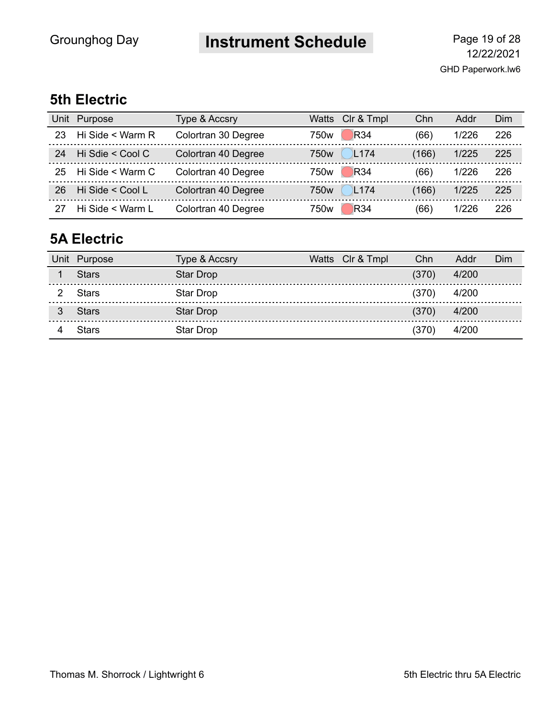# **Instrument Schedule** Page 19 of 28

#### **5th Electric**

| Unit | Purpose          | Type & Accsry       |                  | Watts Clr & Tmpl | Chn   | Addr  | Dim |
|------|------------------|---------------------|------------------|------------------|-------|-------|-----|
| 23   | Hi Side < Warm R | Colortran 30 Degree | 750w             | <b>R34</b>       | (66)  | 1/226 | 226 |
| 24   | Hi Sdie < Cool C | Colortran 40 Degree | 750 <sub>w</sub> | L <sub>174</sub> | (166) | 1/225 | 225 |
| 25   | Hi Side < Warm C | Colortran 40 Degree | 750w             | <b>R34</b>       | (66)  | 1/226 | 226 |
| 26   | Hi Side < Cool L | Colortran 40 Degree | 750w             | L <sub>174</sub> | (166) | 1/225 | 225 |
|      | Hi Side < Warm L | Colortran 40 Degree | 750w             | R34              | (66)  | 1/226 | 226 |

#### **5A Electric**

| Unit Purpose | Type & Accsry | Watts Clr & Tmpl | Chn   | Addr  | Dim |
|--------------|---------------|------------------|-------|-------|-----|
| <b>Stars</b> | Star Drop     |                  | (370) | 4/200 |     |
| <b>Stars</b> | Star Drop     |                  | (370) | 4/200 |     |
| <b>Stars</b> | Star Drop     |                  | (370) | 4/200 |     |
| Stars        | Star Drop     |                  | (370) | 4/200 |     |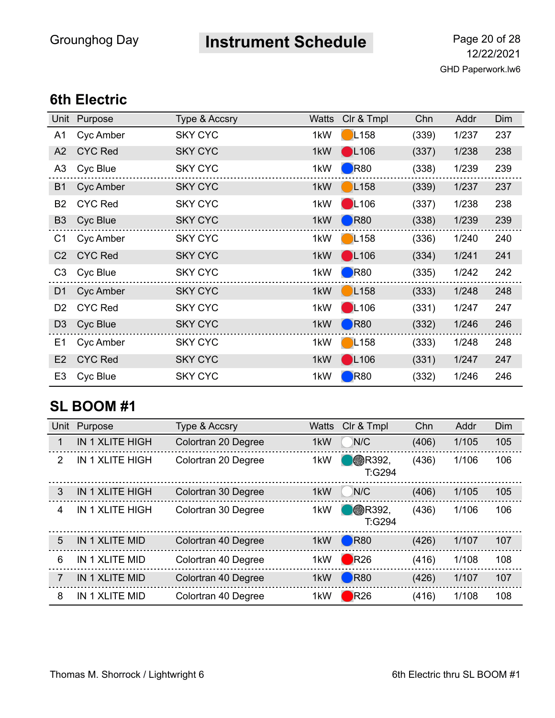## **Instrument Schedule** Page 20 of 28

#### **6th Electric**

| Unit           | Purpose        | Type & Accsry  | <b>Watts</b> | CIr & Tmpl          | Chn   | Addr  | Dim |
|----------------|----------------|----------------|--------------|---------------------|-------|-------|-----|
| A <sub>1</sub> | Cyc Amber      | <b>SKY CYC</b> | 1kW          | L158                | (339) | 1/237 | 237 |
| A2             | <b>CYC Red</b> | <b>SKY CYC</b> | 1kW          | $\bigcup$ L106      | (337) | 1/238 | 238 |
| A <sub>3</sub> | Cyc Blue       | <b>SKY CYC</b> | 1kW          | $\blacksquare$ R80  | (338) | 1/239 | 239 |
| <b>B1</b>      | Cyc Amber      | <b>SKY CYC</b> | 1kW          | L158                | (339) | 1/237 | 237 |
| B <sub>2</sub> | <b>CYC Red</b> | <b>SKY CYC</b> | 1kW          | $\blacksquare$ L106 | (337) | 1/238 | 238 |
| B <sub>3</sub> | Cyc Blue       | <b>SKY CYC</b> | 1kW          | $\big)$ R80         | (338) | 1/239 | 239 |
| C1             | Cyc Amber      | <b>SKY CYC</b> | 1kW          | L158                | (336) | 1/240 | 240 |
| C <sub>2</sub> | <b>CYC Red</b> | <b>SKY CYC</b> | 1kW          | $\bigcirc$ L106     | (334) | 1/241 | 241 |
| C <sub>3</sub> | Cyc Blue       | <b>SKY CYC</b> | 1kW          | $\blacksquare$ R80  | (335) | 1/242 | 242 |
| D <sub>1</sub> | Cyc Amber      | <b>SKY CYC</b> | 1kW          | L158                | (333) | 1/248 | 248 |
| D <sub>2</sub> | <b>CYC Red</b> | <b>SKY CYC</b> | 1kW          | $\bigcirc$ L106     | (331) | 1/247 | 247 |
| D <sub>3</sub> | Cyc Blue       | <b>SKY CYC</b> | 1kW          | R80                 | (332) | 1/246 | 246 |
| E <sub>1</sub> | Cyc Amber      | <b>SKY CYC</b> | 1kW          | L158                | (333) | 1/248 | 248 |
| E2             | <b>CYC Red</b> | <b>SKY CYC</b> | 1kW          | $\bigcirc$ L106     | (331) | 1/247 | 247 |
| E <sub>3</sub> | Cyc Blue       | <b>SKY CYC</b> | 1kW          | $\blacksquare$ R80  | (332) | 1/246 | 246 |

#### **SL BOOM #1**

| Unit          | Purpose                | Type & Accsry       | <b>Watts</b> | Clr & Tmpl               | Chn   | Addr  | Dim |
|---------------|------------------------|---------------------|--------------|--------------------------|-------|-------|-----|
| 1             | <b>IN 1 XLITE HIGH</b> | Colortran 20 Degree | 1kW          | N/C                      | (406) | 1/105 | 105 |
| $\mathcal{P}$ | <b>IN 1 XLITE HIGH</b> | Colortran 20 Degree | 1kW          | <b>B</b> R392,<br>T:G294 | (436) | 1/106 | 106 |
| $\mathcal{S}$ | <b>IN 1 XLITE HIGH</b> | Colortran 30 Degree | 1kW          | N/C                      | (406) | 1/105 | 105 |
| 4             | <b>IN 1 XLITE HIGH</b> | Colortran 30 Degree | 1kW          | <b>B</b> R392,<br>T:G294 | (436) | 1/106 | 106 |
| 5             | IN 1 XLITE MID         | Colortran 40 Degree | 1kW          | $\bigtriangledown$ R80   | (426) | 1/107 | 107 |
| 6             | IN 1 XLITE MID         | Colortran 40 Degree | 1kW          | R26                      | (416) | 1/108 | 108 |
| 7             | IN 1 XLITE MID         | Colortran 40 Degree | 1kW          | <b>R80</b>               | (426) | 1/107 | 107 |
| 8             | IN 1 XLITE MID         | Colortran 40 Degree | 1kW          | R26                      | (416) | 1/108 | 108 |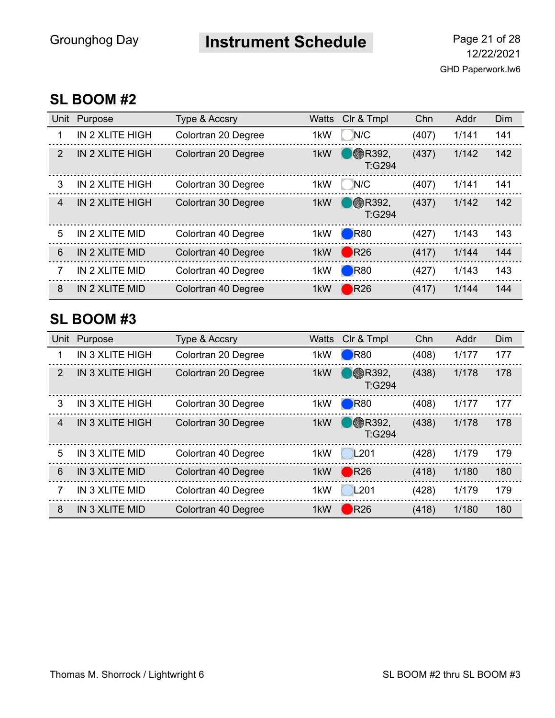## **Instrument Schedule** Page 21 of 28

#### **SL BOOM #2**

| Unit           | Purpose         | Type & Accsry       | <b>Watts</b> | Clr & Tmpl               | Chn   | Addr  | Dim |
|----------------|-----------------|---------------------|--------------|--------------------------|-------|-------|-----|
| 1              | IN 2 XLITE HIGH | Colortran 20 Degree | 1kW          | N/C                      | (407) | 1/141 | 141 |
| $\mathcal{P}$  | IN 2 XLITE HIGH | Colortran 20 Degree | 1kW          | <b>B</b> R392.<br>T:G294 | (437) | 1/142 | 142 |
| 3              | IN 2 XLITE HIGH | Colortran 30 Degree | 1kW          | N/C                      | (407) | 1/141 | 141 |
| $\overline{4}$ | IN 2 XLITE HIGH | Colortran 30 Degree | 1kW          | <b>B</b> R392,<br>T:G294 | (437) | 1/142 | 142 |
| 5              | IN 2 XLITE MID  | Colortran 40 Degree | 1kW          | $\bigcirc$ R80           | (427) | 1/143 | 143 |
| 6              | IN 2 XLITE MID  | Colortran 40 Degree | 1kW          | R26                      | (417) | 1/144 | 144 |
| 7              | IN 2 XLITE MID  | Colortran 40 Degree | 1kW          | $\blacksquare$ R80       | (427) | 1/143 | 143 |
| 8              | IN 2 XLITE MID  | Colortran 40 Degree | 1kW          | $\bigtriangledown$ R26   | (417) | 1/144 | 144 |

#### **SL BOOM #3**

| Unit           | Purpose                | Type & Accsry       | <b>Watts</b>     | Clr & Tmpl                | Chn   | Addr  | Dim |
|----------------|------------------------|---------------------|------------------|---------------------------|-------|-------|-----|
| 1              | IN 3 XLITE HIGH        | Colortran 20 Degree | 1kW              | $\blacksquare$ R80        | (408) | 1/177 | 177 |
| 2              | <b>IN 3 XLITE HIGH</b> | Colortran 20 Degree | 1kW              | <b>B</b> R392,<br>T:G294  | (438) | 1/178 | 178 |
| 3              | IN 3 XLITE HIGH        | Colortran 30 Degree | 1kW              | $\blacksquare$ R80        | (408) | 1/177 | 177 |
| $\overline{4}$ | <b>IN 3 XLITE HIGH</b> | Colortran 30 Degree | 1kW              | $\otimes$ R392,<br>T:G294 | (438) | 1/178 | 178 |
| 5              | IN 3 XLITE MID         | Colortran 40 Degree | 1kW              | L201                      | (428) | 1/179 | 179 |
| 6              | <b>IN 3 XLITE MID</b>  | Colortran 40 Degree | 1kW              | R26                       | (418) | 1/180 | 180 |
| 7              | IN 3 XLITE MID         | Colortran 40 Degree | 1kW              | L <sub>201</sub>          | (428) | 1/179 | 179 |
| 8              | IN 3 XLITE MID         | Colortran 40 Degree | 1 <sub>k</sub> W | $\bigtriangledown$ R26    | (418) | 1/180 | 180 |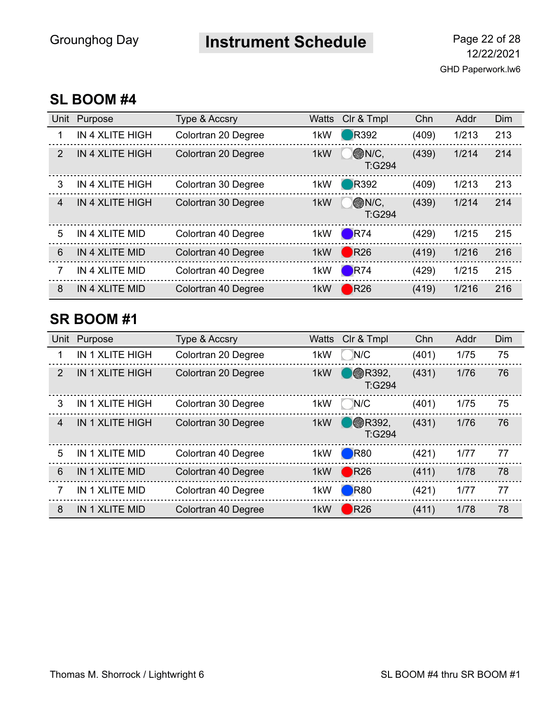## **Instrument Schedule** Page 22 of 28

#### **SL BOOM #4**

| Unit           | Purpose                | Type & Accsry       | <b>Watts</b> | Clr & Tmpl              | Chn   | Addr  | Dim |
|----------------|------------------------|---------------------|--------------|-------------------------|-------|-------|-----|
| 1              | IN 4 XLITE HIGH        | Colortran 20 Degree | 1kW          | <b>R</b> 392            | (409) | 1/213 | 213 |
| $\mathcal{P}$  | <b>IN 4 XLITE HIGH</b> | Colortran 20 Degree | 1kW          | <b>ON/C.</b><br>T:G294  | (439) | 1/214 | 214 |
| 3              | IN 4 XLITE HIGH        | Colortran 30 Degree | 1kW          | <b>R</b> 392            | (409) | 1/213 | 213 |
| $\overline{4}$ | <b>IN 4 XLITE HIGH</b> | Colortran 30 Degree | 1kW          | <b>MONIC,</b><br>T:G294 | (439) | 1/214 | 214 |
| 5              | IN 4 XLITE MID         | Colortran 40 Degree | 1kW          | $\blacksquare$ R74      | (429) | 1/215 | 215 |
| 6              | IN 4 XLITE MID         | Colortran 40 Degree | 1kW          | R26                     | (419) | 1/216 | 216 |
| 7              | IN 4 XLITE MID         | Colortran 40 Degree | 1kW          | $\blacksquare$ R74      | (429) | 1/215 | 215 |
| 8              | IN 4 XLITE MID         | Colortran 40 Degree | 1kW          | $\bigtriangledown$ R26  | (419) | 1/216 | 216 |

#### **SR BOOM #1**

| Unit           | Purpose                | Type & Accsry       | <b>Watts</b>     | CIr & Tmpl               | Chn   | Addr | Dim |
|----------------|------------------------|---------------------|------------------|--------------------------|-------|------|-----|
| 1              | IN 1 XLITE HIGH        | Colortran 20 Degree | 1kW              | N/C                      | (401) | 1/75 | 75  |
| 2              | <b>IN 1 XLITE HIGH</b> | Colortran 20 Degree | 1kW              | <b>B</b> R392,<br>T:G294 | (431) | 1/76 | 76  |
| 3              | IN 1 XLITE HIGH        | Colortran 30 Degree | 1kW              | N/C                      | (401) | 1/75 | 75  |
| $\overline{4}$ | <b>IN 1 XLITE HIGH</b> | Colortran 30 Degree | 1 <sub>k</sub> W | <b>B</b> R392,<br>T:G294 | (431) | 1/76 | 76  |
| 5              | IN 1 XLITE MID         | Colortran 40 Degree | 1kW              | $\blacksquare$ R80       | (421) | 1/77 | 77  |
| 6              | IN 1 XLITE MID         | Colortran 40 Degree | 1kW              | R26                      | (411) | 1/78 | 78  |
| 7              | IN 1 XLITE MID         | Colortran 40 Degree | 1kW              | $\blacksquare$ R80       | (421) | 1/77 | 77  |
| 8              | IN 1 XLITE MID         | Colortran 40 Degree | 1 <sub>k</sub> W | $\bigtriangledown$ R26   | (411) | 1/78 | 78  |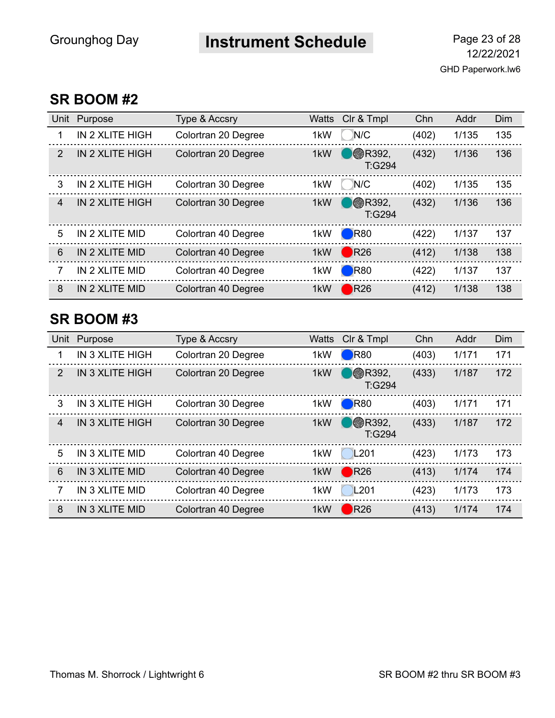## **Instrument Schedule** Page 23 of 28

#### **SR BOOM #2**

| Unit           | Purpose                | Type & Accsry       | <b>Watts</b> | Clr & Tmpl               | Chn   | Addr  | Dim |
|----------------|------------------------|---------------------|--------------|--------------------------|-------|-------|-----|
| 1              | IN 2 XLITE HIGH        | Colortran 20 Degree | 1kW          | N/C                      | (402) | 1/135 | 135 |
| $\mathcal{P}$  | <b>IN 2 XLITE HIGH</b> | Colortran 20 Degree | 1kW          | <b>B</b> R392,<br>T:G294 | (432) | 1/136 | 136 |
| 3              | IN 2 XLITE HIGH        | Colortran 30 Degree | 1kW          | N/C                      | (402) | 1/135 | 135 |
| $\overline{4}$ | <b>IN 2 XLITE HIGH</b> | Colortran 30 Degree | 1kW          | <b>B</b> R392,<br>T:G294 | (432) | 1/136 | 136 |
| 5              | IN 2 XLITE MID         | Colortran 40 Degree | 1kW          | $\blacksquare$ R80       | (422) | 1/137 | 137 |
| 6              | IN 2 XLITE MID         | Colortran 40 Degree | 1kW          | R26                      | (412) | 1/138 | 138 |
| 7              | IN 2 XLITE MID         | Colortran 40 Degree | 1kW          | $\blacksquare$ R80       | (422) | 1/137 | 137 |
| 8              | IN 2 XLITE MID         | Colortran 40 Degree | 1kW          | R26                      | (412) | 1/138 | 138 |

#### **SR BOOM #3**

| Unit           | Purpose                | Type & Accsry       | <b>Watts</b>     | Clr & Tmpl                | Chn   | Addr  | Dim |
|----------------|------------------------|---------------------|------------------|---------------------------|-------|-------|-----|
| 1              | IN 3 XLITE HIGH        | Colortran 20 Degree | 1kW              | R80                       | (403) | 1/171 | 171 |
| 2              | <b>IN 3 XLITE HIGH</b> | Colortran 20 Degree | 1kW              | <b>B</b> R392,<br>T:G294  | (433) | 1/187 | 172 |
| 3              | IN 3 XLITE HIGH        | Colortran 30 Degree | 1kW              | $\blacksquare$ R80        | (403) | 1/171 | 171 |
| $\overline{4}$ | <b>IN 3 XLITE HIGH</b> | Colortran 30 Degree | 1kW              | $\otimes$ R392,<br>T:G294 | (433) | 1/187 | 172 |
| 5              | IN 3 XLITE MID         | Colortran 40 Degree | 1kW              | L201                      | (423) | 1/173 | 173 |
| 6              | <b>IN 3 XLITE MID</b>  | Colortran 40 Degree | 1kW              | R26                       | (413) | 1/174 | 174 |
| 7              | IN 3 XLITE MID         | Colortran 40 Degree | 1kW              | L <sub>201</sub>          | (423) | 1/173 | 173 |
| 8              | <b>IN 3 XLITE MID</b>  | Colortran 40 Degree | 1 <sub>k</sub> W | $\bigtriangledown$ R26    | (413) | 1/174 | 174 |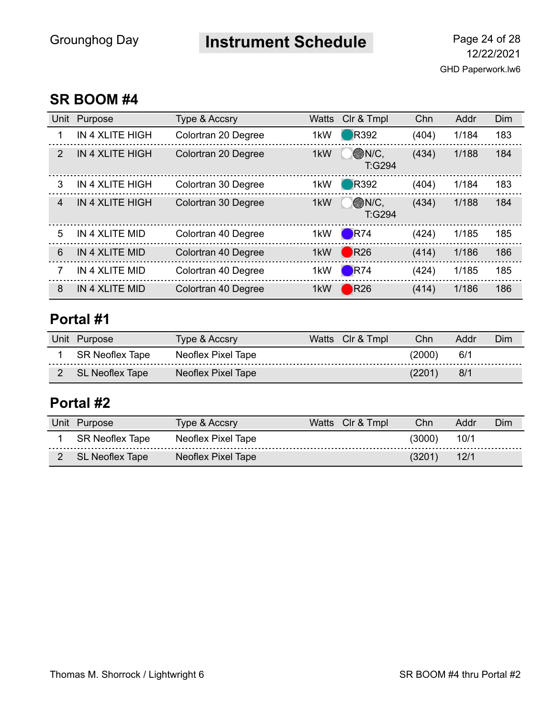### **Instrument Schedule** Page 24 of 28

#### **SR BOOM #4**

| Unit | Purpose                | <b>Type &amp; Accsry</b> | <b>Watts</b> | Clr & Tmpl             | Chn   | Addr  | Dim |
|------|------------------------|--------------------------|--------------|------------------------|-------|-------|-----|
| 1    | IN 4 XLITE HIGH        | Colortran 20 Degree      | 1kW          | <b>R</b> 392           | (404) | 1/184 | 183 |
| 2    | <b>IN 4 XLITE HIGH</b> | Colortran 20 Degree      | 1kW          | <b>ON/C.</b><br>T:G294 | (434) | 1/188 | 184 |
| 3    | IN 4 XLITE HIGH        | Colortran 30 Degree      | 1kW          | <b>R</b> 392           | (404) | 1/184 | 183 |
| 4    | <b>IN 4 XLITE HIGH</b> | Colortran 30 Degree      | 1kW          | <b>ON/C,</b><br>T:G294 | (434) | 1/188 | 184 |
| 5    | IN 4 XLITE MID         | Colortran 40 Degree      | 1kW          | $\blacksquare$ R74     | (424) | 1/185 | 185 |
| 6    | IN 4 XLITE MID         | Colortran 40 Degree      | 1kW          | R26                    | (414) | 1/186 | 186 |
| 7    | IN 4 XLITE MID         | Colortran 40 Degree      | 1kW          | R74                    | (424) | 1/185 | 185 |
| 8    | IN 4 XLITE MID         | Colortran 40 Degree      | 1kW          | $\bigtriangledown$ R26 | (414) | 1/186 | 186 |

### **Portal #1**

| Unit | Purpose         | Type & Accsry      | Watts Clr & Tmpl | Chn    | Addr | Dim |
|------|-----------------|--------------------|------------------|--------|------|-----|
|      | SR Neoflex Tape | Neoflex Pixel Tape |                  | (2000) | 6/1  |     |
|      | SL Neoflex Tape | Neoflex Pixel Tape |                  | (2201` | 8/1  |     |

#### **Portal #2**

| Unit Purpose    | Type & Accsry      | Watts Clr & Tmpl | Chn             | Addr | Dim |
|-----------------|--------------------|------------------|-----------------|------|-----|
| SR Neoflex Tape | Neoflex Pixel Tape |                  | $^{\prime}3000$ | 10/1 |     |
| SL Neoflex Tape | Neoflex Pixel Tape |                  | (3201)          | 12/1 |     |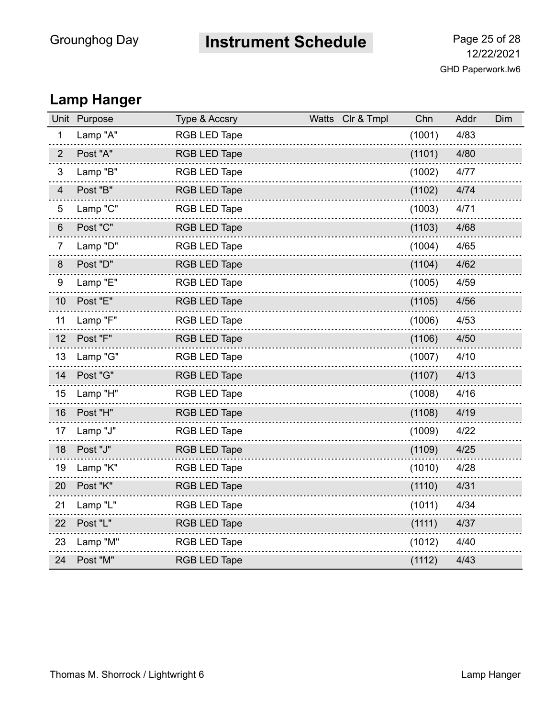# **Instrument Schedule** Page 25 of 28

### **Lamp Hanger**

| Unit           | Purpose  | Type & Accsry       | Watts Clr & Tmpl | Chn    | Addr | Dim |
|----------------|----------|---------------------|------------------|--------|------|-----|
| $\mathbf{1}$   | Lamp "A" | <b>RGB LED Tape</b> |                  | (1001) | 4/83 |     |
| $\overline{2}$ | Post "A" | <b>RGB LED Tape</b> |                  | (1101) | 4/80 |     |
| 3              | Lamp "B" | <b>RGB LED Tape</b> |                  | (1002) | 4/77 |     |
| $\overline{4}$ | Post "B" | <b>RGB LED Tape</b> |                  | (1102) | 4/74 |     |
| 5              | Lamp "C" | <b>RGB LED Tape</b> |                  | (1003) | 4/71 |     |
| $6\,$          | Post "C" | <b>RGB LED Tape</b> |                  | (1103) | 4/68 |     |
| $\overline{7}$ | Lamp "D" | <b>RGB LED Tape</b> |                  | (1004) | 4/65 |     |
| $\bf 8$        | Post "D" | <b>RGB LED Tape</b> |                  | (1104) | 4/62 |     |
| 9              | Lamp "E" | <b>RGB LED Tape</b> |                  | (1005) | 4/59 |     |
| 10             | Post "E" | <b>RGB LED Tape</b> |                  | (1105) | 4/56 |     |
| 11             | Lamp "F" | <b>RGB LED Tape</b> |                  | (1006) | 4/53 |     |
| 12             | Post "F" | <b>RGB LED Tape</b> |                  | (1106) | 4/50 |     |
| 13             | Lamp "G" | RGB LED Tape        |                  | (1007) | 4/10 |     |
| 14             | Post "G" | <b>RGB LED Tape</b> |                  | (1107) | 4/13 |     |
| 15             | Lamp "H" | <b>RGB LED Tape</b> |                  | (1008) | 4/16 |     |
| 16             | Post "H" | <b>RGB LED Tape</b> |                  | (1108) | 4/19 |     |
| 17             | Lamp "J" | <b>RGB LED Tape</b> |                  | (1009) | 4/22 |     |
| 18             | Post "J" | <b>RGB LED Tape</b> |                  | (1109) | 4/25 |     |
| 19             | Lamp "K" | RGB LED Tape        |                  | (1010) | 4/28 |     |
| 20             | Post "K" | <b>RGB LED Tape</b> |                  | (1110) | 4/31 |     |
| 21             | Lamp "L" | <b>RGB LED Tape</b> |                  | (1011) | 4/34 |     |
| 22             | Post "L" | <b>RGB LED Tape</b> |                  | (1111) | 4/37 |     |
| 23             | Lamp "M" | RGB LED Tape        |                  | (1012) | 4/40 |     |
| 24             | Post "M" | <b>RGB LED Tape</b> |                  | (1112) | 4/43 |     |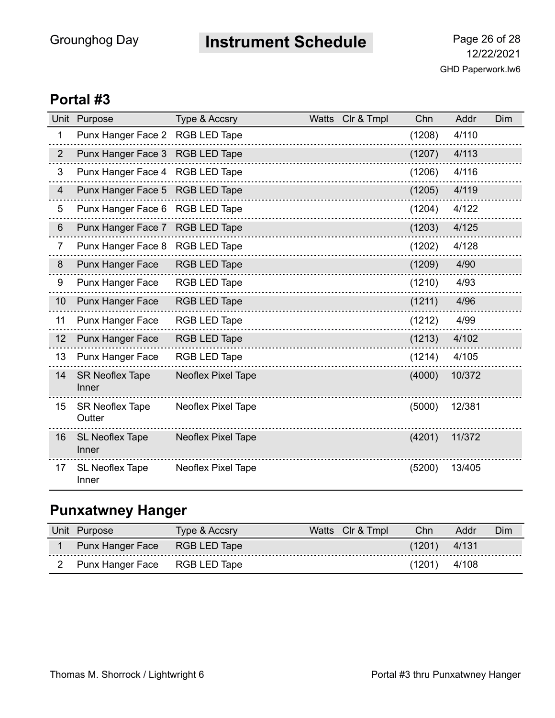## **Instrument Schedule** Page 26 of 28

#### **Portal #3**

| Unit           | Purpose                                | Type & Accsry             | <b>Watts</b> | Clr & Tmpl | Chn    | Addr   | Dim |
|----------------|----------------------------------------|---------------------------|--------------|------------|--------|--------|-----|
| 1              | Punx Hanger Face 2 RGB LED Tape        |                           |              |            | (1208) | 4/110  |     |
| $\overline{2}$ | Punx Hanger Face 3                     | <b>RGB LED Tape</b>       |              |            | (1207) | 4/113  |     |
| 3              | Punx Hanger Face 4 RGB LED Tape        |                           |              |            | (1206) | 4/116  |     |
| $\overline{4}$ | Punx Hanger Face 5 RGB LED Tape        |                           |              |            | (1205) | 4/119  |     |
| 5              | Punx Hanger Face 6 RGB LED Tape        |                           |              |            | (1204) | 4/122  |     |
| 6              | Punx Hanger Face 7 RGB LED Tape        |                           |              |            | (1203) | 4/125  |     |
| $\overline{7}$ | Punx Hanger Face 8                     | <b>RGB LED Tape</b>       |              |            | (1202) | 4/128  |     |
| 8              | <b>Punx Hanger Face</b>                | <b>RGB LED Tape</b>       |              |            | (1209) | 4/90   |     |
| 9              | <b>Punx Hanger Face</b>                | <b>RGB LED Tape</b>       |              |            | (1210) | 4/93   |     |
| 10             | Punx Hanger Face                       | <b>RGB LED Tape</b>       |              |            | (1211) | 4/96   |     |
| 11             | Punx Hanger Face                       | <b>RGB LED Tape</b>       |              |            | (1212) | 4/99   |     |
| 12             | <b>Punx Hanger Face</b>                | <b>RGB LED Tape</b>       |              |            | (1213) | 4/102  |     |
| 13             | Punx Hanger Face                       | <b>RGB LED Tape</b>       |              |            | (1214) | 4/105  |     |
| 14             | <b>SR Neoflex Tape</b><br><b>Inner</b> | <b>Neoflex Pixel Tape</b> |              |            | (4000) | 10/372 |     |
| 15             | <b>SR Neoflex Tape</b><br>Outter       | <b>Neoflex Pixel Tape</b> |              |            | (5000) | 12/381 |     |
| 16             | <b>SL Neoflex Tape</b><br>Inner        | <b>Neoflex Pixel Tape</b> |              |            | (4201) | 11/372 |     |
| 17             | <b>SL Neoflex Tape</b><br>Inner        | <b>Neoflex Pixel Tape</b> |              |            | (5200) | 13/405 |     |

### **Punxatwney Hanger**

| Unit | 'urpose                       | Type & Accsry     | vvatts | CIr & Tmpl | Chn | Addr  | Dim |
|------|-------------------------------|-------------------|--------|------------|-----|-------|-----|
|      | Punx Hanger Face RGB LED Tape |                   |        |            |     | 4/131 |     |
|      | Punx Hanger Face              | RGB LED "<br>Tape |        |            |     | 4/108 |     |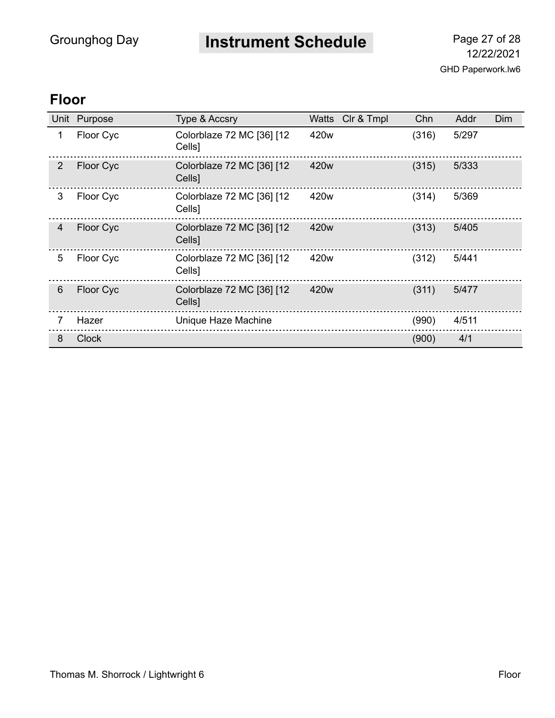**Instrument Schedule** Page 27 of 28

GHD Paperwork.lw6 12/22/2021

### **Floor**

| Unit           | Purpose      | Type & Accsry                       | Watts Clr & Tmpl | Chn   | Addr  | Dim |
|----------------|--------------|-------------------------------------|------------------|-------|-------|-----|
| 1              | Floor Cyc    | Colorblaze 72 MC [36] [12<br>Cells] | 420 <sub>w</sub> | (316) | 5/297 |     |
| $\overline{2}$ | Floor Cyc    | Colorblaze 72 MC [36] [12<br>Cells] | 420 <sub>w</sub> | (315) | 5/333 |     |
| 3              | Floor Cyc    | Colorblaze 72 MC [36] [12<br>Cells] | 420w             | (314) | 5/369 |     |
| $\overline{4}$ | Floor Cyc    | Colorblaze 72 MC [36] [12<br>Cells] | 420 <sub>w</sub> | (313) | 5/405 |     |
| 5              | Floor Cyc    | Colorblaze 72 MC [36] [12<br>Cells] | 420 <sub>w</sub> | (312) | 5/441 |     |
| 6              | Floor Cyc    | Colorblaze 72 MC [36] [12<br>Cells] | 420 <sub>w</sub> | (311) | 5/477 |     |
| 7              | Hazer        | Unique Haze Machine                 |                  | (990) | 4/511 |     |
| 8              | <b>Clock</b> |                                     |                  | (900) | 4/1   |     |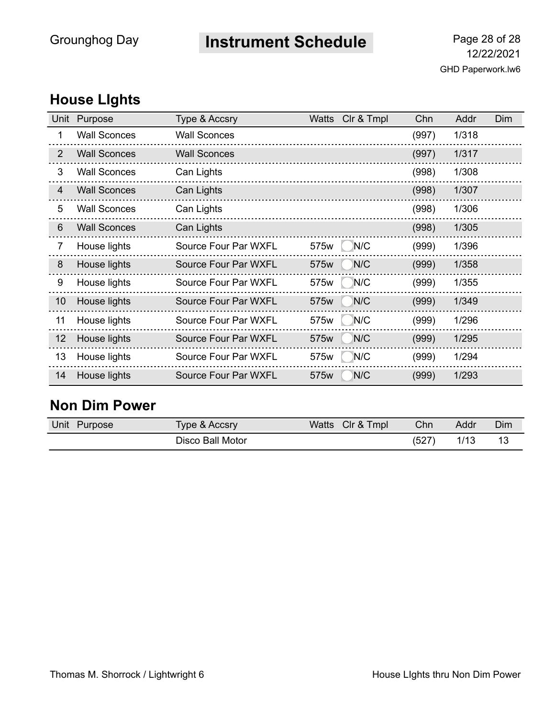## **Instrument Schedule** Page 28 of 28

### **House LIghts**

| Unit           | Purpose             | Type & Accsry        | Watts | CIr & Tmpl | Chn   | Addr  | Dim |
|----------------|---------------------|----------------------|-------|------------|-------|-------|-----|
| 1              | <b>Wall Sconces</b> | <b>Wall Sconces</b>  |       |            | (997) | 1/318 |     |
| $\overline{2}$ | <b>Wall Sconces</b> | <b>Wall Sconces</b>  |       |            | (997) | 1/317 |     |
| 3              | <b>Wall Sconces</b> | Can Lights           |       |            | (998) | 1/308 |     |
| $\overline{4}$ | <b>Wall Sconces</b> | Can Lights           |       |            | (998) | 1/307 |     |
| 5              | <b>Wall Sconces</b> | Can Lights           |       |            | (998) | 1/306 |     |
| 6              | <b>Wall Sconces</b> | Can Lights           |       |            | (998) | 1/305 |     |
| $\overline{7}$ | House lights        | Source Four Par WXFL | 575w  | N/C        | (999) | 1/396 |     |
| 8              | House lights        | Source Four Par WXFL | 575w  | N/C        | (999) | 1/358 |     |
| 9              | House lights        | Source Four Par WXFL | 575w  | N/C        | (999) | 1/355 |     |
| 10             | House lights        | Source Four Par WXFL | 575w  | N/C        | (999) | 1/349 |     |
| 11             | House lights        | Source Four Par WXFL | 575w  | N/C        | (999) | 1/296 |     |
| 12             | House lights        | Source Four Par WXFL | 575w  | N/C        | (999) | 1/295 |     |
| 13             | House lights        | Source Four Par WXFL | 575w  | N/C        | (999) | 1/294 |     |
| 14             | House lights        | Source Four Par WXFL | 575w  | N/C        | (999) | 1/293 |     |

#### **Non Dim Power**

| Unit<br>Purpose | Type & Accsry    | CIr & Tmpl<br>Watts | Chn   | Addr | Dim |
|-----------------|------------------|---------------------|-------|------|-----|
|                 | Disco Ball Motor |                     | (527) | 1/13 | 13  |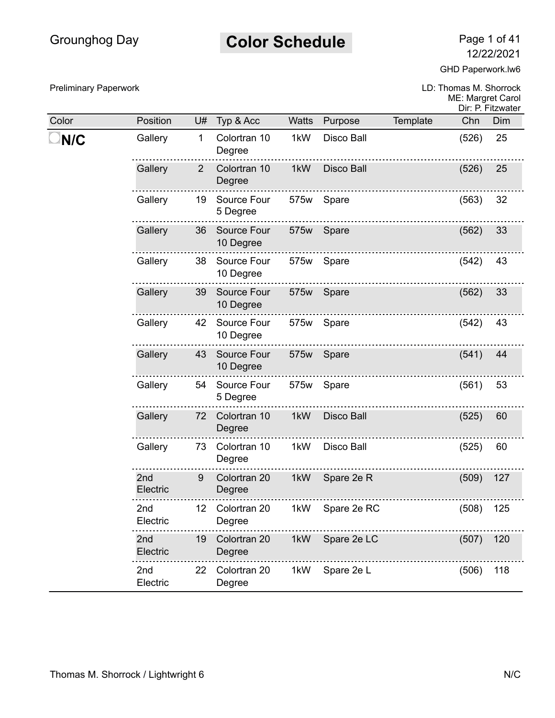### **Color Schedule** Page 1 of 41

12/22/2021

GHD Paperwork.lw6

Preliminary Paperwork

Color Position U# Typ & Acc

**N/C** Gallery 1 Colortran 10

........................

Degree

. . . . . . . . . . . .

Gallery 2 Colortran 10 Degree

Gallery 19 Source Four 5 Degree

Gallery 36 Source Four 10 Degree

Gallery 38 Source Four

|              |                   |          | LD: Thomas M. Shorrock<br>ME: Margret Carol | Dir: P. Fitzwater |
|--------------|-------------------|----------|---------------------------------------------|-------------------|
| <b>Watts</b> | Purpose           | Template | Chn                                         | Dim               |
| 1kW          | Disco Ball        |          | $(526)$ 25                                  |                   |
| 1kW          | <b>Disco Ball</b> |          | $(526)$ 25                                  |                   |
|              | 575w Spare        |          | $(563)$ 32                                  |                   |
| 575w         | Spare             |          | (562)                                       | 33                |
| 575w         | Spare             |          | $(542)$ 43                                  |                   |
|              | 575w Spare        |          | (562)                                       | 33                |
|              | ETENU             |          | $(EAO)$ $AD$                                |                   |

|                             |    | 10 Degree                |      |                   |       |     |
|-----------------------------|----|--------------------------|------|-------------------|-------|-----|
| Gallery                     | 39 | Source Four<br>10 Degree | 575w | Spare             | (562) | 33  |
| Gallery                     | 42 | Source Four<br>10 Degree | 575w | Spare             | (542) | 43  |
| Gallery                     | 43 | Source Four<br>10 Degree | 575w | Spare             | (541) | 44  |
| Gallery                     | 54 | Source Four<br>5 Degree  | 575w | Spare             | (561) | 53  |
| Gallery                     | 72 | Colortran 10<br>Degree   | 1kW  | <b>Disco Ball</b> | (525) | 60  |
| Gallery                     | 73 | Colortran 10<br>Degree   | 1kW  | <b>Disco Ball</b> | (525) | 60  |
| 2nd<br>Electric             | 9  | Colortran 20<br>Degree   | 1kW  | Spare 2e R        | (509) | 127 |
| 2 <sub>nd</sub><br>Electric | 12 | Colortran 20<br>Degree   | 1kW  | Spare 2e RC       | (508) | 125 |
| 2nd<br>Electric             | 19 | Colortran 20<br>Degree   | 1kW  | Spare 2e LC       | (507) | 120 |
| 2nd<br>Electric             | 22 | Colortran 20<br>Degree   | 1kW  | Spare 2e L        | (506) | 118 |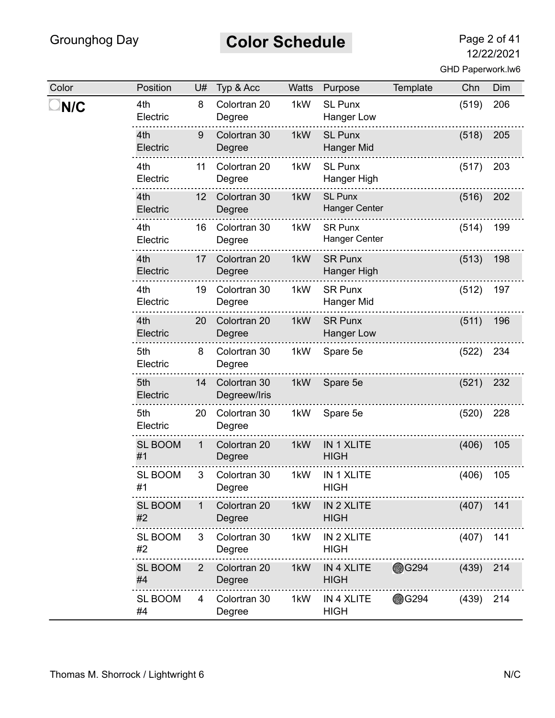# **Color Schedule** Page 2 of 41

| Color | Position             | U#             | Typ & Acc                    | Watts | Purpose                                | Template     | Chn   | Dim |
|-------|----------------------|----------------|------------------------------|-------|----------------------------------------|--------------|-------|-----|
| N/C   | 4th<br>Electric      | 8              | Colortran 20<br>Degree       | 1kW   | <b>SL Punx</b><br><b>Hanger Low</b>    |              | (519) | 206 |
|       | 4th<br>Electric      | 9              | Colortran 30<br>Degree       | 1kW   | <b>SL Punx</b><br><b>Hanger Mid</b>    |              | (518) | 205 |
|       | 4th<br>Electric      | 11             | Colortran 20<br>Degree       | 1kW   | <b>SL Punx</b><br>Hanger High          |              | (517) | 203 |
|       | 4th<br>Electric      | 12             | Colortran 30<br>Degree       | 1kW   | <b>SL Punx</b><br><b>Hanger Center</b> |              | (516) | 202 |
|       | 4th<br>Electric      | 16             | Colortran 30<br>Degree       | 1kW   | <b>SR Punx</b><br><b>Hanger Center</b> |              | (514) | 199 |
|       | 4th<br>Electric      | 17             | Colortran 20<br>Degree       | 1kW   | <b>SR Punx</b><br>Hanger High          |              | (513) | 198 |
|       | 4th<br>Electric      | 19             | Colortran 30<br>Degree       | 1kW   | <b>SR Punx</b><br>Hanger Mid           |              | (512) | 197 |
|       | 4th<br>Electric      | 20             | Colortran 20<br>Degree       | 1kW   | <b>SR Punx</b><br><b>Hanger Low</b>    |              | (511) | 196 |
|       | 5th<br>Electric      | 8              | Colortran 30<br>Degree       | 1kW   | Spare 5e                               |              | (522) | 234 |
|       | 5th<br>Electric      | 14             | Colortran 30<br>Degreew/Iris | 1kW   | Spare 5e                               |              | (521) | 232 |
|       | 5th<br>Electric      | 20             | Colortran 30<br>Degree       | 1kW   | Spare 5e                               |              | (520) | 228 |
|       | <b>SL BOOM</b><br>#1 | 1              | Colortran 20<br>Degree       | 1kW   | <b>IN 1 XLITE</b><br><b>HIGH</b>       |              | (406) | 105 |
|       | <b>SL BOOM</b><br>#1 | 3              | Colortran 30<br>Degree       | 1kW   | IN 1 XLITE<br><b>HIGH</b>              |              | (406) | 105 |
|       | <b>SL BOOM</b><br>#2 | 1              | Colortran 20<br>Degree       | 1kW   | IN 2 XLITE<br><b>HIGH</b>              |              | (407) | 141 |
|       | <b>SL BOOM</b><br>#2 | 3              | Colortran 30<br>Degree       | 1kW   | IN 2 XLITE<br><b>HIGH</b>              |              | (407) | 141 |
|       | <b>SL BOOM</b><br>#4 | $\overline{2}$ | Colortran 20<br>Degree       | 1kW   | IN 4 XLITE<br><b>HIGH</b>              | <b>@G294</b> | (439) | 214 |
|       | <b>SL BOOM</b><br>#4 | 4              | Colortran 30<br>Degree       | 1kW   | IN 4 XLITE<br><b>HIGH</b>              | <b>OG294</b> | (439) | 214 |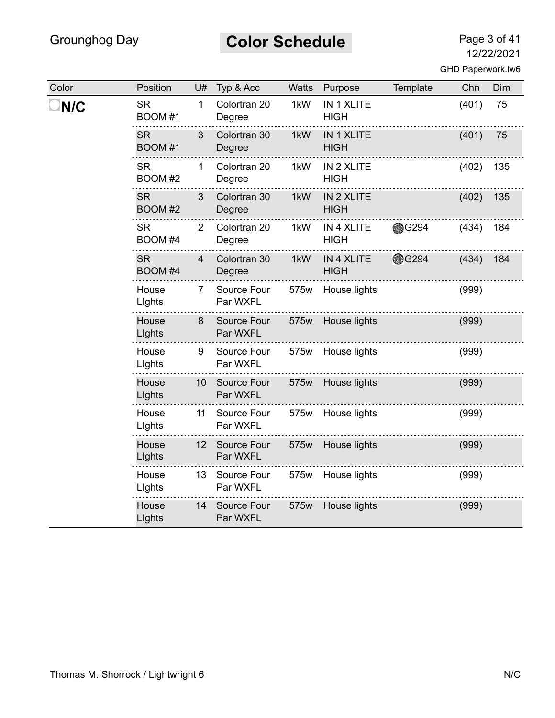# **Color Schedule** Page 3 of 41

| Color | Position             | U#              | Typ & Acc               | <b>Watts</b> | Purpose                   | Template     | Chn   | Dim |
|-------|----------------------|-----------------|-------------------------|--------------|---------------------------|--------------|-------|-----|
| N/C   | <b>SR</b><br>BOOM #1 | $\mathbf{1}$    | Colortran 20<br>Degree  | 1kW          | IN 1 XLITE<br><b>HIGH</b> |              | (401) | 75  |
|       | <b>SR</b><br>BOOM #1 | 3               | Colortran 30<br>Degree  | 1kW          | IN 1 XLITE<br><b>HIGH</b> |              | (401) | 75  |
|       | <b>SR</b><br>BOOM #2 | $\mathbf{1}$    | Colortran 20<br>Degree  | 1kW          | IN 2 XLITE<br><b>HIGH</b> |              | (402) | 135 |
|       | <b>SR</b><br>BOOM #2 | 3               | Colortran 30<br>Degree  | 1kW          | IN 2 XLITE<br><b>HIGH</b> |              | (402) | 135 |
|       | <b>SR</b><br>BOOM #4 | $\overline{2}$  | Colortran 20<br>Degree  | 1kW          | IN 4 XLITE<br><b>HIGH</b> | <b></b> G294 | (434) | 184 |
|       | <b>SR</b><br>BOOM #4 | 4               | Colortran 30<br>Degree  | 1kW          | IN 4 XLITE<br><b>HIGH</b> | <b>@G294</b> | (434) | 184 |
|       | House<br>Lights      | 7               | Source Four<br>Par WXFL | 575w         | House lights              |              | (999) |     |
|       | House<br>Lights      | 8               | Source Four<br>Par WXFL | 575w         | House lights              |              | (999) |     |
|       | House<br>Lights      | 9               | Source Four<br>Par WXFL | 575w         | House lights              |              | (999) |     |
|       | House<br>Lights      | 10              | Source Four<br>Par WXFL | 575w         | House lights              |              | (999) |     |
|       | House<br>Lights      | 11              | Source Four<br>Par WXFL |              | 575w House lights         |              | (999) |     |
|       | House<br>Lights      | 12 <sup>7</sup> | Source Four<br>Par WXFL | 575w         | House lights              |              | (999) |     |
|       | House<br>Lights      | 13              | Source Four<br>Par WXFL | 575w         | House lights              |              | (999) |     |
|       | House<br>Lights      | 14              | Source Four<br>Par WXFL | 575w         | House lights              |              | (999) |     |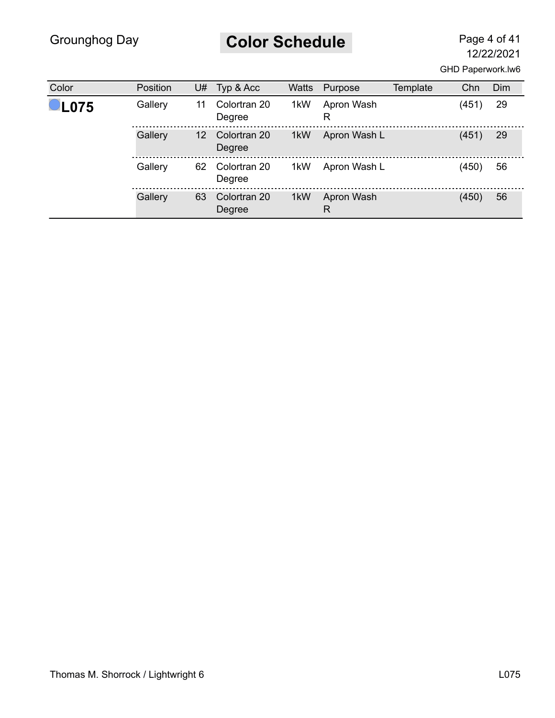# **Color Schedule** Page 4 of 41

| Color   | <b>Position</b> | U#              | Typ & Acc              | Watts | Purpose         | Template | Chn   | Dim |
|---------|-----------------|-----------------|------------------------|-------|-----------------|----------|-------|-----|
| $-L075$ | Gallery         | 11              | Colortran 20<br>Degree | 1kW   | Apron Wash<br>R |          | (451) | 29  |
|         | Gallery         | 12 <sup>°</sup> | Colortran 20<br>Degree | 1kW   | Apron Wash L    |          | (451) | 29  |
|         | Gallery         | 62              | Colortran 20<br>Degree | 1kW   | Apron Wash L    |          | (450) | 56  |
|         | Gallery         | 63              | Colortran 20<br>Degree | 1kW   | Apron Wash<br>R |          | (450) | 56  |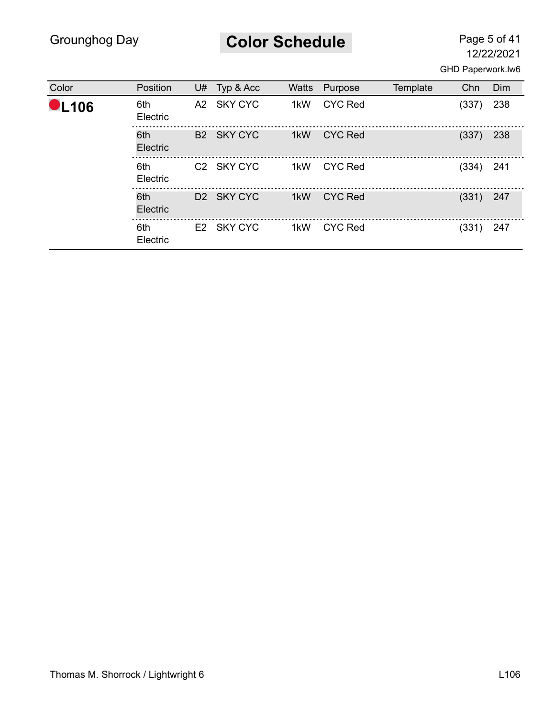**Color Schedule** Page 5 of 41

| Color        | Position        | U# | Typ & Acc              | <b>Watts</b> | Purpose        | Template | Chn   | Dim |
|--------------|-----------------|----|------------------------|--------------|----------------|----------|-------|-----|
| <b>OL106</b> | 6th<br>Electric |    | A2 SKY CYC             | 1kW          | <b>CYC Red</b> |          | (337) | 238 |
|              | 6th<br>Electric |    | B2 SKY CYC             | 1kW          | <b>CYC Red</b> |          | (337) | 238 |
|              | 6th<br>Electric |    | C <sub>2</sub> SKY CYC | 1kW          | <b>CYC Red</b> |          | (334) | 241 |
|              | 6th<br>Electric |    | D <sub>2</sub> SKY CYC | 1kW          | <b>CYC Red</b> |          | (331) | 247 |
|              | 6th<br>Electric |    | E2 SKY CYC             | 1kW          | <b>CYC Red</b> |          | (331) | 247 |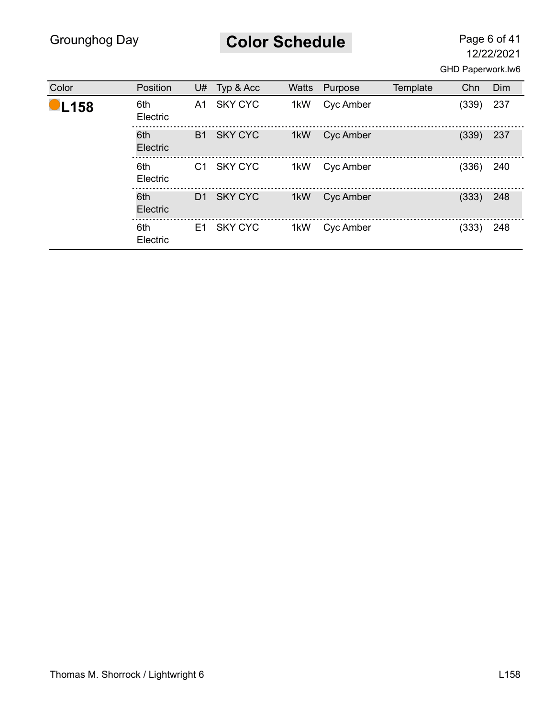# **Color Schedule** Page 6 of 41

| Color               | Position        | U#             | Typ & Acc      | <b>Watts</b> | Purpose          | Template | Chn   | Dim |
|---------------------|-----------------|----------------|----------------|--------------|------------------|----------|-------|-----|
| $\blacksquare$ L158 | 6th<br>Electric | A1.            | SKY CYC        | 1kW          | Cyc Amber        |          | (339) | 237 |
|                     | 6th<br>Electric | <b>B1</b>      | SKY CYC        | 1kW          | <b>Cyc Amber</b> |          | (339) | 237 |
|                     | 6th<br>Electric | C <sub>1</sub> | <b>SKY CYC</b> | 1kW          | Cyc Amber        |          | (336) | 240 |
|                     | 6th<br>Electric | D <sub>1</sub> | SKY CYC        | 1kW          | Cyc Amber        |          | (333) | 248 |
|                     | 6th<br>Electric |                | E1 SKY CYC     | 1kW          | Cyc Amber        |          | (333) | 248 |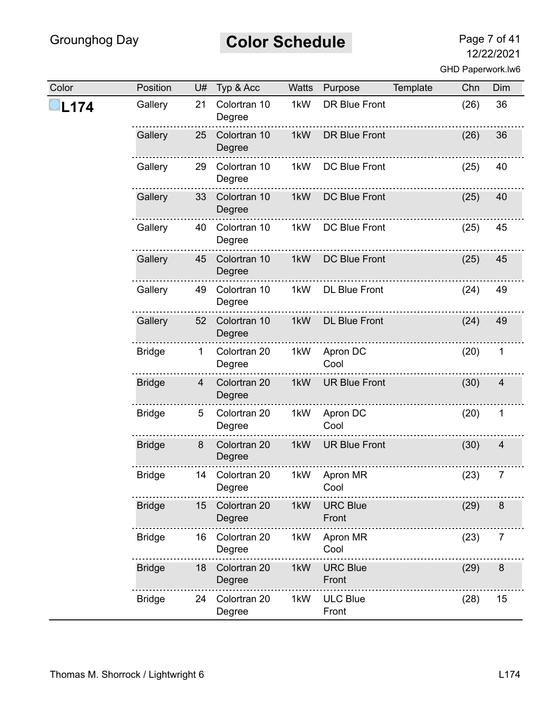# **Color Schedule** Page 7 of 41

| Color | Position      | U#             | Typ & Acc              | Watts | Purpose                  | Template | Chn  | Dim            |
|-------|---------------|----------------|------------------------|-------|--------------------------|----------|------|----------------|
| L174  | Gallery       | 21             | Colortran 10<br>Degree | 1kW   | <b>DR Blue Front</b>     |          | (26) | 36             |
|       | Gallery       | 25             | Colortran 10<br>Degree | 1kW   | <b>DR Blue Front</b>     |          | (26) | 36             |
|       | Gallery       | 29             | Colortran 10<br>Degree | 1kW   | DC Blue Front            |          | (25) | 40             |
|       | Gallery       | 33             | Colortran 10<br>Degree | 1kW   | <b>DC Blue Front</b>     |          | (25) | 40             |
|       | Gallery       | 40             | Colortran 10<br>Degree | 1kW   | <b>DC Blue Front</b>     |          | (25) | 45             |
|       | Gallery       | 45             | Colortran 10<br>Degree | 1kW   | <b>DC Blue Front</b>     |          | (25) | 45             |
|       | Gallery       | 49             | Colortran 10<br>Degree | 1kW   | <b>DL Blue Front</b>     |          | (24) | 49             |
|       | Gallery       | 52             | Colortran 10<br>Degree | 1kW   | <b>DL Blue Front</b>     |          | (24) | 49             |
|       | <b>Bridge</b> | 1              | Colortran 20<br>Degree | 1kW   | Apron DC<br>Cool         |          | (20) | 1              |
|       | <b>Bridge</b> | $\overline{4}$ | Colortran 20<br>Degree | 1kW   | <b>UR Blue Front</b>     |          | (30) | $\overline{4}$ |
|       | <b>Bridge</b> | 5              | Colortran 20<br>Degree | 1kW   | Apron DC<br>Cool         |          | (20) | 1              |
|       | <b>Bridge</b> | 8              | Colortran 20<br>Degree | 1kW   | <b>UR Blue Front</b>     |          | (30) | 4              |
|       | <b>Bridge</b> | 14             | Colortran 20<br>Degree | 1kW   | Apron MR<br>Cool         |          | (23) | 7              |
|       | <b>Bridge</b> | 15             | Colortran 20<br>Degree | 1kW   | <b>URC Blue</b><br>Front |          | (29) | 8              |
|       | <b>Bridge</b> | 16             | Colortran 20<br>Degree | 1kW   | Apron MR<br>Cool         |          | (23) | 7              |
|       | <b>Bridge</b> | 18             | Colortran 20<br>Degree | 1kW   | <b>URC Blue</b><br>Front |          | (29) | $\bf 8$        |
|       | <b>Bridge</b> | 24             | Colortran 20<br>Degree | 1kW   | <b>ULC Blue</b><br>Front |          | (28) | 15             |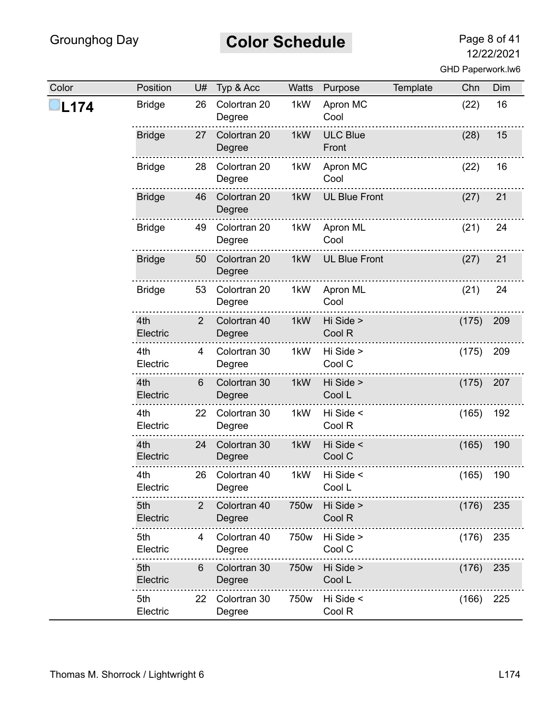# **Color Schedule** Page 8 of 41

| Color | Position        | U#             | Typ & Acc              | Watts | Purpose                  | Template | Chn   | Dim |
|-------|-----------------|----------------|------------------------|-------|--------------------------|----------|-------|-----|
| L174  | <b>Bridge</b>   | 26             | Colortran 20<br>Degree | 1kW   | Apron MC<br>Cool         |          | (22)  | 16  |
|       | <b>Bridge</b>   | 27             | Colortran 20<br>Degree | 1kW   | <b>ULC Blue</b><br>Front |          | (28)  | 15  |
|       | <b>Bridge</b>   | 28             | Colortran 20<br>Degree | 1kW   | Apron MC<br>Cool         |          | (22)  | 16  |
|       | <b>Bridge</b>   | 46             | Colortran 20<br>Degree | 1kW   | <b>UL Blue Front</b>     |          | (27)  | 21  |
|       | <b>Bridge</b>   | 49             | Colortran 20<br>Degree | 1kW   | Apron ML<br>Cool         |          | (21)  | 24  |
|       | <b>Bridge</b>   | 50             | Colortran 20<br>Degree | 1kW   | <b>UL Blue Front</b>     |          | (27)  | 21  |
|       | <b>Bridge</b>   | 53             | Colortran 20<br>Degree | 1kW   | Apron ML<br>Cool         |          | (21)  | 24  |
|       | 4th<br>Electric | $\overline{2}$ | Colortran 40<br>Degree | 1kW   | Hi Side ><br>Cool R      |          | (175) | 209 |
|       | 4th<br>Electric | $\overline{4}$ | Colortran 30<br>Degree | 1kW   | Hi Side ><br>Cool C      |          | (175) | 209 |
|       | 4th<br>Electric | 6              | Colortran 30<br>Degree | 1kW   | Hi Side ><br>Cool L      |          | (175) | 207 |
|       | 4th<br>Electric | 22             | Colortran 30<br>Degree | 1kW   | Hi Side <<br>Cool R      |          | (165) | 192 |
|       | 4th<br>Electric | 24             | Colortran 30<br>Degree | 1kW   | Hi Side <<br>Cool C      |          | (165) | 190 |
|       | 4th<br>Electric | 26             | Colortran 40<br>Degree | 1kW   | Hi Side <<br>Cool L      |          | (165) | 190 |
|       | 5th<br>Electric | 2              | Colortran 40<br>Degree | 750w  | Hi Side ><br>Cool R      |          | (176) | 235 |
|       | 5th<br>Electric | 4              | Colortran 40<br>Degree | 750w  | Hi Side ><br>Cool C      |          | (176) | 235 |
|       | 5th<br>Electric | 6              | Colortran 30<br>Degree | 750w  | Hi Side ><br>Cool L      |          | (176) | 235 |
|       | 5th<br>Electric | 22             | Colortran 30<br>Degree | 750w  | Hi Side <<br>Cool R      |          | (166) | 225 |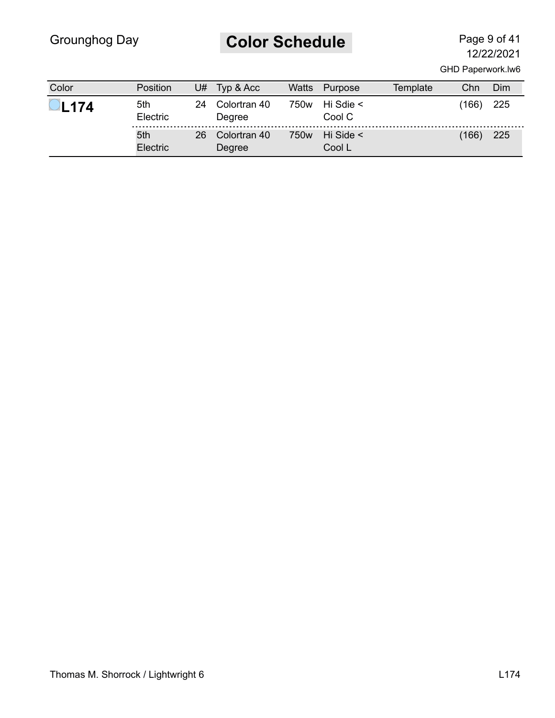# **Color Schedule** Page 9 of 41

| Color       | <b>Position</b> | U# | Typ & Acc              | Watts            | Purpose                  | Template | Chn   | Dim |
|-------------|-----------------|----|------------------------|------------------|--------------------------|----------|-------|-----|
| <b>L174</b> | 5th<br>Electric | 24 | Colortran 40<br>Degree | 750w             | Hi Sdie $\leq$<br>Cool C |          | (166) | 225 |
|             | 5th<br>Electric | 26 | Colortran 40<br>Degree | 750 <sub>w</sub> | Hi Side $\leq$<br>Cool L |          | (166) | 225 |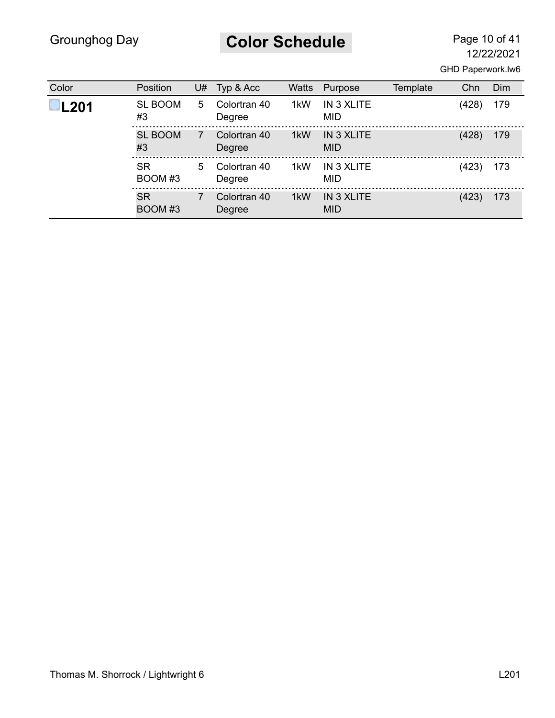**Color Schedule** Page 10 of 41

| Color       | Position             | U# | Typ & Acc              | <b>Watts</b> | Purpose                  | Template | Chn   | Dim |
|-------------|----------------------|----|------------------------|--------------|--------------------------|----------|-------|-----|
| <b>L201</b> | <b>SL BOOM</b><br>#3 | 5  | Colortran 40<br>Degree | 1kW          | IN 3 XLITE<br><b>MID</b> |          | (428) | 179 |
|             | <b>SL BOOM</b><br>#3 | 7  | Colortran 40<br>Degree | 1kW          | IN 3 XLITE<br><b>MID</b> |          | (428) | 179 |
|             | <b>SR</b><br>BOOM#3  | 5  | Colortran 40<br>Degree | 1kW          | IN 3 XLITE<br><b>MID</b> |          | (423) | 173 |
|             | <b>SR</b><br>BOOM#3  |    | Colortran 40<br>Degree | 1kW          | IN 3 XLITE<br><b>MID</b> |          | (423) | 173 |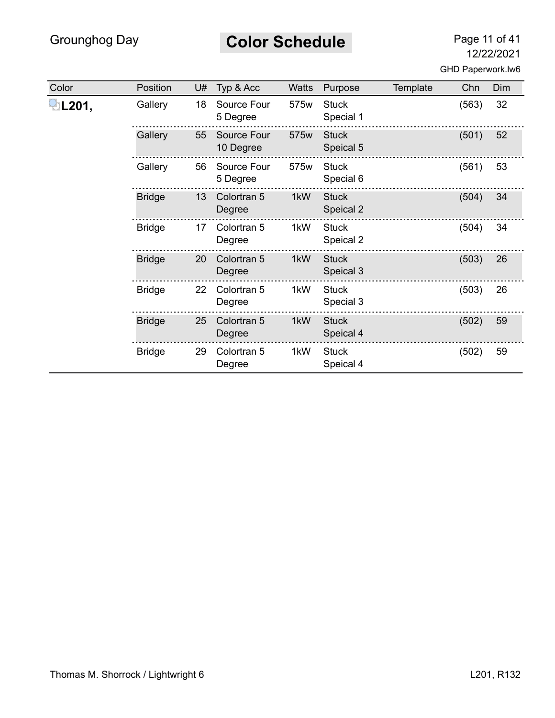#### **Color Schedule** Page 11 of 41

| Color | Position      | U# | Typ & Acc                | <b>Watts</b> | Purpose                   | Template | Chn   | <b>Dim</b> |
|-------|---------------|----|--------------------------|--------------|---------------------------|----------|-------|------------|
| L201, | Gallery       | 18 | Source Four<br>5 Degree  | 575w         | <b>Stuck</b><br>Special 1 |          | (563) | 32         |
|       | Gallery       | 55 | Source Four<br>10 Degree | 575w         | <b>Stuck</b><br>Speical 5 |          | (501) | 52         |
|       | Gallery       | 56 | Source Four<br>5 Degree  | 575w         | <b>Stuck</b><br>Special 6 |          | (561) | 53         |
|       | <b>Bridge</b> | 13 | Colortran 5<br>Degree    | 1kW          | <b>Stuck</b><br>Speical 2 |          | (504) | 34         |
|       | <b>Bridge</b> | 17 | Colortran 5<br>Degree    | 1kW          | <b>Stuck</b><br>Speical 2 |          | (504) | 34         |
|       | <b>Bridge</b> | 20 | Colortran 5<br>Degree    | 1kW          | <b>Stuck</b><br>Speical 3 |          | (503) | 26         |
|       | <b>Bridge</b> | 22 | Colortran 5<br>Degree    | 1kW          | <b>Stuck</b><br>Special 3 |          | (503) | 26         |
|       | <b>Bridge</b> | 25 | Colortran 5<br>Degree    | 1kW          | <b>Stuck</b><br>Speical 4 |          | (502) | 59         |
|       | <b>Bridge</b> | 29 | Colortran 5<br>Degree    | 1kW          | <b>Stuck</b><br>Speical 4 |          | (502) | 59         |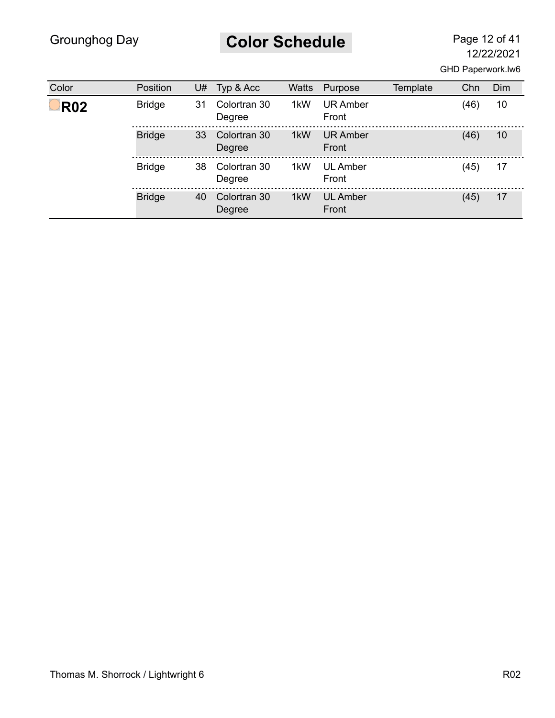# **Color Schedule** Page 12 of 41

| Color      | Position      | U# | Typ & Acc              | <b>Watts</b> | Purpose                  | Template | Chn  | Dim |
|------------|---------------|----|------------------------|--------------|--------------------------|----------|------|-----|
| <b>R02</b> | <b>Bridge</b> | 31 | Colortran 30<br>Degree | 1kW          | <b>UR Amber</b><br>Front |          | (46) | 10  |
|            | <b>Bridge</b> | 33 | Colortran 30<br>Degree | 1kW          | <b>UR Amber</b><br>Front |          | (46) | 10  |
|            | <b>Bridge</b> | 38 | Colortran 30<br>Degree | 1kW          | <b>UL Amber</b><br>Front |          | (45) | 17  |
|            | <b>Bridge</b> | 40 | Colortran 30<br>Degree | 1kW          | <b>UL Amber</b><br>Front |          | (45) | 17  |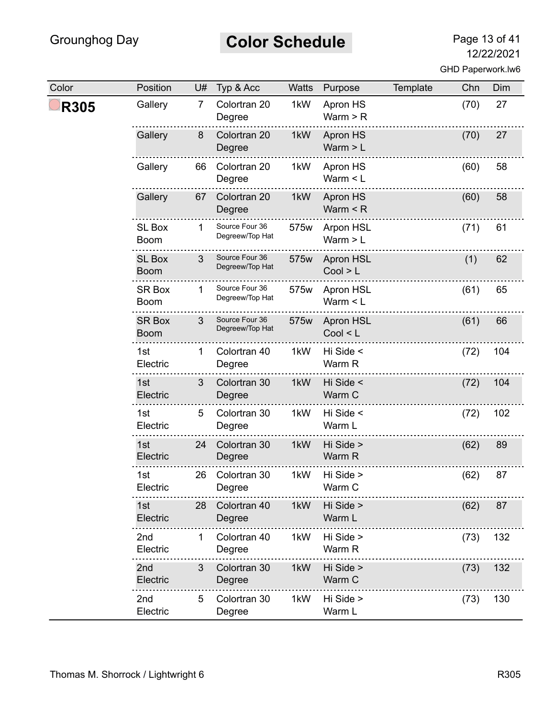# **Color Schedule** Page 13 of 41

| Color       | Position                     | U# | Typ & Acc                         | Watts | Purpose                      | Template | Chn  | Dim |
|-------------|------------------------------|----|-----------------------------------|-------|------------------------------|----------|------|-----|
| <b>R305</b> | Gallery                      | 7  | Colortran 20<br>Degree            | 1kW   | Apron HS<br>Warm $>$ R       |          | (70) | 27  |
|             | Gallery                      | 8  | Colortran 20<br>Degree            | 1kW   | Apron HS<br>Warm $> L$       |          | (70) | 27  |
|             | Gallery                      | 66 | Colortran 20<br>Degree            | 1kW   | Apron HS<br>Warm $<$ L       |          | (60) | 58  |
|             | Gallery                      | 67 | Colortran 20<br>Degree            | 1kW   | Apron HS<br>Warm $\leq R$    |          | (60) | 58  |
|             | <b>SL Box</b><br><b>Boom</b> | 1  | Source Four 36<br>Degreew/Top Hat | 575w  | Arpon HSL<br>Warm $> L$      |          | (71) | 61  |
|             | <b>SL Box</b><br><b>Boom</b> | 3  | Source Four 36<br>Degreew/Top Hat | 575w  | Apron HSL<br>Cool > L        |          | (1)  | 62  |
|             | <b>SR Box</b><br><b>Boom</b> |    | Source Four 36<br>Degreew/Top Hat | 575w  | Apron HSL<br>Warm $<$ L      |          | (61) | 65  |
|             | <b>SR Box</b><br><b>Boom</b> | 3  | Source Four 36<br>Degreew/Top Hat | 575w  | <b>Apron HSL</b><br>Cool < L |          | (61) | 66  |
|             | 1st<br>Electric              | 1  | Colortran 40<br>Degree            | 1kW   | Hi Side <<br>Warm R          |          | (72) | 104 |
|             | 1st<br>Electric              | 3  | Colortran 30<br>Degree            | 1kW   | Hi Side <<br>Warm C          |          | (72) | 104 |
|             | 1st<br>Electric              | 5  | Colortran 30<br>Degree            | 1kW   | Hi Side <<br>Warm L          |          | (72) | 102 |
|             | 1st<br>Electric              | 24 | Colortran 30<br>Degree            | 1kW   | Hi Side ><br>Warm R          |          | (62) | 89  |
|             | 1st<br>Electric              | 26 | Colortran 30<br>Degree            | 1kW   | Hi Side ><br>Warm C          |          | (62) | 87  |
|             | 1st<br>Electric              | 28 | Colortran 40<br>Degree            | 1kW   | Hi Side ><br>Warm L          |          | (62) | 87  |
|             | 2 <sub>nd</sub><br>Electric  | 1  | Colortran 40<br>Degree            | 1kW   | Hi Side ><br>Warm R          |          | (73) | 132 |
|             | 2nd<br>Electric              | 3  | Colortran 30<br>Degree            | 1kW   | Hi Side ><br>Warm C          |          | (73) | 132 |
|             | 2nd<br>Electric              | 5  | Colortran 30<br>Degree            | 1kW   | Hi Side ><br>Warm L          |          | (73) | 130 |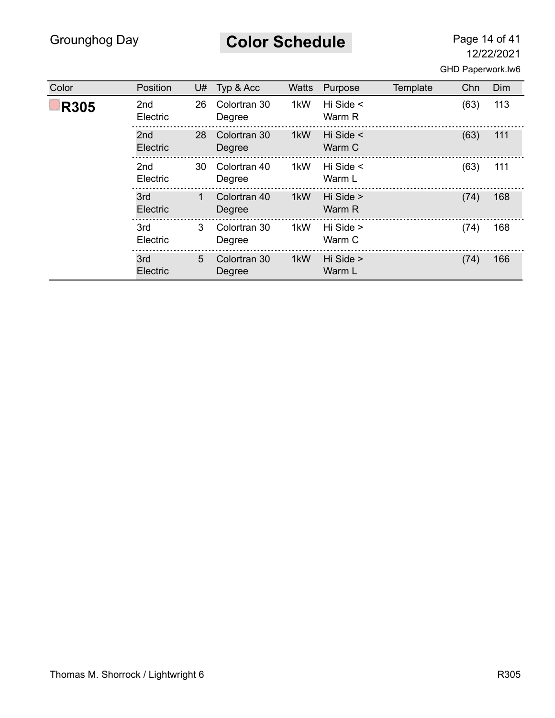**Color Schedule** Page 14 of 41

| Color       | Position        | U# | Typ & Acc              | <b>Watts</b> | Purpose                  | Template | Chn  | Dim |
|-------------|-----------------|----|------------------------|--------------|--------------------------|----------|------|-----|
| <b>R305</b> | 2nd<br>Electric | 26 | Colortran 30<br>Degree | 1kW          | Hi Side $\leq$<br>Warm R |          | (63) | 113 |
|             | 2nd<br>Electric | 28 | Colortran 30<br>Degree | 1kW          | Hi Side <<br>Warm C      |          | (63) | 111 |
|             | 2nd<br>Electric | 30 | Colortran 40<br>Degree | 1kW          | Hi Side $\leq$<br>Warm L |          | (63) | 111 |
|             | 3rd<br>Electric | 1  | Colortran 40<br>Degree | 1kW          | Hi Side ><br>Warm R      |          | (74) | 168 |
|             | 3rd<br>Electric | 3  | Colortran 30<br>Degree | 1kW          | Hi Side ><br>Warm C      |          | (74) | 168 |
|             | 3rd<br>Electric | 5  | Colortran 30<br>Degree | 1kW          | Hi Side ><br>Warm L      |          | (74) | 166 |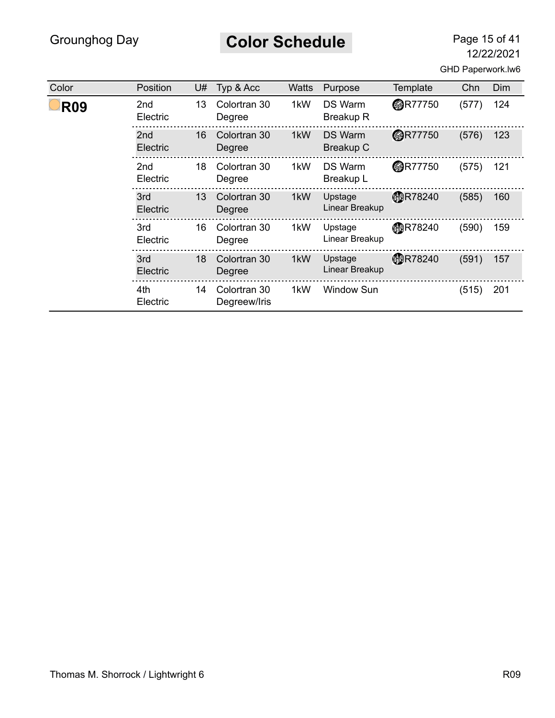# **Color Schedule** Page 15 of 41

12/22/2021

|  | GHD Paperwork.lw6 |  |
|--|-------------------|--|
|--|-------------------|--|

| Color      | Position        | U# | Typ & Acc                    | <b>Watts</b> | Purpose                            | Template       | Chn   | <b>Dim</b> |
|------------|-----------------|----|------------------------------|--------------|------------------------------------|----------------|-------|------------|
| <b>R09</b> | 2nd<br>Electric | 13 | Colortran 30<br>Degree       | 1kW          | <b>DS Warm</b><br><b>Breakup R</b> | <b>@R77750</b> | (577) | 124        |
|            | 2nd<br>Electric | 16 | Colortran 30<br>Degree       | 1kW          | <b>DS Warm</b><br><b>Breakup C</b> | <b>@R77750</b> | (576) | 123        |
|            | 2nd<br>Electric | 18 | Colortran 30<br>Degree       | 1kW          | <b>DS Warm</b><br>Breakup L        | <b>@R77750</b> | (575) | 121        |
|            | 3rd<br>Electric | 13 | Colortran 30<br>Degree       | 1kW          | Upstage<br>Linear Breakup          | <b>MR78240</b> | (585) | 160        |
|            | 3rd<br>Electric | 16 | Colortran 30<br>Degree       | 1kW          | Upstage<br>Linear Breakup          | <b>MR78240</b> | (590) | 159        |
|            | 3rd<br>Electric | 18 | Colortran 30<br>Degree       | 1kW          | Upstage<br>Linear Breakup          | <b>MR78240</b> | (591) | 157        |
|            | 4th<br>Electric | 14 | Colortran 30<br>Degreew/Iris | 1kW          | <b>Window Sun</b>                  |                | (515) | 201        |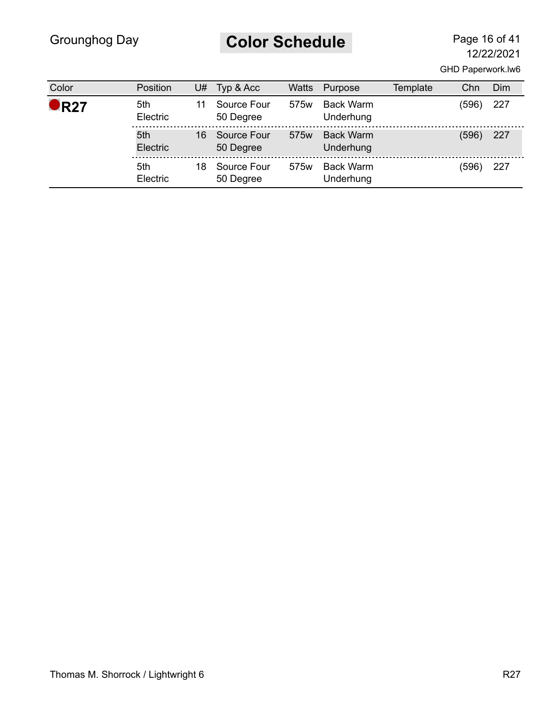# **Color Schedule** Page 16 of 41

| Color         | <b>Position</b> | U# | Typ & Acc                | <b>Watts</b>     | Purpose                       | Template | Chn   | Dim |
|---------------|-----------------|----|--------------------------|------------------|-------------------------------|----------|-------|-----|
| $\bullet$ R27 | 5th<br>Electric |    | Source Four<br>50 Degree | 575 <sub>w</sub> | <b>Back Warm</b><br>Underhung |          | (596) | 227 |
|               | 5th<br>Electric | 16 | Source Four<br>50 Degree | 575 <sub>w</sub> | <b>Back Warm</b><br>Underhung |          | (596) | 227 |
|               | 5th<br>Electric | 18 | Source Four<br>50 Degree | 575 <sub>w</sub> | <b>Back Warm</b><br>Underhung |          | (596) | 227 |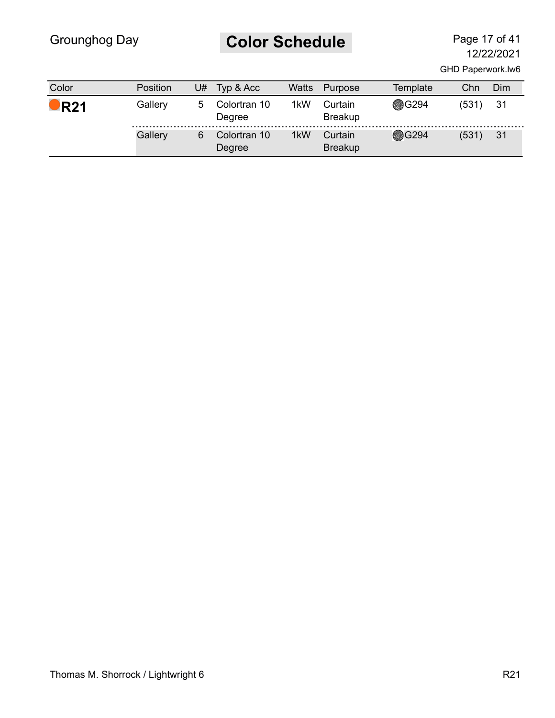# **Color Schedule** Page 17 of 41

| Color              | <b>Position</b> | J# | Typ & Acc              | Watts | Purpose                   | Template     | Chn   | Dim |
|--------------------|-----------------|----|------------------------|-------|---------------------------|--------------|-------|-----|
| $\blacksquare$ R21 | Gallery         | 5. | Colortran 10<br>Degree | 1kW   | Curtain<br><b>Breakup</b> | <b>®G294</b> | (531) | -31 |
|                    | Gallery         | 6  | Colortran 10<br>Degree | 1kW   | Curtain<br><b>Breakup</b> | <b>@G294</b> | (531) | 31  |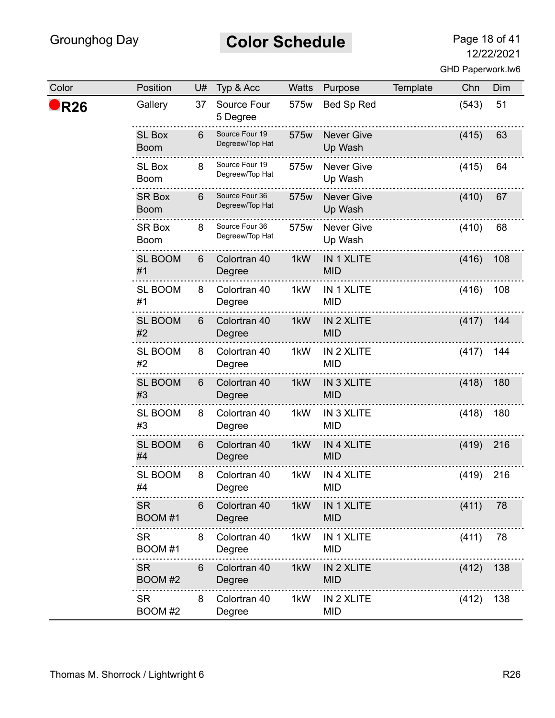# **Color Schedule** Page 18 of 41

| Color           | Position                     | U# | Typ & Acc                         | Watts | Purpose                         | Template | Chn   | Dim |
|-----------------|------------------------------|----|-----------------------------------|-------|---------------------------------|----------|-------|-----|
| R <sub>26</sub> | Gallery                      | 37 | Source Four<br>5 Degree           | 575w  | Bed Sp Red                      |          | (543) | 51  |
|                 | <b>SL Box</b><br><b>Boom</b> | 6  | Source Four 19<br>Degreew/Top Hat | 575w  | <b>Never Give</b><br>Up Wash    |          | (415) | 63  |
|                 | <b>SL Box</b><br><b>Boom</b> | 8  | Source Four 19<br>Degreew/Top Hat | 575w  | <b>Never Give</b><br>Up Wash    |          | (415) | 64  |
|                 | <b>SR Box</b><br><b>Boom</b> | 6  | Source Four 36<br>Degreew/Top Hat | 575w  | <b>Never Give</b><br>Up Wash    |          | (410) | 67  |
|                 | <b>SR Box</b><br><b>Boom</b> | 8  | Source Four 36<br>Degreew/Top Hat | 575w  | <b>Never Give</b><br>Up Wash    |          | (410) | 68  |
|                 | <b>SL BOOM</b><br>#1         | 6  | Colortran 40<br>Degree            | 1kW   | IN 1 XLITE<br><b>MID</b>        |          | (416) | 108 |
|                 | <b>SL BOOM</b><br>#1         | 8  | Colortran 40<br>Degree            | 1kW   | IN 1 XLITE<br><b>MID</b>        |          | (416) | 108 |
|                 | <b>SL BOOM</b><br>#2         | 6  | Colortran 40<br>Degree            | 1kW   | IN 2 XLITE<br><b>MID</b>        |          | (417) | 144 |
|                 | <b>SL BOOM</b><br>#2         | 8  | Colortran 40<br>Degree            | 1kW   | IN 2 XLITE<br><b>MID</b>        |          | (417) | 144 |
|                 | <b>SL BOOM</b><br>#3         | 6  | Colortran 40<br>Degree            | 1kW   | <b>IN 3 XLITE</b><br><b>MID</b> |          | (418) | 180 |
|                 | <b>SL BOOM</b><br>#3         | 8  | Colortran 40<br>Degree            | 1kW   | IN 3 XLITE<br><b>MID</b>        |          | (418) | 180 |
|                 | <b>SL BOOM</b><br>#4         | 6  | Colortran 40<br>Degree            | 1kW   | <b>IN 4 XLITE</b><br><b>MID</b> |          | (419) | 216 |
|                 | <b>SL BOOM</b><br>#4         | 8  | Colortran 40<br>Degree            | 1kW   | <b>IN 4 XLITE</b><br><b>MID</b> |          | (419) | 216 |
|                 | <b>SR</b><br>BOOM #1         | 6  | Colortran 40<br>Degree            | 1kW   | IN 1 XLITE<br><b>MID</b>        |          | (411) | 78  |
|                 | <b>SR</b><br>BOOM #1         | 8  | Colortran 40<br>Degree            | 1kW   | IN 1 XLITE<br><b>MID</b>        |          | (411) | 78  |
|                 | <b>SR</b><br>BOOM #2         | 6  | Colortran 40<br>Degree            | 1kW   | IN 2 XLITE<br><b>MID</b>        |          | (412) | 138 |
|                 | <b>SR</b><br>BOOM #2         | 8  | Colortran 40<br>Degree            | 1kW   | IN 2 XLITE<br><b>MID</b>        |          | (412) | 138 |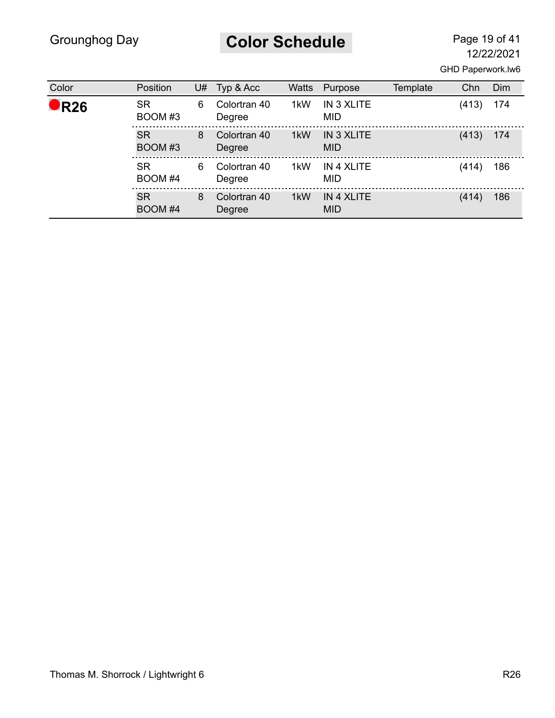**Color Schedule** Page 19 of 41

| Color         | Position             | U# | Typ & Acc              | <b>Watts</b> | Purpose                  | Template | Chn   | Dim |
|---------------|----------------------|----|------------------------|--------------|--------------------------|----------|-------|-----|
| $\bullet$ R26 | <b>SR</b><br>BOOM#3  | 6  | Colortran 40<br>Degree | 1kW          | IN 3 XLITE<br><b>MID</b> |          | (413) | 174 |
|               | <b>SR</b><br>BOOM #3 | 8  | Colortran 40<br>Degree | 1kW          | IN 3 XLITE<br><b>MID</b> |          | (413) | 174 |
|               | <b>SR</b><br>BOOM #4 | 6  | Colortran 40<br>Degree | 1kW          | IN 4 XLITE<br><b>MID</b> |          | (414) | 186 |
|               | <b>SR</b><br>BOOM #4 | 8  | Colortran 40<br>Degree | 1kW          | IN 4 XLITE<br><b>MID</b> |          | (414) | 186 |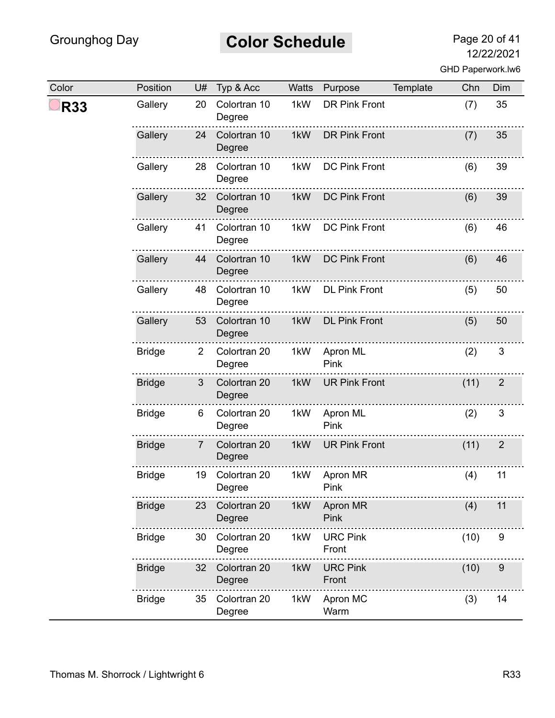#### **Color Schedule** Page 20 of 41

| Color      | Position      | U#             | Typ & Acc              | Watts | Purpose                  | Template | Chn  | Dim            |
|------------|---------------|----------------|------------------------|-------|--------------------------|----------|------|----------------|
| <b>R33</b> | Gallery       | 20             | Colortran 10<br>Degree | 1kW   | <b>DR Pink Front</b>     |          | (7)  | 35             |
|            | Gallery       | 24             | Colortran 10<br>Degree | 1kW   | <b>DR Pink Front</b>     |          | (7)  | 35             |
|            | Gallery       | 28             | Colortran 10<br>Degree | 1kW   | <b>DC Pink Front</b>     |          | (6)  | 39             |
|            | Gallery       | 32             | Colortran 10<br>Degree | 1kW   | <b>DC Pink Front</b>     |          | (6)  | 39             |
|            | Gallery       | 41             | Colortran 10<br>Degree | 1kW   | <b>DC Pink Front</b>     |          | (6)  | 46             |
|            | Gallery       | 44             | Colortran 10<br>Degree | 1kW   | <b>DC Pink Front</b>     |          | (6)  | 46             |
|            | Gallery       | 48             | Colortran 10<br>Degree | 1kW   | <b>DL Pink Front</b>     |          | (5)  | 50             |
|            | Gallery       | 53             | Colortran 10<br>Degree | 1kW   | <b>DL Pink Front</b>     |          | (5)  | 50             |
|            | <b>Bridge</b> | $\overline{2}$ | Colortran 20<br>Degree | 1kW   | Apron ML<br>Pink         |          | (2)  | $\sqrt{3}$     |
|            | <b>Bridge</b> | 3              | Colortran 20<br>Degree | 1kW   | <b>UR Pink Front</b>     |          | (11) | $\overline{2}$ |
|            | <b>Bridge</b> | 6              | Colortran 20<br>Degree | 1kW   | Apron ML<br>Pink         |          | (2)  | 3              |
|            | <b>Bridge</b> | $\overline{7}$ | Colortran 20<br>Degree | 1kW   | <b>UR Pink Front</b>     |          | (11) | $\overline{2}$ |
|            | <b>Bridge</b> | 19             | Colortran 20<br>Degree | 1kW   | Apron MR<br>Pink         |          | (4)  | 11             |
|            | <b>Bridge</b> | 23             | Colortran 20<br>Degree | 1kW   | Apron MR<br>Pink         |          | (4)  | 11             |
|            | <b>Bridge</b> | 30             | Colortran 20<br>Degree | 1kW   | <b>URC Pink</b><br>Front |          | (10) | 9              |
|            | <b>Bridge</b> | 32             | Colortran 20<br>Degree | 1kW   | <b>URC Pink</b><br>Front |          | (10) | 9              |
|            | <b>Bridge</b> | 35             | Colortran 20<br>Degree | 1kW   | Apron MC<br>Warm         |          | (3)  | 14             |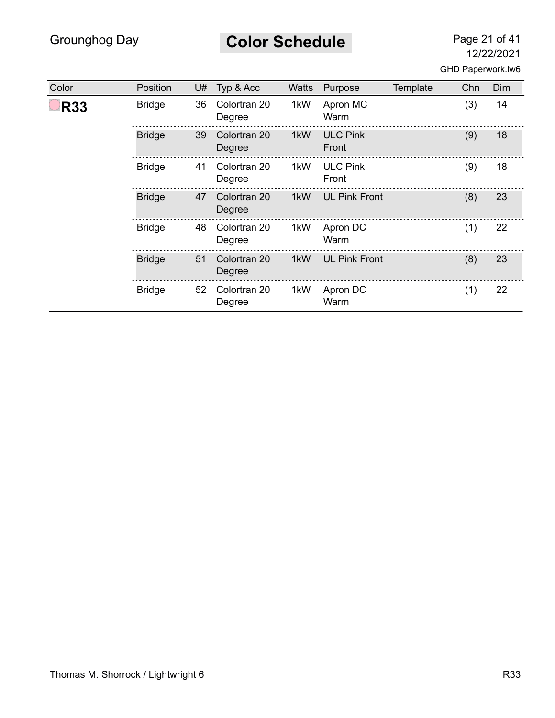# **Color Schedule** Page 21 of 41

| Color      | Position      | U# | Typ & Acc              | Watts | Purpose                  | Template | Chn | Dim |
|------------|---------------|----|------------------------|-------|--------------------------|----------|-----|-----|
| <b>R33</b> | <b>Bridge</b> | 36 | Colortran 20<br>Degree | 1kW   | Apron MC<br>Warm         |          | (3) | 14  |
|            | <b>Bridge</b> | 39 | Colortran 20<br>Degree | 1kW   | <b>ULC Pink</b><br>Front |          | (9) | 18  |
|            | <b>Bridge</b> | 41 | Colortran 20<br>Degree | 1kW   | <b>ULC Pink</b><br>Front |          | (9) | 18  |
|            | <b>Bridge</b> | 47 | Colortran 20<br>Degree | 1kW   | <b>UL Pink Front</b>     |          | (8) | 23  |
|            | <b>Bridge</b> | 48 | Colortran 20<br>Degree | 1kW   | Apron DC<br>Warm         |          | (1) | 22  |
|            | <b>Bridge</b> | 51 | Colortran 20<br>Degree | 1kW   | <b>UL Pink Front</b>     |          | (8) | 23  |
|            | <b>Bridge</b> | 52 | Colortran 20<br>Degree | 1kW   | Apron DC<br>Warm         |          | (1) | 22  |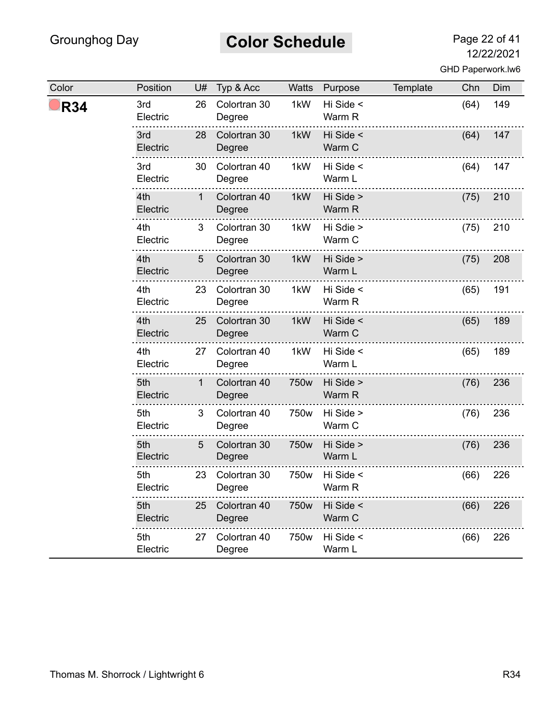# **Color Schedule** Page 22 of 41

| Color      | Position        | U#           | Typ & Acc              | Watts            | Purpose             | Template | Chn  | Dim |
|------------|-----------------|--------------|------------------------|------------------|---------------------|----------|------|-----|
| <b>R34</b> | 3rd<br>Electric | 26           | Colortran 30<br>Degree | 1kW              | Hi Side <<br>Warm R |          | (64) | 149 |
|            | 3rd<br>Electric | 28           | Colortran 30<br>Degree | 1kW              | Hi Side <<br>Warm C |          | (64) | 147 |
|            | 3rd<br>Electric | 30           | Colortran 40<br>Degree | 1kW              | Hi Side <<br>Warm L |          | (64) | 147 |
|            | 4th<br>Electric | $\mathbf 1$  | Colortran 40<br>Degree | 1kW              | Hi Side ><br>Warm R |          | (75) | 210 |
|            | 4th<br>Electric | 3            | Colortran 30<br>Degree | 1kW              | Hi Sdie ><br>Warm C |          | (75) | 210 |
|            | 4th<br>Electric | 5            | Colortran 30<br>Degree | 1kW              | Hi Side ><br>Warm L |          | (75) | 208 |
|            | 4th<br>Electric | 23           | Colortran 30<br>Degree | 1kW              | Hi Side <<br>Warm R |          | (65) | 191 |
|            | 4th<br>Electric | 25           | Colortran 30<br>Degree | 1kW              | Hi Side <<br>Warm C |          | (65) | 189 |
|            | 4th<br>Electric | 27           | Colortran 40<br>Degree | 1kW              | Hi Side <<br>Warm L |          | (65) | 189 |
|            | 5th<br>Electric | $\mathbf{1}$ | Colortran 40<br>Degree | 750w             | Hi Side ><br>Warm R |          | (76) | 236 |
|            | 5th<br>Electric | 3            | Colortran 40<br>Degree | 750w             | Hi Side ><br>Warm C |          | (76) | 236 |
|            | 5th<br>Electric | 5            | Colortran 30<br>Degree | 750w             | Hi Side ><br>Warm L |          | (76) | 236 |
|            | 5th<br>Electric | 23           | Colortran 30<br>Degree | 750w             | Hi Side <<br>Warm R |          | (66) | 226 |
|            | 5th<br>Electric | 25           | Colortran 40<br>Degree | 750w             | Hi Side <<br>Warm C |          | (66) | 226 |
|            | 5th<br>Electric | 27           | Colortran 40<br>Degree | 750 <sub>w</sub> | Hi Side <<br>Warm L |          | (66) | 226 |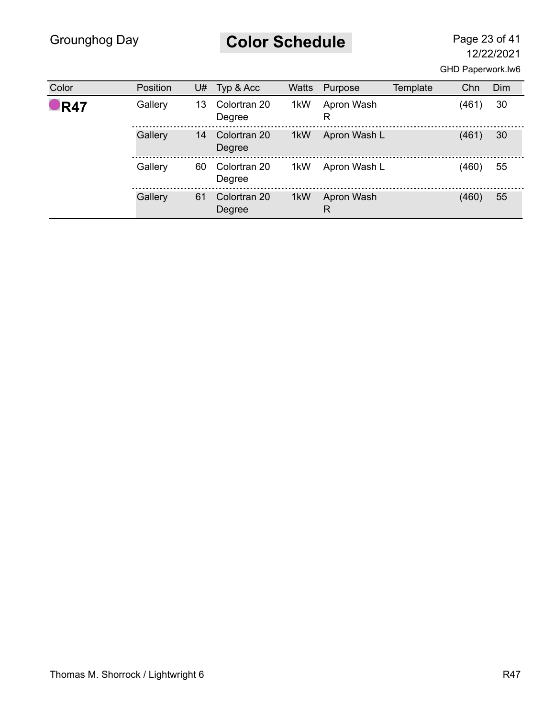# **Color Schedule** Page 23 of 41

| Color              | Position | U# | Typ & Acc              | <b>Watts</b> | Purpose         | Template | Chn   | <b>Dim</b> |
|--------------------|----------|----|------------------------|--------------|-----------------|----------|-------|------------|
| $\blacksquare$ R47 | Gallery  | 13 | Colortran 20<br>Degree | 1kW          | Apron Wash<br>R |          | (461) | 30         |
|                    | Gallery  | 14 | Colortran 20<br>Degree | 1kW          | Apron Wash L    |          | (461) | 30         |
|                    | Gallery  | 60 | Colortran 20<br>Degree | 1kW          | Apron Wash L    |          | (460) | 55         |
|                    | Gallery  | 61 | Colortran 20<br>Degree | 1kW          | Apron Wash<br>R |          | (460) | 55         |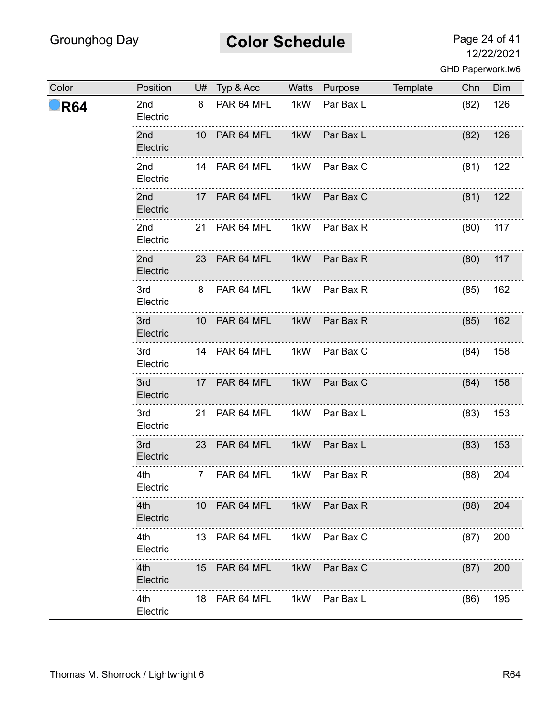# **Color Schedule** Page 24 of 41

| Color      | Position                    | U# Typ & Acc Watts Purpose  |     |               | Template Chn |      | Dim |
|------------|-----------------------------|-----------------------------|-----|---------------|--------------|------|-----|
| <b>R64</b> | 2nd<br>Electric             | 8 PAR 64 MFL 1kW            |     | Par Bax L     |              | (82) | 126 |
|            | 2 <sub>nd</sub><br>Electric | 10 PAR 64 MFL 1kW Par Bax L |     |               |              | (82) | 126 |
|            | 2nd<br>Electric             | 14 PAR 64 MFL 1kW Par Bax C |     |               |              | (81) | 122 |
|            | 2nd<br>Electric             | 17 PAR 64 MFL               | 1kW | Par Bax C     |              | (81) | 122 |
|            | 2nd<br>Electric             | 21 PAR 64 MFL 1kW Par Bax R |     |               |              | (80) | 117 |
|            | 2nd<br>Electric             | 23 PAR 64 MFL 1kW Par Bax R |     |               |              | (80) | 117 |
|            | 3rd<br>Electric             | 8 PAR 64 MFL 1kW Par Bax R  |     |               |              | (85) | 162 |
|            | 3rd<br>Electric             | 10 PAR 64 MFL 1kW Par Bax R |     |               |              | (85) | 162 |
|            | 3rd<br>Electric             | 14 PAR 64 MFL 1kW Par Bax C |     |               |              | (84) | 158 |
|            | 3rd and<br>Electric         | 17 PAR 64 MFL               |     | 1kW Par Bax C |              | (84) | 158 |
|            | 3rd<br>Electric             | 21 PAR 64 MFL 1kW Par Bax L |     |               |              | (83) | 153 |
|            | 3rd a<br>Electric           | 23 PAR 64 MFL               |     | 1kW Par Bax L |              | (83) | 153 |
|            | 4th<br>Electric             | 7 PAR 64 MFL                |     | 1kW Par Bax R | .            | (88) | 204 |
|            | 4th<br>Electric             | 10 PAR 64 MFL 1kW Par Bax R |     |               |              | (88) | 204 |
|            | 4th<br>Electric             | 13 PAR 64 MFL 1kW Par Bax C |     |               |              | (87) | 200 |
|            | 4th<br>Electric             | 15 PAR 64 MFL 1kW Par Bax C |     |               |              | (87) | 200 |
|            | 4th a<br>Electric           | 18 PAR 64 MFL 1kW Par Bax L |     |               |              | (86) | 195 |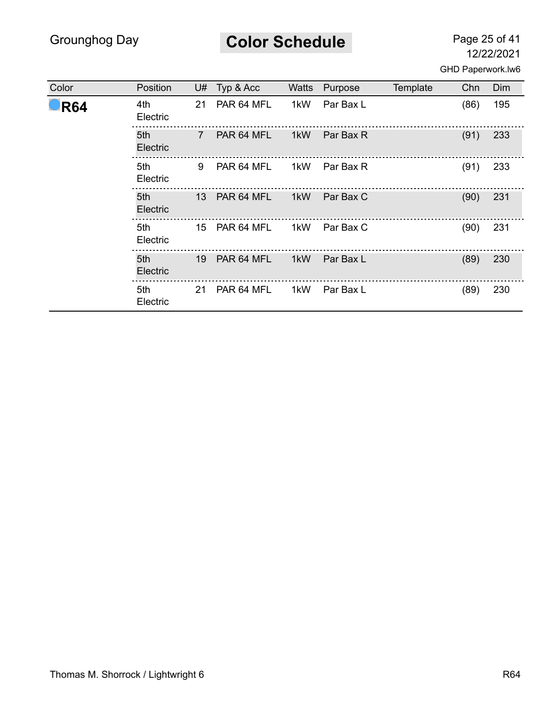**Color Schedule** Page 25 of 41

| Color              | Position          | U#             | Typ & Acc     | Watts | Purpose   | Template | Chn  | Dim |
|--------------------|-------------------|----------------|---------------|-------|-----------|----------|------|-----|
| $\blacksquare$ R64 | 4th<br>Electric   | 21             | PAR 64 MFL    | 1kW   | Par Bax L |          | (86) | 195 |
|                    | 5th<br>Electric   | $\overline{7}$ | PAR 64 MFL    | 1kW   | Par Bax R |          | (91) | 233 |
|                    | 5th<br>Electric   | 9              | PAR 64 MFL    | 1kW   | Par Bax R |          | (91) | 233 |
|                    | 5th a<br>Electric |                | 13 PAR 64 MFL | 1kW   | Par Bax C |          | (90) | 231 |
|                    | 5th<br>Electric   |                | 15 PAR 64 MFL | 1kW   | Par Bax C |          | (90) | 231 |
|                    | 5th<br>Electric   | 19             | PAR 64 MFL    | 1kW   | Par Bax L |          | (89) | 230 |
|                    | 5th<br>Electric   | 21             | PAR 64 MFL    | 1kW   | Par Bax L |          | (89) | 230 |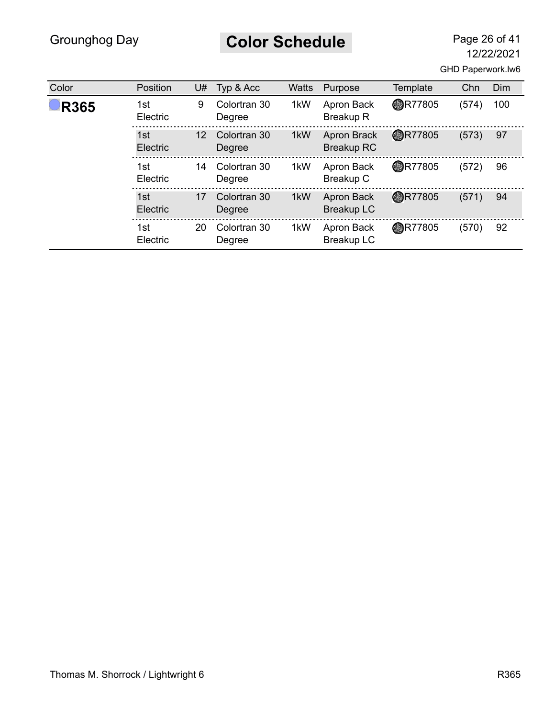**Color Schedule** Page 26 of 41

12/22/2021

|  | GHD Paperwork.lw6 |  |
|--|-------------------|--|
|--|-------------------|--|

| Color       | Position        | U#                | Typ & Acc              | <b>Watts</b> | Purpose                                 | Template       | Chn   | Dim |
|-------------|-----------------|-------------------|------------------------|--------------|-----------------------------------------|----------------|-------|-----|
| <b>R365</b> | 1st<br>Electric | 9                 | Colortran 30<br>Degree | 1kW          | Apron Back<br><b>Breakup R</b>          | <b>OR77805</b> | (574) | 100 |
|             | 1st<br>Electric | $12 \overline{ }$ | Colortran 30<br>Degree | 1kW          | <b>Apron Brack</b><br><b>Breakup RC</b> | <b>@R77805</b> | (573) | 97  |
|             | 1st<br>Electric | 14                | Colortran 30<br>Degree | 1kW          | Apron Back<br>Breakup C                 | <b>AR77805</b> | (572) | 96  |
|             | 1st<br>Electric | 17                | Colortran 30<br>Degree | 1kW          | Apron Back<br><b>Breakup LC</b>         | <b>@R77805</b> | (571) | 94  |
|             | 1st<br>Electric | 20                | Colortran 30<br>Degree | 1kW          | Apron Back<br><b>Breakup LC</b>         | <b>AR77805</b> | (570) | 92  |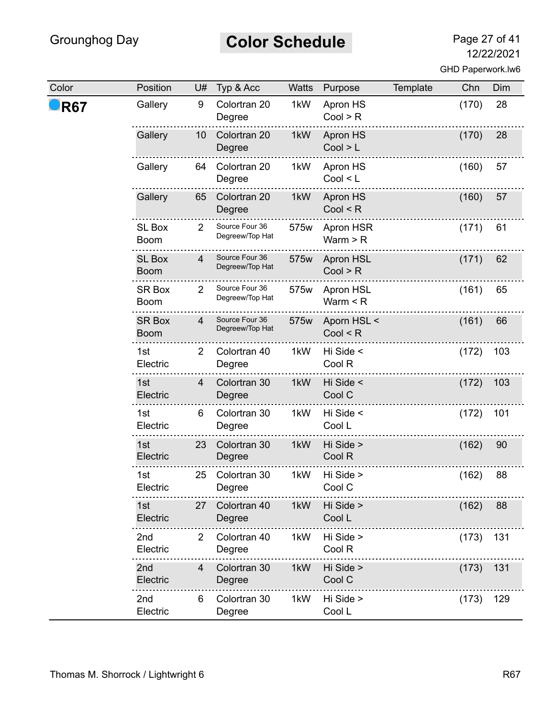# **Color Schedule** Page 27 of 41

| Color      | Position                     | U#             | Typ & Acc                         | Watts | Purpose                           | Template | Chn   | Dim |
|------------|------------------------------|----------------|-----------------------------------|-------|-----------------------------------|----------|-------|-----|
| <b>R67</b> | Gallery                      | 9              | Colortran 20<br>Degree            | 1kW   | Apron HS<br>Cool > R              |          | (170) | 28  |
|            | Gallery                      | 10             | Colortran 20<br>Degree            | 1kW   | Apron HS<br>Cool > L              |          | (170) | 28  |
|            | Gallery                      | 64             | Colortran 20<br>Degree            | 1kW   | Apron HS<br>Cool < L              |          | (160) | 57  |
|            | Gallery                      | 65             | Colortran 20<br>Degree            | 1kW   | Apron HS<br>Cool < R              |          | (160) | 57  |
|            | <b>SL Box</b><br><b>Boom</b> | $\overline{2}$ | Source Four 36<br>Degreew/Top Hat | 575w  | Apron HSR<br>Warm $>$ R           |          | (171) | 61  |
|            | <b>SL Box</b><br><b>Boom</b> | 4              | Source Four 36<br>Degreew/Top Hat | 575w  | <b>Apron HSL</b><br>Cool > R      |          | (171) | 62  |
|            | <b>SR Box</b><br><b>Boom</b> | $\overline{2}$ | Source Four 36<br>Degreew/Top Hat | 575w  | <b>Apron HSL</b><br>Warm $\leq R$ |          | (161) | 65  |
|            | <b>SR Box</b><br><b>Boom</b> | $\overline{4}$ | Source Four 36<br>Degreew/Top Hat | 575w  | Aporn HSL <<br>Cool < R           |          | (161) | 66  |
|            | 1st<br>Electric              | 2              | Colortran 40<br>Degree            | 1kW   | Hi Side <<br>Cool R               |          | (172) | 103 |
|            | 1st<br>Electric              | 4              | Colortran 30<br>Degree            | 1kW   | Hi Side <<br>Cool C               |          | (172) | 103 |
|            | 1st<br>Electric              | 6              | Colortran 30<br>Degree            | 1kW   | Hi Side <<br>Cool L               |          | (172) | 101 |
|            | 1st<br>Electric              | 23             | Colortran 30<br>Degree            | 1kW   | Hi Side ><br>Cool R               |          | (162) | 90  |
|            | 1st<br>Electric              | 25             | Colortran 30<br>Degree            | 1kW   | Hi Side ><br>Cool C               |          | (162) | 88  |
|            | 1st<br>Electric              | 27             | Colortran 40<br>Degree            | 1kW   | Hi Side ><br>Cool L               |          | (162) | 88  |
|            | 2nd<br>Electric              | $\overline{2}$ | Colortran 40<br>Degree            | 1kW   | Hi Side ><br>Cool R               |          | (173) | 131 |
|            | 2nd<br>Electric              | 4              | Colortran 30<br>Degree            | 1kW   | Hi Side ><br>Cool C               |          | (173) | 131 |
|            | 2 <sub>nd</sub><br>Electric  | 6              | Colortran 30<br>Degree            | 1kW   | Hi Side ><br>Cool L               |          | (173) | 129 |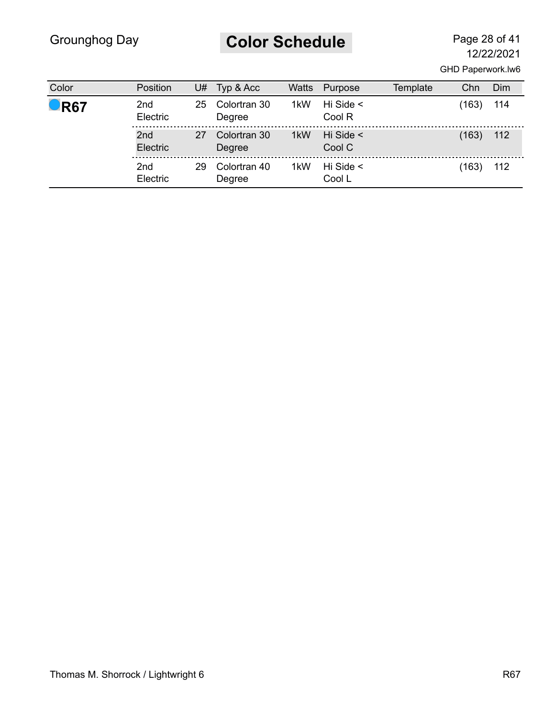# **Color Schedule** Page 28 of 41

| Color              | Position                    | U# | Typ & Acc              | Watts | Purpose                  | Template | Chn   | Dim |
|--------------------|-----------------------------|----|------------------------|-------|--------------------------|----------|-------|-----|
|                    |                             |    |                        |       |                          |          |       |     |
| $\blacksquare$ R67 | 2 <sub>nd</sub><br>Electric | 25 | Colortran 30<br>Degree | 1kW   | Hi Side $\leq$<br>Cool R |          | (163) | 114 |
|                    | 2 <sub>nd</sub><br>Electric | 27 | Colortran 30<br>Degree | 1kW   | Hi Side $\leq$<br>Cool C |          | (163) | 112 |
|                    | 2 <sub>nd</sub><br>Electric | 29 | Colortran 40<br>Degree | 1kW   | Hi Side $\leq$<br>Cool L |          | (163) | 112 |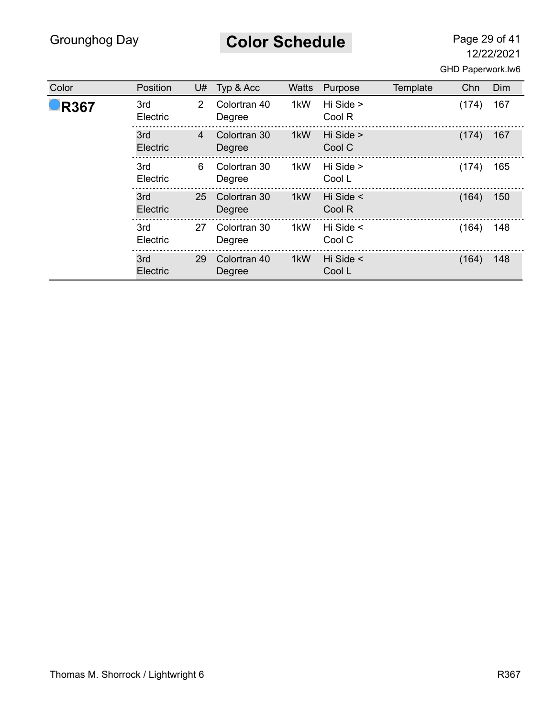**Color Schedule** Page 29 of 41

| Color       | Position        | U#             | Typ & Acc              | <b>Watts</b>     | Purpose                  | Template | Chn   | Dim |
|-------------|-----------------|----------------|------------------------|------------------|--------------------------|----------|-------|-----|
| <b>R367</b> | 3rd<br>Electric | $\mathcal{P}$  | Colortran 40<br>Degree | 1kW              | Hi Side ><br>Cool R      |          | (174) | 167 |
|             | 3rd<br>Electric | $\overline{4}$ | Colortran 30<br>Degree | 1 <sub>k</sub> W | Hi Side ><br>Cool C      |          | (174) | 167 |
|             | 3rd<br>Electric | 6              | Colortran 30<br>Degree | 1kW              | Hi Side ><br>Cool L      |          | (174) | 165 |
|             | 3rd<br>Electric | 25             | Colortran 30<br>Degree | 1kW              | Hi Side <<br>Cool R      |          | (164) | 150 |
|             | 3rd<br>Electric | 27             | Colortran 30<br>Degree | 1kW              | Hi Side $\leq$<br>Cool C |          | (164) | 148 |
|             | 3rd<br>Electric | 29             | Colortran 40<br>Degree | 1kW              | Hi Side <<br>Cool L      |          | (164) | 148 |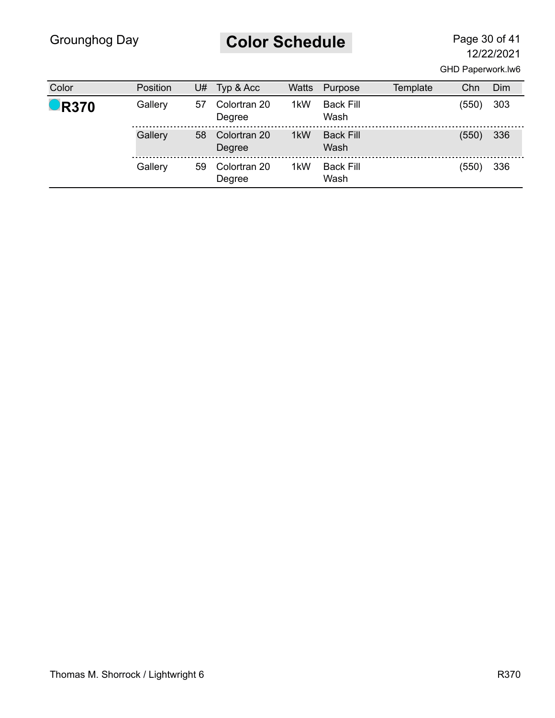# **Color Schedule** Page 30 of 41

| Color               | Position | U# | Typ & Acc              | Watts | Purpose                  | Template | Chn   | Dim |
|---------------------|----------|----|------------------------|-------|--------------------------|----------|-------|-----|
| $\blacksquare$ R370 | Gallery  | 57 | Colortran 20<br>Degree | 1kW   | <b>Back Fill</b><br>Wash |          | (550) | 303 |
|                     | Gallery  | 58 | Colortran 20<br>Degree | 1kW   | <b>Back Fill</b><br>Wash |          | (550) | 336 |
|                     | Gallery  | 59 | Colortran 20<br>Degree | 1kW   | <b>Back Fill</b><br>Wash |          | (550) | 336 |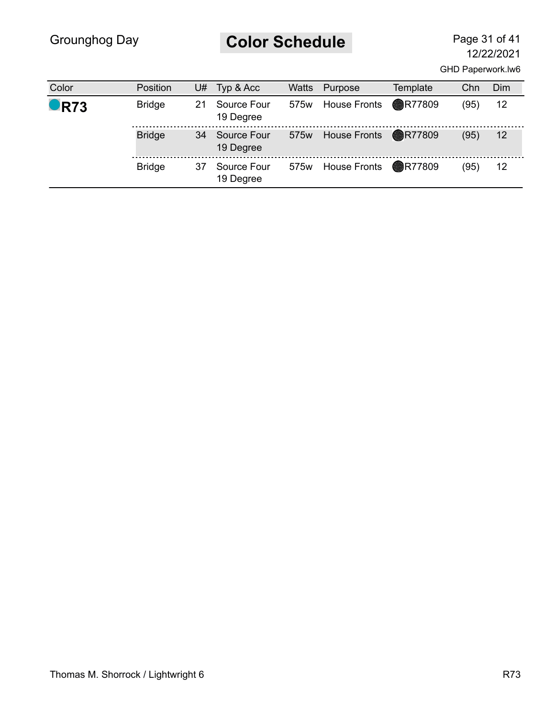# **Color Schedule** Page 31 of 41

12/22/2021

GHD Paperwork.lw6

| Color              | Position      | U# | Typ & Acc                | Watts | Purpose                      | Template | Chn  | Dim |
|--------------------|---------------|----|--------------------------|-------|------------------------------|----------|------|-----|
| $\blacksquare$ R73 | <b>Bridge</b> | 21 | Source Four<br>19 Degree | 575w  | House Fronts <b>R77809</b>   |          | (95) | 12  |
|                    | <b>Bridge</b> | 34 | Source Four<br>19 Degree | 575w  | House Fronts <b>C</b> R77809 |          | (95) | 12  |
|                    | <b>Bridge</b> | 37 | Source Four<br>19 Degree | 575w  | House Fronts <b>R77809</b>   |          | (95) | 12  |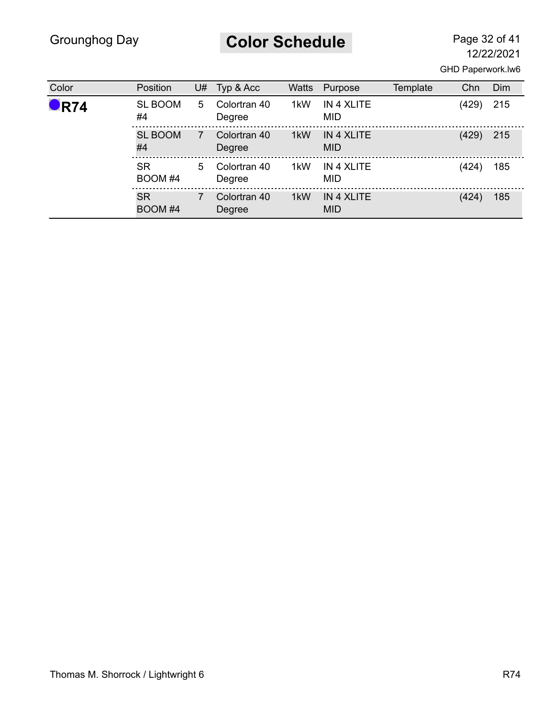**Color Schedule** Page 32 of 41

| Color              | Position             | U# | Typ & Acc              | <b>Watts</b> | Purpose                         | Template | Chn   | Dim |
|--------------------|----------------------|----|------------------------|--------------|---------------------------------|----------|-------|-----|
| $\blacksquare$ R74 | <b>SL BOOM</b><br>#4 | 5. | Colortran 40<br>Degree | 1kW          | IN 4 XLITE<br><b>MID</b>        |          | (429) | 215 |
|                    | <b>SL BOOM</b><br>#4 | 7  | Colortran 40<br>Degree | 1kW          | IN 4 XLITE<br><b>MID</b>        |          | (429) | 215 |
|                    | <b>SR</b><br>BOOM #4 | 5  | Colortran 40<br>Degree | 1kW          | IN 4 XLITE<br><b>MID</b>        |          | (424) | 185 |
|                    | <b>SR</b><br>BOOM #4 | 7  | Colortran 40<br>Degree | 1kW          | <b>IN 4 XLITE</b><br><b>MID</b> |          | (424) | 185 |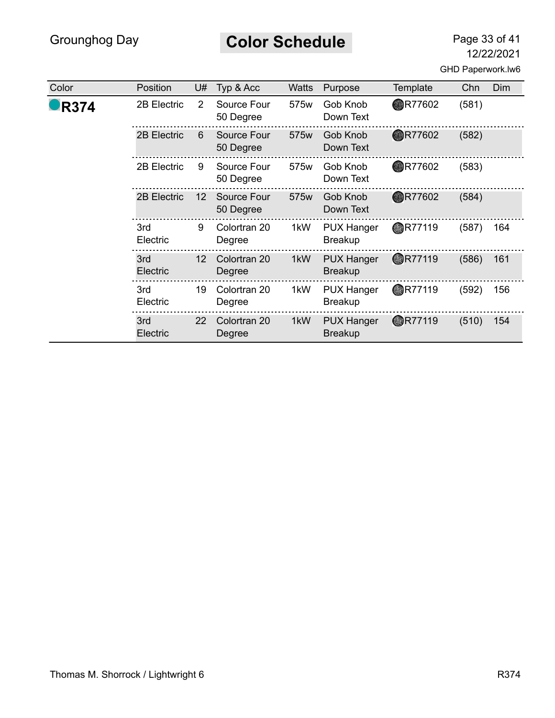**Color Schedule** Page 33 of 41

12/22/2021

GHD Paperwork.lw6

| Color       | Position        | U# | Typ & Acc                | Watts | Purpose                             | Template       | Chn   | Dim |
|-------------|-----------------|----|--------------------------|-------|-------------------------------------|----------------|-------|-----|
| <b>R374</b> | 2B Electric     | 2  | Source Four<br>50 Degree | 575w  | Gob Knob<br>Down Text               | <b>OR77602</b> | (581) |     |
|             | 2B Electric     | 6  | Source Four<br>50 Degree | 575w  | Gob Knob<br>Down Text               | <b>OR77602</b> | (582) |     |
|             | 2B Electric     | 9  | Source Four<br>50 Degree | 575w  | Gob Knob<br>Down Text               | <b>OR77602</b> | (583) |     |
|             | 2B Electric     | 12 | Source Four<br>50 Degree | 575w  | Gob Knob<br>Down Text               | <b>OR77602</b> | (584) |     |
|             | 3rd<br>Electric | 9  | Colortran 20<br>Degree   | 1kW   | <b>PUX Hanger</b><br><b>Breakup</b> | <b>AR77119</b> | (587) | 164 |
|             | 3rd<br>Electric | 12 | Colortran 20<br>Degree   | 1kW   | <b>PUX Hanger</b><br><b>Breakup</b> | <b>OR77119</b> | (586) | 161 |
|             | 3rd<br>Electric | 19 | Colortran 20<br>Degree   | 1kW   | <b>PUX Hanger</b><br><b>Breakup</b> | <b>AR77119</b> | (592) | 156 |
|             | 3rd<br>Electric | 22 | Colortran 20<br>Degree   | 1kW   | <b>PUX Hanger</b><br><b>Breakup</b> | <b>OR77119</b> | (510) | 154 |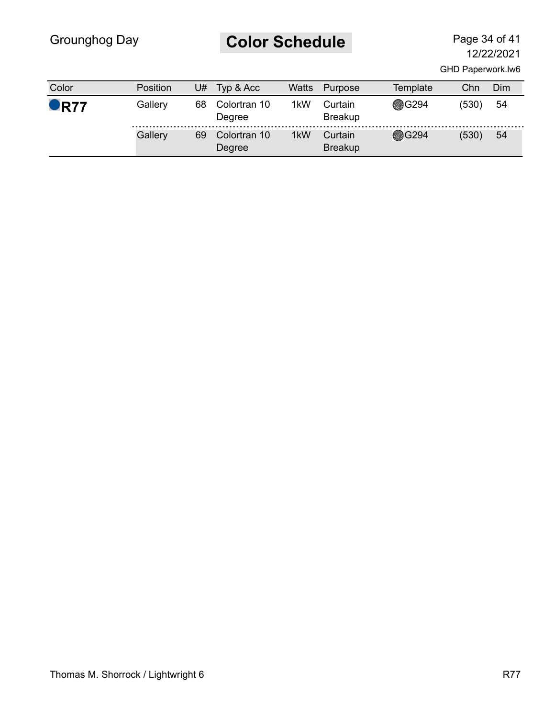# **Color Schedule** Page 34 of 41

12/22/2021

GHD Paperwork.lw6

| Color              | Position | U# | Typ & Acc              | Watts | Purpose                   | Template     | Chn   | Dim |
|--------------------|----------|----|------------------------|-------|---------------------------|--------------|-------|-----|
| $\blacksquare$ R77 | Gallery  | 68 | Colortran 10<br>Degree | 1kW   | Curtain<br><b>Breakup</b> | <b>@G294</b> | (530) | 54  |
|                    | Gallery  | 69 | Colortran 10<br>Degree | 1kW   | Curtain<br><b>Breakup</b> | <b>@G294</b> | (530) | -54 |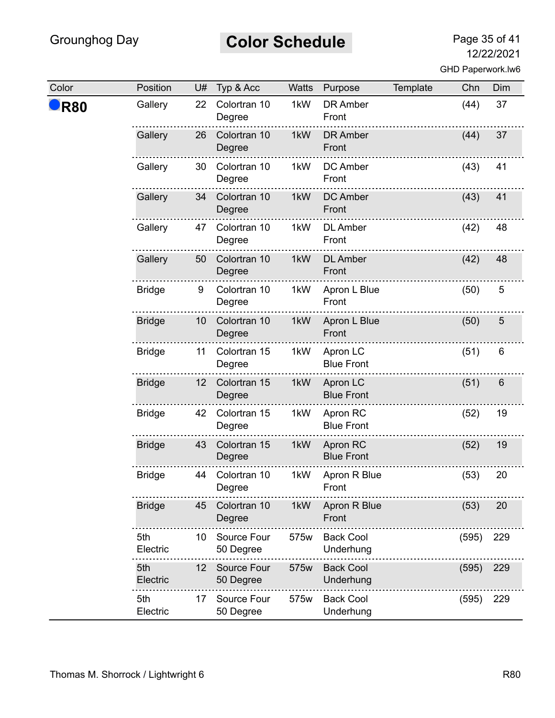# **Color Schedule** Page 35 of 41

| Color | Position        | U# | Typ & Acc                | Watts | Purpose                       | Template | Chn   | Dim   |
|-------|-----------------|----|--------------------------|-------|-------------------------------|----------|-------|-------|
| R80   | Gallery         | 22 | Colortran 10<br>Degree   | 1kW   | <b>DR Amber</b><br>Front      |          | (44)  | 37    |
|       | Gallery         | 26 | Colortran 10<br>Degree   | 1kW   | <b>DR Amber</b><br>Front      |          | (44)  | 37    |
|       | Gallery         | 30 | Colortran 10<br>Degree   | 1kW   | DC Amber<br>Front             |          | (43)  | 41    |
|       | Gallery         | 34 | Colortran 10<br>Degree   | 1kW   | <b>DC Amber</b><br>Front      |          | (43)  | 41    |
|       | Gallery         | 47 | Colortran 10<br>Degree   | 1kW   | <b>DL</b> Amber<br>Front      |          | (42)  | 48    |
|       | Gallery         | 50 | Colortran 10<br>Degree   | 1kW   | <b>DL</b> Amber<br>Front      |          | (42)  | 48    |
|       | <b>Bridge</b>   | 9  | Colortran 10<br>Degree   | 1kW   | Apron L Blue<br>Front         |          | (50)  | 5     |
|       | <b>Bridge</b>   | 10 | Colortran 10<br>Degree   | 1kW   | Apron L Blue<br>Front         |          | (50)  | 5     |
|       | <b>Bridge</b>   | 11 | Colortran 15<br>Degree   | 1kW   | Apron LC<br><b>Blue Front</b> |          | (51)  | $\,6$ |
|       | <b>Bridge</b>   | 12 | Colortran 15<br>Degree   | 1kW   | Apron LC<br><b>Blue Front</b> |          | (51)  | 6     |
|       | <b>Bridge</b>   | 42 | Colortran 15<br>Degree   | 1kW   | Apron RC<br><b>Blue Front</b> |          | (52)  | 19    |
|       | <b>Bridge</b>   | 43 | Colortran 15<br>Degree   | 1kW   | Apron RC<br><b>Blue Front</b> |          | (52)  | 19    |
|       | <b>Bridge</b>   | 44 | Colortran 10<br>Degree   | 1kW   | Apron R Blue<br>Front         |          | (53)  | 20    |
|       | <b>Bridge</b>   | 45 | Colortran 10<br>Degree   | 1kW   | Apron R Blue<br>Front         |          | (53)  | 20    |
|       | 5th<br>Electric | 10 | Source Four<br>50 Degree | 575w  | <b>Back Cool</b><br>Underhung |          | (595) | 229   |
|       | 5th<br>Electric | 12 | Source Four<br>50 Degree | 575w  | <b>Back Cool</b><br>Underhung |          | (595) | 229   |
|       | 5th<br>Electric | 17 | Source Four<br>50 Degree | 575w  | <b>Back Cool</b><br>Underhung |          | (595) | 229   |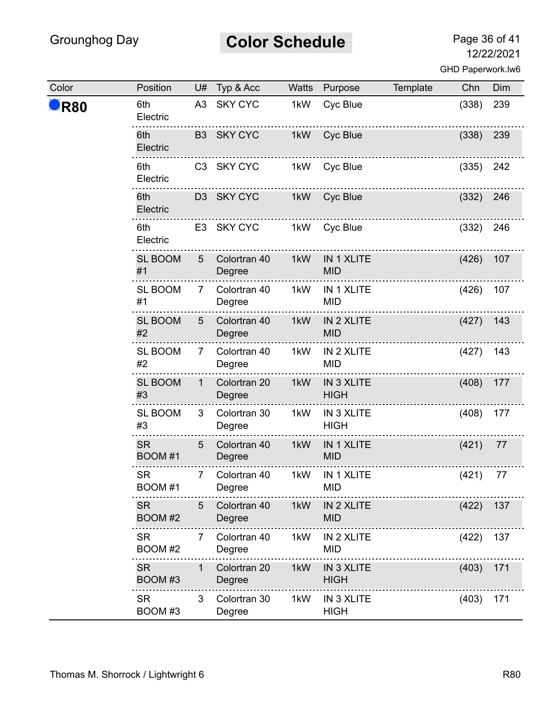# **Color Schedule** Page 36 of 41

| Color | Position             | U#           | Typ & Acc              | <b>Watts</b> | Purpose                          | Template | Chn   | Dim |
|-------|----------------------|--------------|------------------------|--------------|----------------------------------|----------|-------|-----|
| R80   | 6th<br>Electric      |              | A3 SKY CYC             | 1kW          | Cyc Blue                         |          | (338) | 239 |
|       | 6th<br>Electric      |              | B3 SKY CYC             | 1kW          | Cyc Blue                         |          | (338) | 239 |
|       | 6th<br>Electric      |              | C3 SKY CYC             | 1kW          | Cyc Blue                         |          | (335) | 242 |
|       | 6th<br>Electric      |              | D3 SKY CYC             | 1kW          | Cyc Blue                         |          | (332) | 246 |
|       | 6th<br>Electric      |              | E3 SKY CYC             | 1kW          | Cyc Blue                         |          | (332) | 246 |
|       | <b>SL BOOM</b><br>#1 | 5            | Colortran 40<br>Degree | 1kW          | IN 1 XLITE<br><b>MID</b>         |          | (426) | 107 |
|       | <b>SL BOOM</b><br>#1 | 7            | Colortran 40<br>Degree | 1kW          | IN 1 XLITE<br><b>MID</b>         |          | (426) | 107 |
|       | <b>SL BOOM</b><br>#2 | 5            | Colortran 40<br>Degree | 1kW          | IN 2 XLITE<br><b>MID</b>         |          | (427) | 143 |
|       | <b>SL BOOM</b><br>#2 | 7            | Colortran 40<br>Degree | 1kW          | IN 2 XLITE<br><b>MID</b>         |          | (427) | 143 |
|       | <b>SL BOOM</b><br>#3 | $\mathbf{1}$ | Colortran 20<br>Degree | 1kW          | <b>IN 3 XLITE</b><br><b>HIGH</b> |          | (408) | 177 |
|       | <b>SL BOOM</b><br>#3 | 3            | Colortran 30<br>Degree | 1kW          | IN 3 XLITE<br><b>HIGH</b>        |          | (408) | 177 |
|       | <b>SR</b><br>BOOM #1 | 5            | Colortran 40<br>Degree | 1kW          | IN 1 XLITE<br><b>MID</b>         |          | (421) | 77  |
|       | <b>SR</b><br>BOOM #1 | 7            | Colortran 40<br>Degree | 1kW          | IN 1 XLITE<br><b>MID</b>         |          | (421) | 77  |
|       | <b>SR</b><br>BOOM #2 | 5            | Colortran 40<br>Degree | 1kW          | IN 2 XLITE<br><b>MID</b>         |          | (422) | 137 |
|       | <b>SR</b><br>BOOM #2 | 7            | Colortran 40<br>Degree | 1kW          | IN 2 XLITE<br><b>MID</b>         |          | (422) | 137 |
|       | <b>SR</b><br>BOOM #3 | 1            | Colortran 20<br>Degree | 1kW          | IN 3 XLITE<br><b>HIGH</b>        |          | (403) | 171 |
|       | <b>SR</b><br>BOOM #3 | 3            | Colortran 30<br>Degree | 1kW          | IN 3 XLITE<br><b>HIGH</b>        |          | (403) | 171 |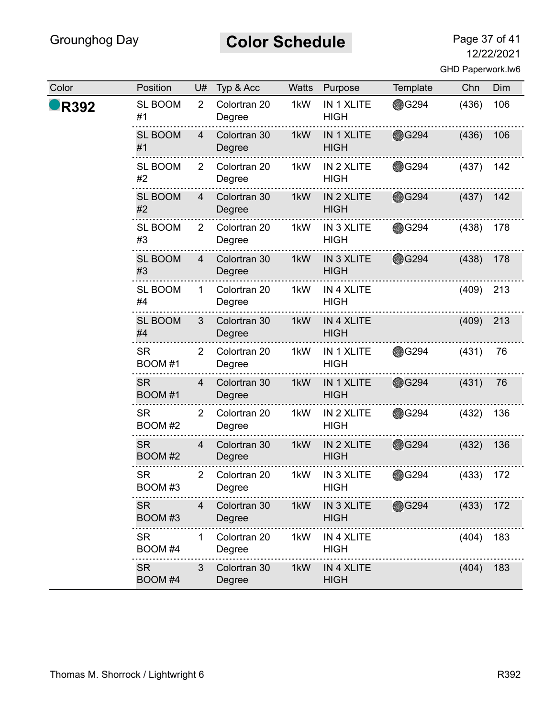# **Color Schedule** Page 37 of 41

12/22/2021

|  | GHD Paperwork.lw6 |  |
|--|-------------------|--|
|--|-------------------|--|

| Color | Position             | U#             | Typ & Acc              | Watts | Purpose                          | Template      | Chn   | Dim |
|-------|----------------------|----------------|------------------------|-------|----------------------------------|---------------|-------|-----|
| R392  | <b>SL BOOM</b><br>#1 | $\overline{2}$ | Colortran 20<br>Degree | 1kW   | IN 1 XLITE<br><b>HIGH</b>        | <b>● G294</b> | (436) | 106 |
|       | <b>SL BOOM</b><br>#1 | 4              | Colortran 30<br>Degree | 1kW   | IN 1 XLITE<br><b>HIGH</b>        | <b>@G294</b>  | (436) | 106 |
|       | <b>SL BOOM</b><br>#2 | 2              | Colortran 20<br>Degree | 1kW   | IN 2 XLITE<br><b>HIGH</b>        | <b>● G294</b> | (437) | 142 |
|       | <b>SL BOOM</b><br>#2 | $\overline{4}$ | Colortran 30<br>Degree | 1kW   | IN 2 XLITE<br><b>HIGH</b>        | <b>G294</b>   | (437) | 142 |
|       | <b>SL BOOM</b><br>#3 | 2              | Colortran 20<br>Degree | 1kW   | IN 3 XLITE<br><b>HIGH</b>        | <b>OG294</b>  | (438) | 178 |
|       | <b>SL BOOM</b><br>#3 | 4              | Colortran 30<br>Degree | 1kW   | <b>IN 3 XLITE</b><br><b>HIGH</b> | <b>@G294</b>  | (438) | 178 |
|       | SL BOOM<br>#4        | $\mathbf 1$    | Colortran 20<br>Degree | 1kW   | IN 4 XLITE<br><b>HIGH</b>        |               | (409) | 213 |
|       | <b>SL BOOM</b><br>#4 | 3              | Colortran 30<br>Degree | 1kW   | IN 4 XLITE<br><b>HIGH</b>        |               | (409) | 213 |
|       | <b>SR</b><br>BOOM #1 | $\overline{2}$ | Colortran 20<br>Degree | 1kW   | IN 1 XLITE<br><b>HIGH</b>        | <b>● G294</b> | (431) | 76  |
|       | <b>SR</b><br>BOOM #1 | $\overline{4}$ | Colortran 30<br>Degree | 1kW   | IN 1 XLITE<br><b>HIGH</b>        | <b>@G294</b>  | (431) | 76  |
|       | <b>SR</b><br>BOOM #2 | $\overline{2}$ | Colortran 20<br>Degree | 1kW   | IN 2 XLITE<br><b>HIGH</b>        | <b>OG294</b>  | (432) | 136 |
|       | <b>SR</b><br>BOOM #2 | 4              | Colortran 30<br>Degree | 1kW   | IN 2 XLITE<br><b>HIGH</b>        | <b>G294</b>   | (432) | 136 |
|       | <b>SR</b><br>BOOM #3 | $\overline{2}$ | Colortran 20<br>Degree | 1kW   | IN 3 XLITE<br>HIGH               | <b>●G294</b>  | (433) | 172 |
|       | <b>SR</b><br>BOOM #3 | 4              | Colortran 30<br>Degree | 1kW   | IN 3 XLITE<br><b>HIGH</b>        | <b>G294</b>   | (433) | 172 |
|       | <b>SR</b><br>BOOM #4 | 1.             | Colortran 20<br>Degree | 1kW   | IN 4 XLITE<br>HIGH               |               | (404) | 183 |
|       | <b>SR</b><br>BOOM #4 | 3              | Colortran 30<br>Degree | 1kW   | IN 4 XLITE<br><b>HIGH</b>        |               | (404) | 183 |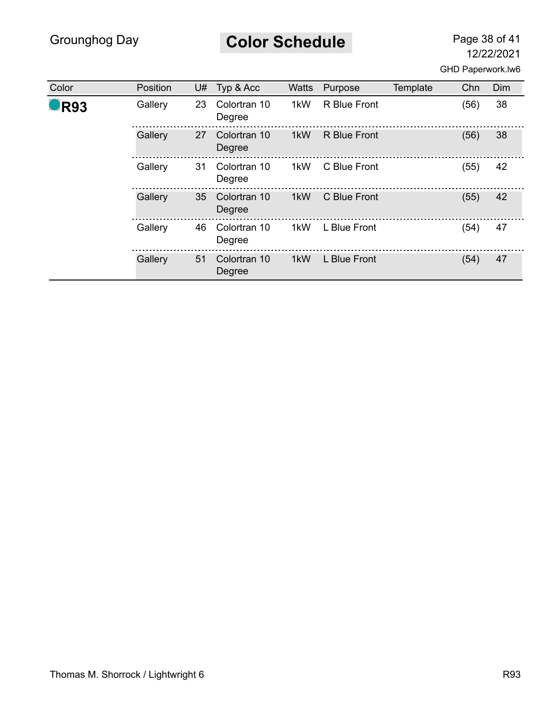# **Color Schedule** Page 38 of 41

| Color           | Position | U# | Typ & Acc              | Watts | Purpose             | Template | Chn  | Dim |
|-----------------|----------|----|------------------------|-------|---------------------|----------|------|-----|
| R <sub>93</sub> | Gallery  | 23 | Colortran 10<br>Degree | 1kW   | R Blue Front        |          | (56) | 38  |
|                 | Gallery  | 27 | Colortran 10<br>Degree | 1kW   | <b>R</b> Blue Front |          | (56) | 38  |
|                 | Gallery  | 31 | Colortran 10<br>Degree | 1kW   | C Blue Front        |          | (55) | 42  |
|                 | Gallery  | 35 | Colortran 10<br>Degree | 1kW   | C Blue Front        |          | (55) | 42  |
|                 | Gallery  | 46 | Colortran 10<br>Degree | 1kW   | L Blue Front        |          | (54) | 47  |
|                 | Gallery  | 51 | Colortran 10<br>Degree | 1kW   | L Blue Front        |          | (54) | 47  |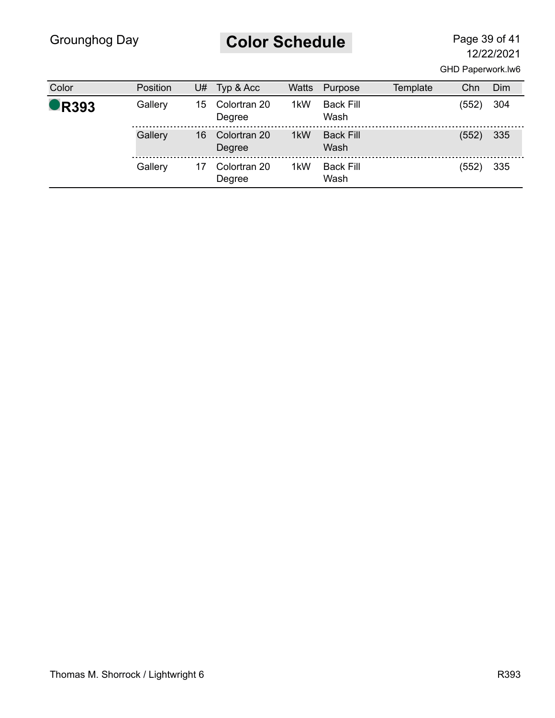#### **Color Schedule** Page 39 of 41

| Color               | Position | U# | Typ & Acc              | <b>Watts</b> | Purpose                  | Template | Chn   | Dim |
|---------------------|----------|----|------------------------|--------------|--------------------------|----------|-------|-----|
| $\blacksquare$ R393 | Gallery  | 15 | Colortran 20<br>Degree | 1kW          | <b>Back Fill</b><br>Wash |          | (552) | 304 |
|                     | Gallery  | 16 | Colortran 20<br>Degree | 1kW          | <b>Back Fill</b><br>Wash |          | (552) | 335 |
|                     | Gallery  |    | Colortran 20<br>Degree | 1kW          | <b>Back Fill</b><br>Wash |          | (552) | 335 |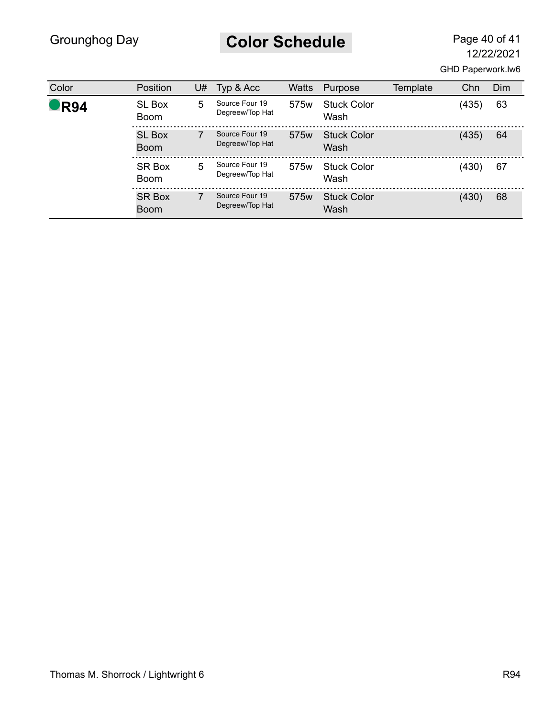**Color Schedule** Page 40 of 41

| Color | <b>Position</b>              | U# | Typ & Acc                         | Watts            | Purpose                    | Template | Chn   | Dim |
|-------|------------------------------|----|-----------------------------------|------------------|----------------------------|----------|-------|-----|
| R94   | <b>SL Box</b><br><b>Boom</b> | 5  | Source Four 19<br>Degreew/Top Hat | 575 <sub>w</sub> | <b>Stuck Color</b><br>Wash |          | (435) | 63  |
|       | <b>SL Box</b><br><b>Boom</b> |    | Source Four 19<br>Degreew/Top Hat | 575 <sub>w</sub> | <b>Stuck Color</b><br>Wash |          | (435) | 64  |
|       | <b>SR Box</b><br><b>Boom</b> | 5  | Source Four 19<br>Degreew/Top Hat | 575w             | <b>Stuck Color</b><br>Wash |          | (430) | 67  |
|       | <b>SR Box</b><br><b>Boom</b> |    | Source Four 19<br>Degreew/Top Hat | 575 <sub>w</sub> | <b>Stuck Color</b><br>Wash |          | (430) | 68  |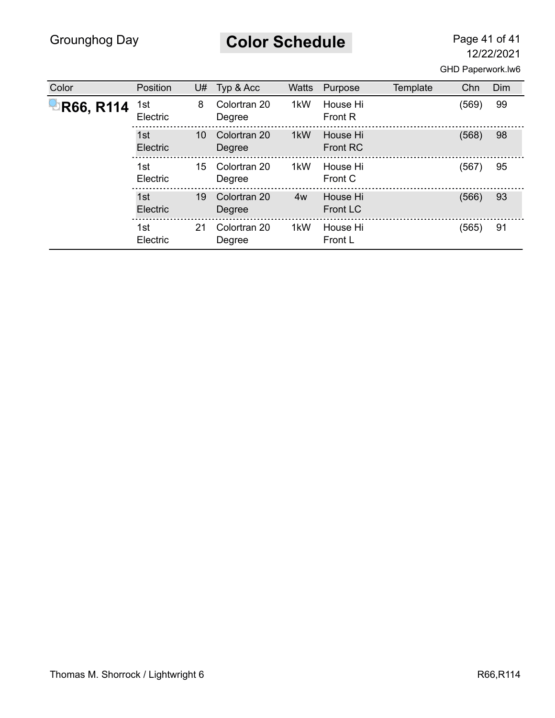**Color Schedule** Page 41 of 41

| Color     | Position        | U# | Typ & Acc              | <b>Watts</b> | Purpose                     | Template | Chn   | Dim |
|-----------|-----------------|----|------------------------|--------------|-----------------------------|----------|-------|-----|
| R66, R114 | 1st<br>Electric | 8  | Colortran 20<br>Degree | 1kW          | House Hi<br><b>Front R</b>  |          | (569) | 99  |
|           | 1st<br>Electric | 10 | Colortran 20<br>Degree | 1kW          | House Hi<br><b>Front RC</b> |          | (568) | 98  |
|           | 1st<br>Electric | 15 | Colortran 20<br>Degree | 1kW          | House Hi<br>Front C         |          | (567) | 95  |
|           | 1st<br>Electric | 19 | Colortran 20<br>Degree | 4w           | House Hi<br><b>Front LC</b> |          | (566) | 93  |
|           | 1st<br>Electric | 21 | Colortran 20<br>Degree | 1kW          | House Hi<br>Front L         |          | (565) | 91  |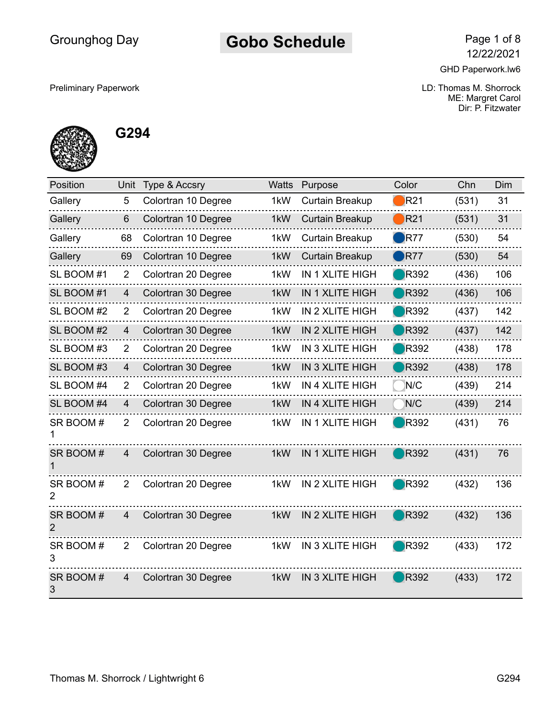#### Gobo Schedule Page 1 of 8

12/22/2021

GHD Paperwork.lw6

Preliminary Paperwork LD: Thomas M. Shorrock ME: Margret Carol Dir: P. Fitzwater



**G294**

| Position      | Unit           | Type & Accsry       | <b>Watts</b>     | Purpose                | Color                  | Chn   | Dim |
|---------------|----------------|---------------------|------------------|------------------------|------------------------|-------|-----|
| Gallery       | 5              | Colortran 10 Degree | 1kW              | <b>Curtain Breakup</b> | $\bigtriangledown$ R21 | (531) | 31  |
| Gallery       | 6              | Colortran 10 Degree | 1kW              | <b>Curtain Breakup</b> | $\bigtriangledown$ R21 | (531) | 31  |
| Gallery       | 68             | Colortran 10 Degree | 1kW              | Curtain Breakup        | $\blacksquare$ R77     | (530) | 54  |
| Gallery       | 69             | Colortran 10 Degree | 1kW              | <b>Curtain Breakup</b> | R77                    | (530) | 54  |
| SL BOOM #1    | $\overline{2}$ | Colortran 20 Degree | 1kW              | IN 1 XLITE HIGH        | <b>R</b> 392           | (436) | 106 |
| SL BOOM #1    | $\overline{4}$ | Colortran 30 Degree | 1kW              | <b>IN 1 XLITE HIGH</b> | <b>R</b> 392           | (436) | 106 |
| SL BOOM #2    | 2              | Colortran 20 Degree | 1kW              | IN 2 XLITE HIGH        | <b>R392</b>            | (437) | 142 |
| SL BOOM #2    | $\overline{4}$ | Colortran 30 Degree | 1kW              | IN 2 XLITE HIGH        | <b>R</b> 392           | (437) | 142 |
| SL BOOM #3    | 2              | Colortran 20 Degree | 1kW              | IN 3 XLITE HIGH        | <b>R</b> 392           | (438) | 178 |
| SL BOOM #3    | 4              | Colortran 30 Degree | 1kW              | <b>IN 3 XLITE HIGH</b> | <b>R</b> 392           | (438) | 178 |
| SL BOOM #4    | 2              | Colortran 20 Degree | 1kW              | IN 4 XLITE HIGH        | N/C                    | (439) | 214 |
| SL BOOM #4    | $\overline{4}$ | Colortran 30 Degree | 1kW              | IN 4 XLITE HIGH        | N/C                    | (439) | 214 |
| SR BOOM#      | $\overline{2}$ | Colortran 20 Degree | 1 <sub>k</sub> W | <b>IN 1 XLITE HIGH</b> | <b>R</b> 392           | (431) | 76  |
| SR BOOM#      | $\overline{4}$ | Colortran 30 Degree | 1 <sub>k</sub> W | <b>IN 1 XLITE HIGH</b> | <b>R</b> 392           | (431) | 76  |
| SR BOOM#<br>2 | 2              | Colortran 20 Degree | 1kW              | IN 2 XLITE HIGH        | <b>R</b> 392           | (432) | 136 |
| SR BOOM#<br>2 | $\overline{4}$ | Colortran 30 Degree | 1 <sub>k</sub> W | IN 2 XLITE HIGH        | <b>R</b> 392           | (432) | 136 |
| SR BOOM#<br>3 | $\overline{2}$ | Colortran 20 Degree | 1kW              | IN 3 XLITE HIGH        | <b>R</b> 392           | (433) | 172 |
| SR BOOM#<br>3 | $\overline{4}$ | Colortran 30 Degree | 1kW              | <b>IN 3 XLITE HIGH</b> | <b>R392</b>            | (433) | 172 |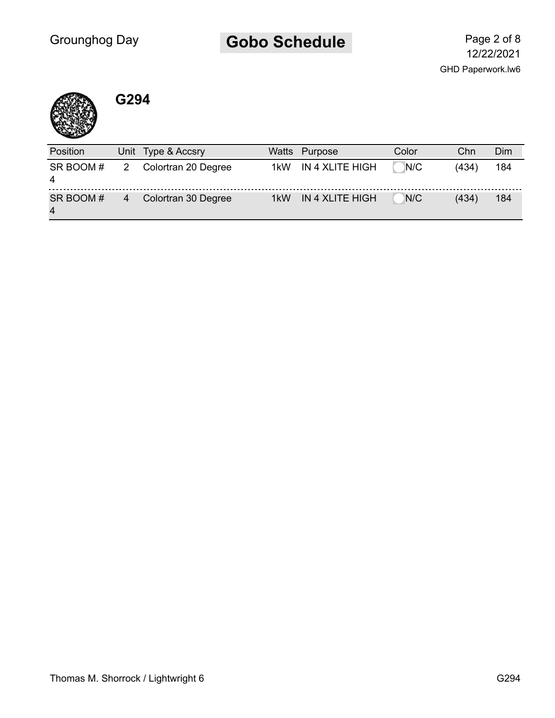# Gobo Schedule Page 2 of 8



#### **G294**

| Position                   | Unit Type & Accsry  | Watts | Purpose         | Color | Chn   | Dim |
|----------------------------|---------------------|-------|-----------------|-------|-------|-----|
| SR BOOM#<br>4              | Colortran 20 Degree | 1kW   | IN 4 XLITE HIGH | N/C   | (434) | 184 |
| SR BOOM#<br>$\overline{4}$ | Colortran 30 Degree | 1kW   | IN 4 XLITE HIGH | N/C   | (434) | 184 |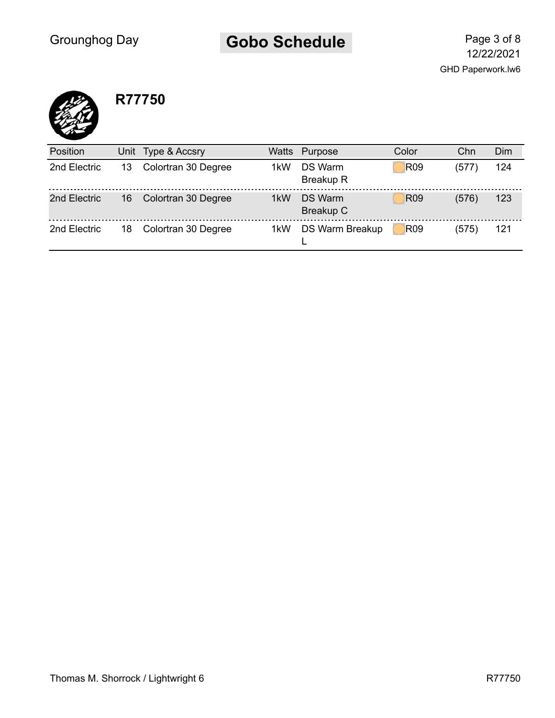#### Gobo Schedule Page 3 of 8



#### **R77750**

| Position     | Unit | Type & Accsry       | Watts            | Purpose                     | Color           | Chn   | Dim |
|--------------|------|---------------------|------------------|-----------------------------|-----------------|-------|-----|
| 2nd Electric | 13   | Colortran 30 Degree | 1 <sub>k</sub> W | DS Warm<br><b>Breakup R</b> | R <sub>09</sub> | (577) | 124 |
| 2nd Electric | 16   | Colortran 30 Degree | 1 <sub>k</sub> W | <b>DS Warm</b><br>Breakup C | <b>R09</b>      | (576) | 123 |
| 2nd Electric | 18   | Colortran 30 Degree | 1kW              | <b>DS Warm Breakup</b>      | <b>R09</b>      | (575) | 121 |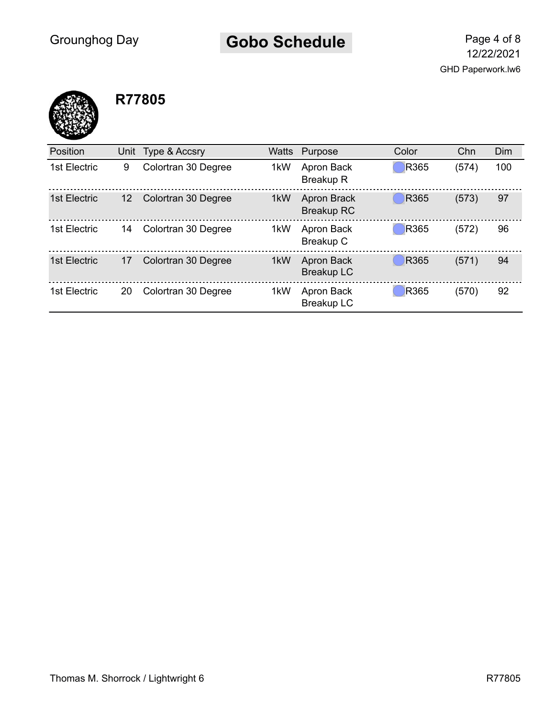# Gobo Schedule Page 4 of 8



| <b>Position</b> | Unit | Type & Accsry       | Watts | Purpose                                 | Color       | Chn   | Dim |
|-----------------|------|---------------------|-------|-----------------------------------------|-------------|-------|-----|
| 1st Electric    | 9    | Colortran 30 Degree | 1kW   | Apron Back<br><b>Breakup R</b>          | R365        | (574) | 100 |
| 1st Electric    | 12   | Colortran 30 Degree | 1kW   | <b>Apron Brack</b><br><b>Breakup RC</b> | R365        | (573) | 97  |
| 1st Electric    | 14   | Colortran 30 Degree | 1kW   | Apron Back<br>Breakup C                 | R365        | (572) | 96  |
| 1st Electric    | 17   | Colortran 30 Degree | 1kW   | Apron Back<br><b>Breakup LC</b>         | R365        | (571) | 94  |
| 1st Electric    | 20   | Colortran 30 Degree | 1kW   | Apron Back<br><b>Breakup LC</b>         | <b>R365</b> | (570) | 92  |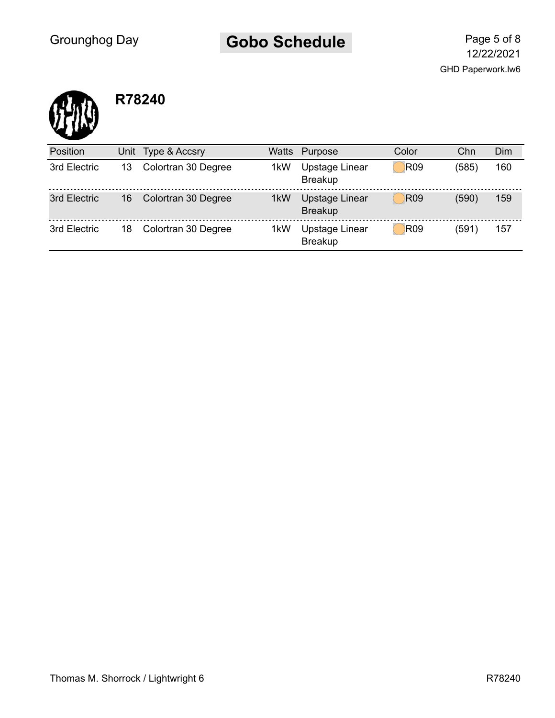# Gobo Schedule Page 5 of 8



| Position     | Unit | Type & Accsry       | Watts | Purpose                          | Color      | Chn   | Dim |
|--------------|------|---------------------|-------|----------------------------------|------------|-------|-----|
| 3rd Electric | 13   | Colortran 30 Degree | 1kW   | Upstage Linear<br><b>Breakup</b> | <b>R09</b> | (585) | 160 |
| 3rd Electric | 16   | Colortran 30 Degree | 1kW   | Upstage Linear<br><b>Breakup</b> | <b>R09</b> | (590) | 159 |
| 3rd Electric | 18   | Colortran 30 Degree | 1kW   | Upstage Linear<br><b>Breakup</b> | <b>R09</b> | (591) | 157 |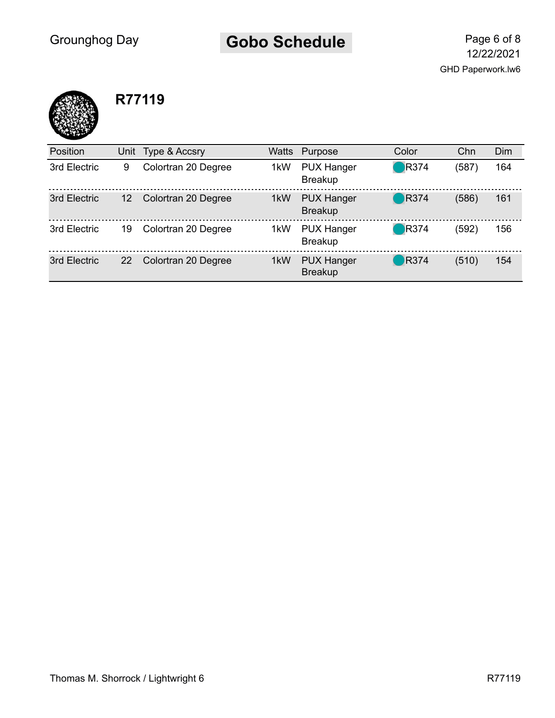# Gobo Schedule Page 6 of 8



| <b>Position</b> |    | Unit Type & Accsry  | Watts | Purpose                             | Color                   | Chn   | Dim |
|-----------------|----|---------------------|-------|-------------------------------------|-------------------------|-------|-----|
| 3rd Electric    | 9  | Colortran 20 Degree | 1kW   | <b>PUX Hanger</b><br><b>Breakup</b> | $\blacksquare$ R374     | (587) | 164 |
| 3rd Electric    | 12 | Colortran 20 Degree | 1kW   | <b>PUX Hanger</b><br><b>Breakup</b> | $\bigcirc$ R374         | (586) | 161 |
| 3rd Electric    | 19 | Colortran 20 Degree | 1kW   | <b>PUX Hanger</b><br><b>Breakup</b> | $\blacksquare$ R374     | (592) | 156 |
| 3rd Electric    | 22 | Colortran 20 Degree | 1kW   | <b>PUX Hanger</b><br><b>Breakup</b> | $\bigtriangledown$ R374 | (510) | 154 |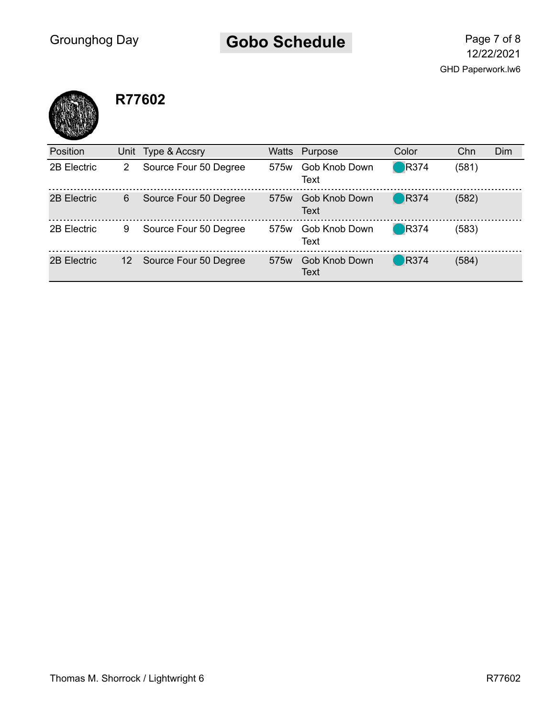# Gobo Schedule Page 7 of 8



| <b>Position</b> |    | Unit Type & Accsry    |                  | Watts Purpose         | Color               | Chn   | Dim |
|-----------------|----|-----------------------|------------------|-----------------------|---------------------|-------|-----|
| 2B Electric     | 2  | Source Four 50 Degree | 575 <sub>w</sub> | Gob Knob Down<br>Text | $\blacksquare$ R374 | (581) |     |
| 2B Electric     | 6  | Source Four 50 Degree | 575 <sub>w</sub> | Gob Knob Down<br>Text | $\blacksquare$ R374 | (582) |     |
| 2B Electric     | 9  | Source Four 50 Degree | 575 <sub>w</sub> | Gob Knob Down<br>Text | $\blacksquare$ R374 | (583) |     |
| 2B Electric     | 12 | Source Four 50 Degree | 575 <sub>w</sub> | Gob Knob Down<br>Text | $\big)$ R374        | (584) |     |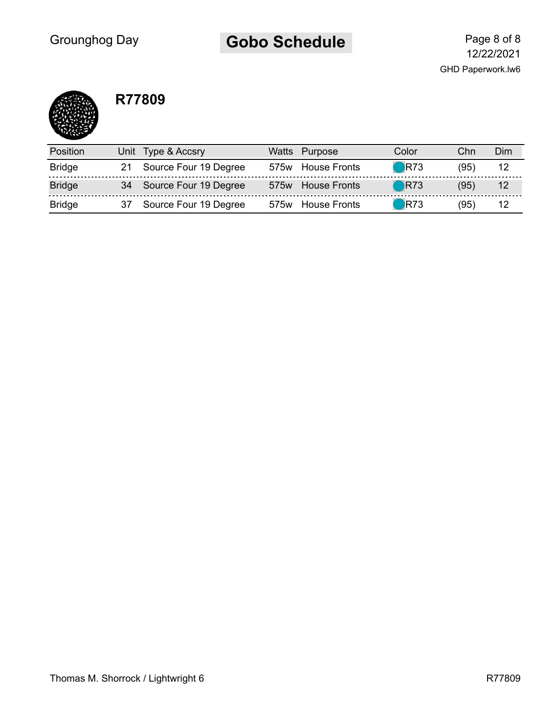# Gobo Schedule Page 8 of 8

GHD Paperwork.lw6 12/22/2021

| <b>Position</b> | Unit Type & Accsry       | Watts | Purpose           | Color                        | Chn  | Dim |
|-----------------|--------------------------|-------|-------------------|------------------------------|------|-----|
| <b>Bridge</b>   | 21 Source Four 19 Degree |       | 575w House Fronts | <b>R73</b>                   | (95) |     |
| <b>Bridge</b>   | 34 Source Four 19 Degree |       | 575w House Fronts | $\blacksquare$ R73           | (95) | 12  |
| <b>Bridge</b>   | Source Four 19 Degree    |       | 575w House Fronts | $\overline{\phantom{0}}$ R73 | (95) |     |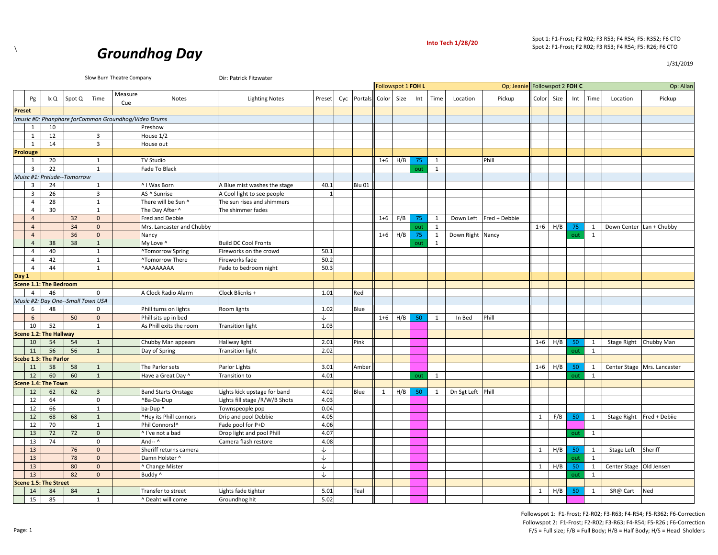

1/31/2019



|        |                         |                               |                             |                                   | Slow Burn Theatre Company                            |                              | Dir: Patrick Fitzwater        |        |                   |              |                    |     |              |                   |               |              |                    |     |              |                           |                             |
|--------|-------------------------|-------------------------------|-----------------------------|-----------------------------------|------------------------------------------------------|------------------------------|-------------------------------|--------|-------------------|--------------|--------------------|-----|--------------|-------------------|---------------|--------------|--------------------|-----|--------------|---------------------------|-----------------------------|
|        |                         |                               |                             |                                   |                                                      |                              |                               |        |                   |              | Followspot 1 FOH L |     |              |                   | Op; Jeanie    |              | Followspot 2 FOH C |     |              |                           | Op: Allan                   |
|        | Pg                      | lx Q                          | Spot Q                      | Time                              | Measure<br>Cue                                       | Notes                        | <b>Lighting Notes</b>         | Preset | Cyc Portals Color |              | Size               | Int | Time         | Location          | Pickup        | Color        | Size               | Int | Time         | Location                  | Pickup                      |
| Preset |                         |                               |                             |                                   |                                                      |                              |                               |        |                   |              |                    |     |              |                   |               |              |                    |     |              |                           |                             |
|        |                         |                               |                             |                                   | Imusic #0: Phanphare forCommon Groundhog/Video Drums |                              |                               |        |                   |              |                    |     |              |                   |               |              |                    |     |              |                           |                             |
|        | 1                       | 10                            |                             |                                   |                                                      | Preshow                      |                               |        |                   |              |                    |     |              |                   |               |              |                    |     |              |                           |                             |
|        | 1                       | 12                            |                             | $\mathbf{3}$                      |                                                      | House 1/2                    |                               |        |                   |              |                    |     |              |                   |               |              |                    |     |              |                           |                             |
|        | 1                       | 14                            |                             | $\overline{3}$                    |                                                      | House out                    |                               |        |                   |              |                    |     |              |                   |               |              |                    |     |              |                           |                             |
|        | Prolouge                |                               |                             |                                   |                                                      |                              |                               |        |                   |              |                    |     |              |                   |               |              |                    |     |              |                           |                             |
|        | 1                       | 20                            |                             | 1                                 |                                                      | TV Studio                    |                               |        |                   | $1+6$ H/B    |                    | 75  | 1            |                   | Phill         |              |                    |     |              |                           |                             |
|        | 3                       | 22                            |                             | 1                                 |                                                      | Fade To Black                |                               |        |                   |              |                    | out | 1            |                   |               |              |                    |     |              |                           |                             |
|        |                         |                               | Muisc #1: Prelude--Tomorrow |                                   |                                                      |                              |                               |        |                   |              |                    |     |              |                   |               |              |                    |     |              |                           |                             |
|        | $\overline{\mathbf{3}}$ | 24                            |                             | 1                                 |                                                      | ^ I Was Born                 | A Blue mist washes the stage  | 40.1   | <b>Blu 01</b>     |              |                    |     |              |                   |               |              |                    |     |              |                           |                             |
|        | 3                       | 26                            |                             | 3                                 |                                                      | AS ^ Sunrise                 | A Cool light to see people    |        |                   |              |                    |     |              |                   |               |              |                    |     |              |                           |                             |
|        | $\overline{4}$          | 28                            |                             | 1                                 |                                                      | There will be Sun ^          | The sun rises and shimmers    |        |                   |              |                    |     |              |                   |               |              |                    |     |              |                           |                             |
|        | $\overline{4}$          | 30                            |                             | $\mathbf{1}$                      |                                                      | The Day After ^              | The shimmer fades             |        |                   |              |                    |     |              |                   |               |              |                    |     |              |                           |                             |
|        | $\overline{4}$          |                               | 32                          | $\mathbf{0}$                      |                                                      | Fred and Debbie              |                               |        |                   | $1 + 6$      | F/B                | 75  | 1            | Down Left         | Fred + Debbie |              |                    |     |              |                           |                             |
|        | $\overline{4}$          |                               | 34                          | $\mathbf{0}$                      |                                                      | Mrs. Lancaster and Chubby    |                               |        |                   |              |                    | out | 1            |                   |               | $1 + 6$      | H/B                | 75  | $\mathbf{1}$ | Down Center Lan + Chubby  |                             |
|        | $\overline{4}$          |                               | 36                          | $\mathbf{0}$                      |                                                      | Nancy                        |                               |        |                   | $1 + 6$      | H/B                | 75  | 1            | Down Right Nancy  |               |              |                    | out | 1            |                           |                             |
|        | $\overline{4}$          | 38                            | 38                          | $\mathbf{1}$                      |                                                      | My Love ^                    | <b>Build DC Cool Fronts</b>   |        |                   |              |                    | out | 1            |                   |               |              |                    |     |              |                           |                             |
|        | $\overline{4}$          | 40                            |                             | 1                                 |                                                      | <b>^Tomorrow Spring</b>      | Fireworks on the crowd        | 50.1   |                   |              |                    |     |              |                   |               |              |                    |     |              |                           |                             |
|        | $\overline{4}$          | 42                            |                             | 1                                 |                                                      | <b>^Tomorrow There</b>       | Fireworks fade                | 50.2   |                   |              |                    |     |              |                   |               |              |                    |     |              |                           |                             |
|        | 4                       | 44                            |                             | $\mathbf{1}$                      |                                                      | AAAAAAAA                     | ade to bedroom night          | 50.3   |                   |              |                    |     |              |                   |               |              |                    |     |              |                           |                             |
| Day 1  |                         |                               |                             |                                   |                                                      |                              |                               |        |                   |              |                    |     |              |                   |               |              |                    |     |              |                           |                             |
|        |                         | <b>Scene 1.1: The Bedroom</b> |                             |                                   |                                                      |                              |                               |        |                   |              |                    |     |              |                   |               |              |                    |     |              |                           |                             |
|        | $\overline{4}$          | 46                            |                             | $\mathbf 0$                       |                                                      | A Clock Radio Alarm          | Clock Blicnks +               | 1.01   | Red               |              |                    |     |              |                   |               |              |                    |     |              |                           |                             |
|        |                         |                               |                             | Music #2: Day One--Small Town USA |                                                      |                              |                               |        |                   |              |                    |     |              |                   |               |              |                    |     |              |                           |                             |
|        | 6                       | 48                            |                             | 0                                 |                                                      | Phill turns on lights        | Room lights                   | 1.02   | Blue              |              |                    |     |              |                   |               |              |                    |     |              |                           |                             |
|        | 6                       |                               | 50                          | $\mathbf{0}$                      |                                                      | Phill sits up in bed         |                               | ↓      |                   | $1+6$        | H/B                | 50  | 1            | In Bed            | Phill         |              |                    |     |              |                           |                             |
|        | 10                      | 52                            |                             | $\mathbf{1}$                      |                                                      | As Phill exits the room      | <b>Transition light</b>       | 1.03   |                   |              |                    |     |              |                   |               |              |                    |     |              |                           |                             |
|        |                         | Scene 1.2: The Hallway        |                             |                                   |                                                      |                              |                               |        |                   |              |                    |     |              |                   |               |              |                    |     |              |                           |                             |
|        | 10                      | 54                            | 54                          | 1                                 |                                                      | Chubby Man appears           | Hallway light                 | 2.01   | Pink              |              |                    |     |              |                   |               | $1 + 6$      | H/B                | 50  | $\mathbf{1}$ | Stage Right Chubby Man    |                             |
|        | 11                      | 56                            | 56                          | $\mathbf{1}$                      |                                                      | Day of Spring                | <b>Transition light</b>       | 2.02   |                   |              |                    |     |              |                   |               |              |                    | out | $\mathbf{1}$ |                           |                             |
|        |                         | <b>Scebe 1.3: The Parlor</b>  |                             |                                   |                                                      |                              |                               |        |                   |              |                    |     |              |                   |               |              |                    |     |              |                           |                             |
|        | 11                      | 58                            | 58                          | $\mathbf{1}$                      |                                                      | The Parlor sets              | Parlor Lights                 | 3.01   | Amber             |              |                    |     |              |                   |               | $1 + 6$      | H/B                | 50  | 1            |                           | Center Stage Mrs. Lancaster |
|        | 12                      | 60                            | 60                          | $\mathbf{1}$                      |                                                      | Have a Great Day ^           | <b>Transition to</b>          | 4.01   |                   |              |                    | out | 1            |                   |               |              |                    | out | 1            |                           |                             |
|        |                         | Scene 1.4: The Town           |                             |                                   |                                                      |                              |                               |        |                   |              |                    |     |              |                   |               |              |                    |     |              |                           |                             |
|        | 12                      | 62                            | 62                          | $\overline{3}$                    |                                                      | <b>Band Starts Onstage</b>   | ights kick upstage for band   | 4.02   | Blue              | $\mathbf{1}$ | H/B                | 50  | $\mathbf{1}$ | Dn Sgt Left Phill |               |              |                    |     |              |                           |                             |
|        | 12                      | 64                            |                             | $\mathbf 0$                       |                                                      | ^Ba-Da-Dup                   | ights fill stage /R/W/B Shots | 4.03   |                   |              |                    |     |              |                   |               |              |                    |     |              |                           |                             |
|        | 12                      | 66                            |                             | $\mathbf{1}$                      |                                                      | ba-Dup ^                     | Townspeople pop               | 0.04   |                   |              |                    |     |              |                   |               |              |                    |     |              |                           |                             |
|        | 12                      | 68                            | 68                          | $\mathbf{1}$                      |                                                      | ^Hey its Phill connors       | Drip and pool Debbie          | 4.05   |                   |              |                    |     |              |                   |               | 1            | F/B                | 50  | $\mathbf{1}$ | Stage Right Fred + Debiie |                             |
|        | 12                      | 70                            |                             | 1                                 |                                                      | Phil Connors!^               | Fade pool for P+D             | 4.06   |                   |              |                    |     |              |                   |               |              |                    |     |              |                           |                             |
|        | 13                      | 72                            | 72                          | $\mathbf{0}$                      |                                                      | ^ I've not a bad             | Drop light and pool Phill     | 4.07   |                   |              |                    |     |              |                   |               |              |                    | out | 1            |                           |                             |
|        | 13                      | 74                            |                             | $\mathbf 0$                       |                                                      | And-- $\wedge$               | Camera flash restore          | 4.08   |                   |              |                    |     |              |                   |               |              |                    |     |              |                           |                             |
|        | 13                      |                               | 76                          | $\mathbf 0$                       |                                                      | Sheriff returns camera       |                               | ↓      |                   |              |                    |     |              |                   |               | $\mathbf{1}$ | H/B                | 50  | 1            | Stage Left                | Sheriff                     |
|        | 13                      |                               | 78                          | $\mathbf{0}$                      |                                                      | Damn Holster ^               |                               | ↓      |                   |              |                    |     |              |                   |               |              |                    | out | 1            |                           |                             |
|        | 13                      |                               | 80                          | $\mathbf{0}$                      |                                                      | ^ Change Mister              |                               | ↓      |                   |              |                    |     |              |                   |               | $\mathbf{1}$ | H/B                | 50  | 1            | Center Stage Old Jensen   |                             |
|        | 13                      |                               | 82                          | $\mathbf{0}$                      |                                                      | Buddy ^                      |                               | ↓      |                   |              |                    |     |              |                   |               |              |                    | out | 1            |                           |                             |
|        |                         | <b>Scene 1.5: The Street</b>  |                             |                                   |                                                      |                              |                               |        |                   |              |                    |     |              |                   |               |              |                    |     |              |                           |                             |
|        | 14                      | 84                            | 84                          | $\mathbf{1}$                      |                                                      | Transfer to street           | Lights fade tighter           | 5.01   | Teal              |              |                    |     |              |                   |               | 1            | H/B                | 50  | 1            | SR@ Cart                  | Ned                         |
|        | 15                      | 85                            |                             | 1                                 |                                                      | <sup>^</sup> Deaht will come | Groundhog hit                 | 5.02   |                   |              |                    |     |              |                   |               |              |                    |     |              |                           |                             |

Page: 1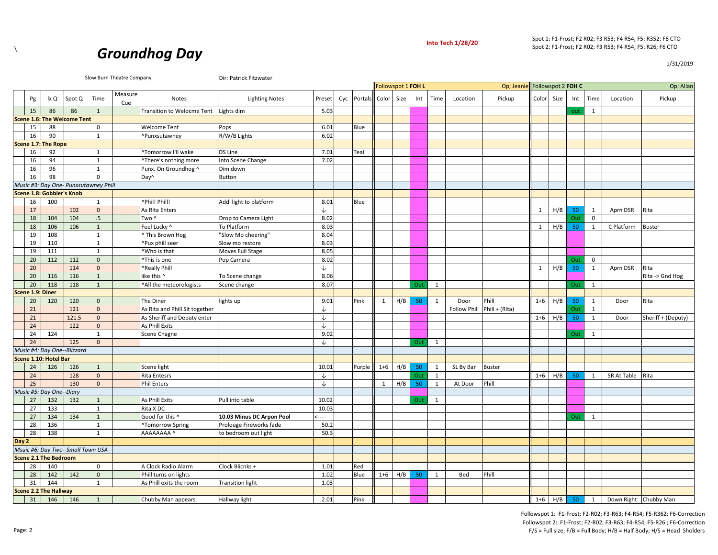

1/31/2019



|       |                  |                                    |        | Slow Burn Theatre Company             |                |                                | Dir: Patrick Fitzwater    |              |                        |                    |     |     |              |              |                |                    |           |     |              |                       |                    |
|-------|------------------|------------------------------------|--------|---------------------------------------|----------------|--------------------------------|---------------------------|--------------|------------------------|--------------------|-----|-----|--------------|--------------|----------------|--------------------|-----------|-----|--------------|-----------------------|--------------------|
|       |                  |                                    |        |                                       |                |                                |                           |              |                        | Followspot 1 FOH L |     |     |              |              | Op; Jeanie     | Followspot 2 FOH C |           |     |              |                       | Op: Allan          |
|       | Pg               | lx Q                               | Spot Q | Time                                  | Measure<br>Cue | Notes                          | <b>Lighting Notes</b>     | Preset       | Cyc Portals Color Size |                    |     | Int | Time         | Location     | Pickup         | Color Size         |           | Int | Time         | Location              | Pickup             |
|       | 15               | 86                                 | 86     | $\mathbf{1}$                          |                | Transition to Welocme Tent     | Lights dim                | 5.03         |                        |                    |     |     |              |              |                |                    |           | out | 1            |                       |                    |
|       |                  | <b>Scene 1.6: The Welcome Tent</b> |        |                                       |                |                                |                           |              |                        |                    |     |     |              |              |                |                    |           |     |              |                       |                    |
|       | 15               | 88                                 |        | $\mathsf 0$                           |                | <b>Welcome Tent</b>            | Pops                      | 6.01         | Blue                   |                    |     |     |              |              |                |                    |           |     |              |                       |                    |
|       | 16               | 90                                 |        | $\mathbf{1}$                          |                | ^Punxsutawney                  | R/W/B Lights              | 6.02         |                        |                    |     |     |              |              |                |                    |           |     |              |                       |                    |
|       |                  | Scene 1.7: The Rope                |        |                                       |                |                                |                           |              |                        |                    |     |     |              |              |                |                    |           |     |              |                       |                    |
|       | 16               | 92                                 |        | 1                                     |                | ^Tomorrow I'll wake            | DS Line                   | 7.01         | Teal                   |                    |     |     |              |              |                |                    |           |     |              |                       |                    |
|       | 16               | 94                                 |        | 1                                     |                | ^There's nothing more          | Into Scene Change         | 7.02         |                        |                    |     |     |              |              |                |                    |           |     |              |                       |                    |
|       | 16               | 96                                 |        | $\mathbf{1}$                          |                | Punx. On Groundhog ^           | Dim down                  |              |                        |                    |     |     |              |              |                |                    |           |     |              |                       |                    |
|       | 16               | 98                                 |        | $\mathbf 0$                           |                | Day <sup>^</sup>               | <b>Button</b>             |              |                        |                    |     |     |              |              |                |                    |           |     |              |                       |                    |
|       |                  |                                    |        | Music #3: Day One- Punxsutawney Phill |                |                                |                           |              |                        |                    |     |     |              |              |                |                    |           |     |              |                       |                    |
|       |                  | Scene 1.8: Gobbler's Knob          |        |                                       |                |                                |                           |              |                        |                    |     |     |              |              |                |                    |           |     |              |                       |                    |
|       | 16               | 100                                |        | $\mathbf{1}$                          |                | ^Phil! Phill!                  | Add light to platform     | 8.01         | Blue                   |                    |     |     |              |              |                |                    |           |     |              |                       |                    |
|       | 17               |                                    | 102    | $\mathbf{0}$                          |                | As Rita Enters                 |                           | ↓            |                        |                    |     |     |              |              |                | 1                  | H/B       | 50  | 1            | Aprn DSR              | Rita               |
|       | 18               | 104                                | 104    | $.5\phantom{0}$                       |                | Two ^                          | Drop to Camera Light      | 8.02         |                        |                    |     |     |              |              |                |                    |           | Out | $\mathbf 0$  |                       |                    |
|       | 18               | 106                                | 106    | $\mathbf{1}$                          |                | Feel Lucky ^                   | To Platform               | 8.03         |                        |                    |     |     |              |              |                | 1                  | H/B       | 50  | 1            | C Platform            | <b>Buster</b>      |
|       | 19               | 108                                |        | $\mathbf{1}$                          |                | ^ This Brown Hog               | "Slow Mo cheering"        | 8.04         |                        |                    |     |     |              |              |                |                    |           |     |              |                       |                    |
|       | 19               | 110                                |        | $\mathbf{1}$                          |                | ^Pux phill seer                | Slow mo restore           | 8.03         |                        |                    |     |     |              |              |                |                    |           |     |              |                       |                    |
|       | 19               | 111                                |        | $\mathbf{1}$                          |                | NWho is that                   | Moves Full Stage          | 8.05         |                        |                    |     |     |              |              |                |                    |           |     |              |                       |                    |
|       | 20               | 112                                | 112    | $\mathbf{0}$                          |                | <b>"This is one</b>            | Pop Camera                | 8.02         |                        |                    |     |     |              |              |                |                    |           | Out | $\mathbf 0$  |                       |                    |
|       | 20               |                                    | 114    | $\mathbf{0}$                          |                | <b>^Really Phill</b>           |                           | $\downarrow$ |                        |                    |     |     |              |              |                | $\mathbf{1}$       | H/B       | 50  | $\mathbf{1}$ | Aprn DSR              | Rita               |
|       | 20               | 116                                | 116    | $\mathbf{1}$                          |                | like this ^                    | To Scene change           | 8.06         |                        |                    |     |     |              |              |                |                    |           |     |              |                       | Rita -> Gnd Hog    |
|       | 20               | 118                                | 118    | $\mathbf{1}$                          |                | ^All the meteorologists        | Scene change              | 8.07         |                        |                    |     | Out | 1            |              |                |                    |           | Out | 1            |                       |                    |
|       | Scene 1.9: Diner |                                    |        |                                       |                |                                |                           |              |                        |                    |     |     |              |              |                |                    |           |     |              |                       |                    |
|       | 20               | 120                                | 120    | $\mathbf{0}$                          |                | The Diner                      | lights up                 | 9.01         | Pink                   | 1                  | H/B | 50  | 1            | Door         | Phill          | $1 + 6$            | H/B       | 50  | 1            | Door                  | Rita               |
|       | 21               |                                    | 121    | $\mathbf{0}$                          |                | As Rita and Phill Sit together |                           | ↓            |                        |                    |     |     |              | Follow Phill | Phill + (Rita) |                    |           | Out | 1            |                       |                    |
|       | 21               |                                    | 121.5  | $\mathbf{0}$                          |                | As Sheriff and Deputy enter    |                           | ↓            |                        |                    |     |     |              |              |                | $1 + 6$            | H/B       | 50  | 1            | Door                  | Sheriff + (Deputy) |
|       | 24               |                                    | 122    | $\mathbf{0}$                          |                | As Phill Exits                 |                           | $\downarrow$ |                        |                    |     |     |              |              |                |                    |           |     |              |                       |                    |
|       | 24               | 124                                |        | 1                                     |                | Scene Chagne                   |                           | 9.02         |                        |                    |     |     |              |              |                |                    |           | Out | 1            |                       |                    |
|       | 24               |                                    | 125    | $\mathbf{0}$                          |                |                                |                           | ↓            |                        |                    |     | Out | 1            |              |                |                    |           |     |              |                       |                    |
|       |                  | Music #4: Day One--Blizzard        |        |                                       |                |                                |                           |              |                        |                    |     |     |              |              |                |                    |           |     |              |                       |                    |
|       |                  | Scene 1.10: Hotel Bar              |        |                                       |                |                                |                           |              |                        |                    |     |     |              |              |                |                    |           |     |              |                       |                    |
|       | 24               | 126                                | 126    | $\mathbf{1}$                          |                | Scene light                    |                           | 10.01        | Purple                 | $1 + 6$            | H/B | 50  | 1            | SL By Bar    | <b>Buster</b>  |                    |           |     |              |                       |                    |
|       | 24               |                                    | 128    | $\mathbf{0}$                          |                | <b>Rita Entesrs</b>            |                           | $\downarrow$ |                        |                    |     | Out | 1            |              |                | $1 + 6$            | H/B       | 50  | $\mathbf{1}$ | SR At Table           | Rita               |
|       | 25               |                                    | 130    | $\mathbf{0}$                          |                | Phil Enters                    |                           | ↓            |                        | 1                  | H/B | 50  | $\mathbf{1}$ | At Door      | Phill          |                    |           |     |              |                       |                    |
|       |                  | Music #5: Day One--Diary           |        |                                       |                |                                |                           |              |                        |                    |     |     |              |              |                |                    |           |     |              |                       |                    |
|       | 27               | 132                                | 132    | $\mathbf{1}$                          |                | As Phill Exits                 | Pull into table           | 10.02        |                        |                    |     | Out | 1            |              |                |                    |           |     |              |                       |                    |
|       | 27               | 133                                |        | $\mathbf{1}$                          |                | Rita X DC                      |                           | 10.03        |                        |                    |     |     |              |              |                |                    |           |     |              |                       |                    |
|       | 27               | 134                                | 134    | $1\,$                                 |                | Good for this ^                | 10.03 Minus DC Arpon Pool | $\leftarrow$ |                        |                    |     |     |              |              |                |                    |           | Out | 1            |                       |                    |
|       | 28               | 136                                |        | 1                                     |                | <b>^Tomorrow Spring</b>        | Prolouge Fireworks fade   | 50.2         |                        |                    |     |     |              |              |                |                    |           |     |              |                       |                    |
|       | 28               | 138                                |        | $\mathbf{1}$                          |                | AAAAAAAA ^                     | to bedroom out light      | 50.3         |                        |                    |     |     |              |              |                |                    |           |     |              |                       |                    |
| Day 2 |                  |                                    |        |                                       |                |                                |                           |              |                        |                    |     |     |              |              |                |                    |           |     |              |                       |                    |
|       |                  |                                    |        | Msuic #6: Day Two--Small Town USA     |                |                                |                           |              |                        |                    |     |     |              |              |                |                    |           |     |              |                       |                    |
|       |                  | <b>Scene 2.1 The Bedroom</b>       |        |                                       |                |                                |                           |              |                        |                    |     |     |              |              |                |                    |           |     |              |                       |                    |
|       | 28               | 140                                |        | $\mathbf 0$                           |                | A Clock Radio Alarm            | Clock Blicnks +           | 1.01         | Red                    |                    |     |     |              |              |                |                    |           |     |              |                       |                    |
|       | 28               | 142                                | 142    | $\mathbf{0}$                          |                | Phill turns on lights          |                           | 1.02         | Blue                   | $1 + 6$            | H/B | 50  | 1            | Bed          | Phill          |                    |           |     |              |                       |                    |
|       | 31               | 144                                |        | $\mathbf{1}$                          |                | As Phill exits the room        | <b>Transition light</b>   | 1.03         |                        |                    |     |     |              |              |                |                    |           |     |              |                       |                    |
|       |                  | <b>Scene 2.2 The Hallway</b>       |        |                                       |                |                                |                           |              |                        |                    |     |     |              |              |                |                    |           |     |              |                       |                    |
|       | 31               | 146                                | 146    | $\mathbf{1}$                          |                | Chubby Man appears             | Hallway light             | 2.01         | Pink                   |                    |     |     |              |              |                |                    | $1+6$ H/B | 50  | 1            | Down Right Chubby Man |                    |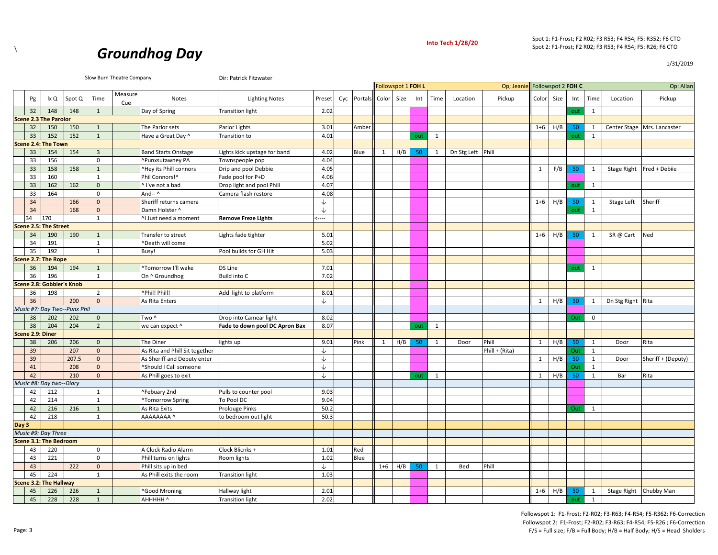

<u>es and Notes and Sighting Notes Preset Cyc Portals Color</u> Size Int Time Location Pickup Color Size Int Time Location Pickup Pickup Reset Pickup Color Size Int Time Location Pickup

Spot 1: F1‐Frost; F2 R02; F3 R53; F4 R54; F5: R352; F6 CTO Spot 2: F1‐Frost; F2 R02; F3 R53; F4 R54; F5: R26; F6 CTO

Op; Jeanie Op: Allan Followspot 1 **FOH L** Followspot 2 **FOH C**



Pg | Ix Q Spot Q | Time | Measure

Slow Burn Theatre Company **Dir: Patrick Fitzwater** 

|       | 32               | 148                           | 148   | 1              | Day of Spring                  | <b>Transition light</b>        | 2.02         |       |              |           |     |              |                   |                |         |     | out | 1            |                                     |                             |
|-------|------------------|-------------------------------|-------|----------------|--------------------------------|--------------------------------|--------------|-------|--------------|-----------|-----|--------------|-------------------|----------------|---------|-----|-----|--------------|-------------------------------------|-----------------------------|
|       |                  | <b>Scene 2.3 The Parolor</b>  |       |                |                                |                                |              |       |              |           |     |              |                   |                |         |     |     |              |                                     |                             |
|       | 32               | 150                           | 150   | 1              | The Parlor sets                | Parlor Lights                  | 3.01         | Amber |              |           |     |              |                   |                | $1 + 6$ | H/B | 50  | 1            |                                     | Center Stage Mrs. Lancaster |
|       | 33               | 152                           | 152   | $\overline{1}$ | Have a Great Day ^             | <b>Transition to</b>           | 4.01         |       |              |           | out | 1            |                   |                |         |     | out | 1            |                                     |                             |
|       |                  | Scene 2.4: The Town           |       |                |                                |                                |              |       |              |           |     |              |                   |                |         |     |     |              |                                     |                             |
|       | 33               | 154                           | 154   | $\overline{3}$ | <b>Band Starts Onstage</b>     | Lights kick upstage for band   | 4.02         | Blue  | $\mathbf{1}$ | H/B       | 50  | $\mathbf{1}$ | Dn Stg Left Phill |                |         |     |     |              |                                     |                             |
|       | 33               | 156                           |       | $\mathbf 0$    | ^Punxsutawney PA               | Townspeople pop                | 4.04         |       |              |           |     |              |                   |                |         |     |     |              |                                     |                             |
|       | 33               | 158                           | 158   | 1              | ^Hey its Phill connors         | Drip and pool Debbie           | 4.05         |       |              |           |     |              |                   |                | 1       | F/B | 50  | 1            | Stage Right                         | Fred + Debiie               |
|       | 33               | 160                           |       | 1              | Phil Connors!^                 | Fade pool for P+D              | 4.06         |       |              |           |     |              |                   |                |         |     |     |              |                                     |                             |
|       | 33               | 162                           | 162   | $\mathbf{0}$   | ^ I've not a bad               | Drop light and pool Phill      | 4.07         |       |              |           |     |              |                   |                |         |     | out | 1            |                                     |                             |
|       | 33               | 164                           |       | $\mathsf 0$    | And-- ^                        | Camera flash restore           | 4.08         |       |              |           |     |              |                   |                |         |     |     |              |                                     |                             |
|       | 34               |                               | 166   | $\mathbf{0}$   | Sheriff returns camera         |                                | ↓            |       |              |           |     |              |                   |                | $1 + 6$ | H/B | 50  | 1            | Stage Left                          | Sheriff                     |
|       | 34               |                               | 168   | $\mathbf{0}$   | Damn Holster ^                 |                                | ↓            |       |              |           |     |              |                   |                |         |     | out | 1            |                                     |                             |
|       | 34               | 170                           |       | 1              | ^I Just need a moment          | <b>Remove Freze Lights</b>     | $\leftarrow$ |       |              |           |     |              |                   |                |         |     |     |              |                                     |                             |
|       |                  | <b>Scene 2.5: The Street</b>  |       |                |                                |                                |              |       |              |           |     |              |                   |                |         |     |     |              |                                     |                             |
|       | 34               | 190                           | 190   | 1              | Transfer to street             | Lights fade tighter            | 5.01         |       |              |           |     |              |                   |                | $1 + 6$ | H/B | 50  | 1            | SR @ Cart                           | Ned                         |
|       | 34               | 191                           |       | 1              | ^Death will come               |                                | 5.02         |       |              |           |     |              |                   |                |         |     |     |              |                                     |                             |
|       | 35               | 192                           |       | $\mathbf{1}$   | Busy!                          | Pool builds for GH Hit         | 5.03         |       |              |           |     |              |                   |                |         |     |     |              |                                     |                             |
|       |                  | Scene 2.7: The Rope           |       |                |                                |                                |              |       |              |           |     |              |                   |                |         |     |     |              |                                     |                             |
|       | 36               | 194                           | 194   | $\mathbf{1}$   | ^Tomorrow I'll wake            | DS Line                        | 7.01         |       |              |           |     |              |                   |                |         |     | out | 1            |                                     |                             |
|       | 36               | 196                           |       | 1              | On ^ Groundhog                 | <b>Build into C</b>            | 7.02         |       |              |           |     |              |                   |                |         |     |     |              |                                     |                             |
|       |                  | Scene 2.8: Gobbler's Knob     |       |                |                                |                                |              |       |              |           |     |              |                   |                |         |     |     |              |                                     |                             |
|       | 36               | 198                           |       | $\overline{2}$ | ^Phil! Phill!                  | Add light to platform          | 8.01         |       |              |           |     |              |                   |                |         |     |     |              |                                     |                             |
|       | 36               |                               | 200   | $\mathbf{0}$   | As Rita Enters                 |                                | $\downarrow$ |       |              |           |     |              |                   |                | 1       | H/B | 50  | 1            | Dn Stg Right Rita                   |                             |
|       |                  | Music #7: Day Two--Punx Phil  |       |                |                                |                                |              |       |              |           |     |              |                   |                |         |     |     |              |                                     |                             |
|       | 38               | 202                           | 202   | $\mathbf{0}$   | Two ^                          | Drop into Camear light         | 8.02         |       |              |           |     |              |                   |                |         |     | Out | $\mathbf{0}$ |                                     |                             |
|       | 38               | 204                           | 204   | $\overline{2}$ | we can expect ^                | Fade to down pool DC Apron Bax | 8.07         |       |              |           | out | 1            |                   |                |         |     |     |              |                                     |                             |
|       | Scene 2.9: Diner |                               |       |                |                                |                                |              |       |              |           |     |              |                   |                |         |     |     |              |                                     |                             |
|       | 38               | 206                           | 206   | $\mathbf{0}$   | The Diner                      | lights up                      | 9.01         | Pink  | 1            | H/B       | 50  | $\mathbf{1}$ | Door              | Phill          | 1       | H/B | 50  | $\mathbf{1}$ | Door                                | Rita                        |
|       | 39               |                               | 207   | $\mathbf{0}$   | As Rita and Phill Sit together |                                | $\downarrow$ |       |              |           |     |              |                   | Phill + (Rita) |         |     | Out | 1            |                                     |                             |
|       | 39               |                               | 207.5 | $\mathbf{0}$   | As Sheriff and Deputy enter    |                                | ↓            |       |              |           |     |              |                   |                | 1       | H/B | 50  | 1            | Door                                | Sheriff + (Deputy)          |
|       | 41               |                               | 208   | $\mathbf{0}$   | ^Should I Call someone         |                                | $\downarrow$ |       |              |           |     |              |                   |                |         |     | Out | 1            |                                     |                             |
|       | 42               |                               | 210   | $\mathbf{0}$   | As Phill goes to exit          |                                | ↓            |       |              |           | out | 1            |                   |                | 1       | H/B | 50  | 1            | Bar                                 | Rita                        |
|       |                  | Music #8: Day two--Diary      |       |                |                                |                                |              |       |              |           |     |              |                   |                |         |     |     |              |                                     |                             |
|       | 42               | 212                           |       | 1              | ^Febuary 2nd                   | Pulls to counter pool          | 9.03         |       |              |           |     |              |                   |                |         |     |     |              |                                     |                             |
|       | 42               | 214                           |       | 1              | ^Tomorrow Spring               | To Pool DC                     | 9.04         |       |              |           |     |              |                   |                |         |     |     |              |                                     |                             |
|       | 42               | 216                           | 216   | 1              | As Rita Exits                  | <b>Prolouge Pinks</b>          | 50.2         |       |              |           |     |              |                   |                |         |     | Out | 1            |                                     |                             |
|       | 42               | 218                           |       | 1              | AAAAAAAA ^                     | to bedroom out light           | 50.3         |       |              |           |     |              |                   |                |         |     |     |              |                                     |                             |
| Day 3 |                  |                               |       |                |                                |                                |              |       |              |           |     |              |                   |                |         |     |     |              |                                     |                             |
|       |                  | Music #9: Day Three           |       |                |                                |                                |              |       |              |           |     |              |                   |                |         |     |     |              |                                     |                             |
|       |                  | <b>Scene 3.1: The Bedroom</b> |       |                |                                |                                |              |       |              |           |     |              |                   |                |         |     |     |              |                                     |                             |
|       | 43               | 220                           |       | $\mathbf 0$    | A Clock Radio Alarm            | Clock Blicnks +                | 1.01         | Red   |              |           |     |              |                   |                |         |     |     |              |                                     |                             |
|       | 43               | 221                           |       | $\Omega$       | Phill turns on lights          | Room lights                    | 1.02         | Blue  |              |           |     |              |                   |                |         |     |     |              |                                     |                             |
|       | 43               |                               | 222   | $\mathbf{0}$   | Phill sits up in bed           |                                | ↓            |       |              | $1+6$ H/B | 50  | 1            | Bed               | Phill          |         |     |     |              |                                     |                             |
|       | 45               | 224                           |       | 1              | As Phill exits the room        | <b>Transition light</b>        | 1.03         |       |              |           |     |              |                   |                |         |     |     |              |                                     |                             |
|       |                  | Scene 3.2: The Hallway        |       |                |                                |                                |              |       |              |           |     |              |                   |                |         |     |     |              |                                     |                             |
|       | 45               | 226 226                       |       | $\overline{1}$ | ^Good Mroning                  | Hallway light                  | 2.01         |       |              |           |     |              |                   |                |         |     |     |              | 1+6 H/B 50 1 Stage Right Chubby Man |                             |

45 228 228 1 AHHHHH ^ Transition light 2.02 out 1

1/31/2019

Followspot 1: F1‐Frost; F2‐R02; F3‐R63; F4‐R54; F5‐R362; F6‐Correction Followspot 2: F1‐Frost; F2‐R02; F3‐R63; F4‐R54; F5‐R26 ; F6‐Correction F/S = Full size; F/B = Full Body; H/B = Half Body; H/S = Head Sholders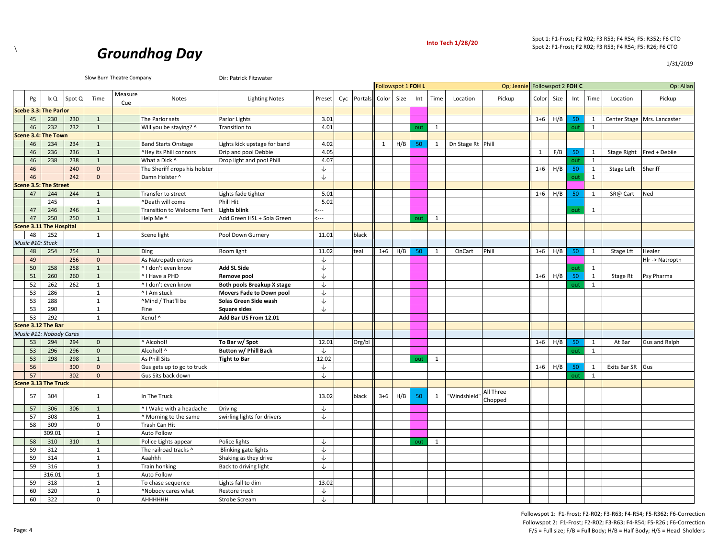



1/31/2019

|                  |                                |        |                | Slow Burn Theatre Company |                                               | Dir: Patrick Fitzwater         |              |     |         |              |                    |     |              |                   |                               |           |      |     |              |                  |                             |
|------------------|--------------------------------|--------|----------------|---------------------------|-----------------------------------------------|--------------------------------|--------------|-----|---------|--------------|--------------------|-----|--------------|-------------------|-------------------------------|-----------|------|-----|--------------|------------------|-----------------------------|
|                  |                                |        |                |                           |                                               |                                |              |     |         |              | Followspot 1 FOH L |     |              |                   | Op; Jeanie Followspot 2 FOH C |           |      |     |              |                  | Op: Allan                   |
| Pg               | lx Q                           | Spot Q | Time           | Measure<br>Cue            | Notes                                         | <b>Lighting Notes</b>          | Preset       | Cyc | Portals | Color        | Size               | Int | Time         | Location          | Pickup                        | Color     | Size | Int | Time         | Location         | Pickup                      |
|                  | Scebe 3.3: The Parlor          |        |                |                           |                                               |                                |              |     |         |              |                    |     |              |                   |                               |           |      |     |              |                  |                             |
| 45               | 230                            | 230    | 1              |                           | The Parlor sets                               | Parlor Lights                  | 3.01         |     |         |              |                    |     |              |                   |                               | $1 + 6$   | H/B  | 50  | 1            |                  | Center Stage Mrs. Lancaster |
| 46               | 232                            | 232    | $\mathbf{1}$   |                           | Will you be staying? ^                        | Transition to                  | 4.01         |     |         |              |                    | out | $\mathbf{1}$ |                   |                               |           |      | out | $\mathbf{1}$ |                  |                             |
|                  | Scene 3.4: The Town            |        |                |                           |                                               |                                |              |     |         |              |                    |     |              |                   |                               |           |      |     |              |                  |                             |
| 46               | 234                            | 234    | 1              |                           | <b>Band Starts Onstage</b>                    | Lights kick upstage for band   | 4.02         |     |         | $\mathbf{1}$ | H/B                | 50  | $\mathbf{1}$ | Dn Stage Rt Phill |                               |           |      |     |              |                  |                             |
| 46               | 236                            | 236    | $\mathbf{1}$   |                           | ^Hey its Phill connors                        | Drip and pool Debbie           | 4.05         |     |         |              |                    |     |              |                   |                               | 1         | F/B  | 50  | 1            |                  | Stage Right Fred + Debiie   |
| 46               | 238                            | 238    | 1              |                           | What a Dick ^                                 | Drop light and pool Phill      | 4.07         |     |         |              |                    |     |              |                   |                               |           |      | out | $\mathbf{1}$ |                  |                             |
| 46               |                                | 240    | $\mathbf{0}$   |                           | The Sheriff drops his holster                 |                                | ↓            |     |         |              |                    |     |              |                   |                               | $1+6$ H/B |      | 50  | 1            | Stage Left       | Sheriff                     |
| 46               |                                | 242    | $\mathbf{0}$   |                           | Damn Holster ^                                |                                | ↓            |     |         |              |                    |     |              |                   |                               |           |      | out | 1            |                  |                             |
|                  | Scene 3.5: The Street          |        |                |                           |                                               |                                |              |     |         |              |                    |     |              |                   |                               |           |      |     |              |                  |                             |
| 47               | 244                            | 244    | 1              |                           | Transfer to street                            | Lights fade tighter            | 5.01         |     |         |              |                    |     |              |                   |                               | $1 + 6$   | H/B  | 50  | 1            | SR@ Cart         | Ned                         |
|                  | 245                            |        | $\mathbf{1}$   |                           | ^Death will come                              | Phill Hit                      | 5.02         |     |         |              |                    |     |              |                   |                               |           |      |     |              |                  |                             |
| 47               | 246                            | 246    | $\mathbf{1}$   |                           | Transition to Welocme Tent                    | <b>Lights blink</b>            | $\leftarrow$ |     |         |              |                    |     |              |                   |                               |           |      | out | $\mathbf{1}$ |                  |                             |
| 47               | 250                            | 250    | $\mathbf{1}$   |                           | Help Me ^                                     | Add Green HSL + Sola Green     | $\leftarrow$ |     |         |              |                    | out | $\mathbf{1}$ |                   |                               |           |      |     |              |                  |                             |
|                  | <b>Scene 3.11 The Hospital</b> |        |                |                           |                                               |                                |              |     |         |              |                    |     |              |                   |                               |           |      |     |              |                  |                             |
| 48               | 252                            |        | 1              |                           | Scene light                                   | Pool Down Gurnery              | 11.01        |     | black   |              |                    |     |              |                   |                               |           |      |     |              |                  |                             |
| Music #10: Stuck |                                |        |                |                           |                                               |                                |              |     |         |              |                    |     |              |                   |                               |           |      |     |              |                  |                             |
| 48               | 254                            | 254    | 1              |                           | Ding                                          | Room light                     | 11.02        |     | teal    | $1 + 6$      | H/B                | 50  | 1            | OnCart            | Phill                         | $1 + 6$   | H/B  | 50  | 1            | Stage Lft        | Healer                      |
| 49               |                                | 256    | $\mathbf{0}$   |                           | As Natropath enters                           |                                | ↓            |     |         |              |                    |     |              |                   |                               |           |      |     |              |                  | Hlr -> Natropth             |
| 50               | 258                            | 258    | $\mathbf{1}$   |                           | I don't even know                             | Add SL Side                    | ↓            |     |         |              |                    |     |              |                   |                               |           |      | out | $\mathbf{1}$ |                  |                             |
| 51               | 260                            | 260    | $\overline{1}$ |                           | <sup>^</sup> I Have a PHD                     | Remove pool                    | $\downarrow$ |     |         |              |                    |     |              |                   |                               | $1 + 6$   | H/B  | 50  | $\mathbf{1}$ | Stage Rt         | Psy Pharma                  |
| 52               | 262                            | 262    | 1              |                           | ^ I don't even know                           | Both pools Breakup X stage     | $\downarrow$ |     |         |              |                    |     |              |                   |                               |           |      | out | 1            |                  |                             |
| 53               | 286                            |        | 1              |                           | ^ I Am stuck                                  | Movers Fade to Down pool       | $\downarrow$ |     |         |              |                    |     |              |                   |                               |           |      |     |              |                  |                             |
| 53               | 288                            |        | $\mathbf{1}$   |                           | ^Mind / That'll be                            | Solas Green Side wash          | $\downarrow$ |     |         |              |                    |     |              |                   |                               |           |      |     |              |                  |                             |
| 53               | 290                            |        | 1              |                           | Fine                                          | Square sides                   | ↓            |     |         |              |                    |     |              |                   |                               |           |      |     |              |                  |                             |
| 53               | 292                            |        | 1              |                           | Xenu! ^                                       | Add Bar US From 12.01          |              |     |         |              |                    |     |              |                   |                               |           |      |     |              |                  |                             |
|                  | Scene 3.12 The Bar             |        |                |                           |                                               |                                |              |     |         |              |                    |     |              |                   |                               |           |      |     |              |                  |                             |
|                  | Music #11: Nobody Cares        |        |                |                           |                                               |                                |              |     |         |              |                    |     |              |                   |                               |           |      |     |              |                  |                             |
| 53               | 294                            | 294    | $\mathbf{0}$   |                           | Alcohol!                                      | To Bar w/ Spot                 | 12.01        |     | Org/bl  |              |                    |     |              |                   |                               | $1 + 6$   | H/B  | 50  | 1            | At Bar           | <b>Gus and Ralph</b>        |
| 53               | 296                            | 296    | $\mathbf{0}$   |                           | Alcohol! ^                                    | <b>Button w/ Phill Back</b>    | ↓            |     |         |              |                    |     |              |                   |                               |           |      | out | $\mathbf{1}$ |                  |                             |
| 53               | 298                            | 298    | $\overline{1}$ |                           | As Phill Sits                                 | <b>Tight to Bar</b>            | 12.02        |     |         |              |                    | out | $\mathbf{1}$ |                   |                               |           |      |     |              |                  |                             |
| 56               |                                | 300    | $\mathbf{0}$   |                           | Gus gets up to go to truck                    |                                | $\downarrow$ |     |         |              |                    |     |              |                   |                               | $1 + 6$   | H/B  | 50  | 1            | Exits Bar SR Gus |                             |
| 57               |                                | 302    | $\Omega$       |                           | Gus Sits back down                            |                                | $\downarrow$ |     |         |              |                    |     |              |                   |                               |           |      | out | 1            |                  |                             |
|                  | <b>Scene 3.13 The Truck</b>    |        |                |                           |                                               |                                |              |     |         |              |                    |     |              |                   |                               |           |      |     |              |                  |                             |
| 57               | 304                            |        | $\mathbf{1}$   |                           | In The Truck                                  |                                | 13.02        |     | black   | $3+6$        | H/B                | 50  | $\mathbf{1}$ | "Windshield"      | All Three<br>Chopped          |           |      |     |              |                  |                             |
| 57               | 306                            | 306    | 1              |                           | <sup>^</sup> I Wake with a headache           | <b>Driving</b>                 | ↓            |     |         |              |                    |     |              |                   |                               |           |      |     |              |                  |                             |
| 57               | 308                            |        | 1              |                           | Morning to the same                           | swirling lights for drivers    | ↓            |     |         |              |                    |     |              |                   |                               |           |      |     |              |                  |                             |
| 58               | 309                            |        | $\mathbf 0$    |                           | Trash Can Hit                                 |                                |              |     |         |              |                    |     |              |                   |                               |           |      |     |              |                  |                             |
|                  | 309.01                         |        | $\mathbf{1}$   |                           | Auto Follow                                   |                                |              |     |         |              |                    |     |              |                   |                               |           |      |     |              |                  |                             |
| 58               | 310                            | 310    | $\overline{1}$ |                           |                                               | Police lights                  | $\downarrow$ |     |         |              |                    |     | $\mathbf{1}$ |                   |                               |           |      |     |              |                  |                             |
| 59               | 312                            |        | 1              |                           | Police Lights appear<br>The railroad tracks ^ | Blinking gate lights           | ↓            |     |         |              |                    | out |              |                   |                               |           |      |     |              |                  |                             |
| 59               | 314                            |        | 1              |                           | Aaahhh                                        |                                | $\downarrow$ |     |         |              |                    |     |              |                   |                               |           |      |     |              |                  |                             |
| 59               | 316                            |        | 1              |                           |                                               | Shaking as they drive          | $\downarrow$ |     |         |              |                    |     |              |                   |                               |           |      |     |              |                  |                             |
|                  | 316.01                         |        | $\mathbf{1}$   |                           | Train honking                                 | Back to driving light          |              |     |         |              |                    |     |              |                   |                               |           |      |     |              |                  |                             |
| 59               | 318                            |        | $\mathbf{1}$   |                           | Auto Follow                                   | ights fall to dim              | 13.02        |     |         |              |                    |     |              |                   |                               |           |      |     |              |                  |                             |
| 60               | 320                            |        | $\mathbf{1}$   |                           | To chase sequence<br>Nobody cares what        |                                | ↓            |     |         |              |                    |     |              |                   |                               |           |      |     |              |                  |                             |
| 60               | 322                            |        | $\Omega$       |                           | АННННН                                        | Restore truck<br>Strobe Scream | ↓            |     |         |              |                    |     |              |                   |                               |           |      |     |              |                  |                             |
|                  |                                |        |                |                           |                                               |                                |              |     |         |              |                    |     |              |                   |                               |           |      |     |              |                  |                             |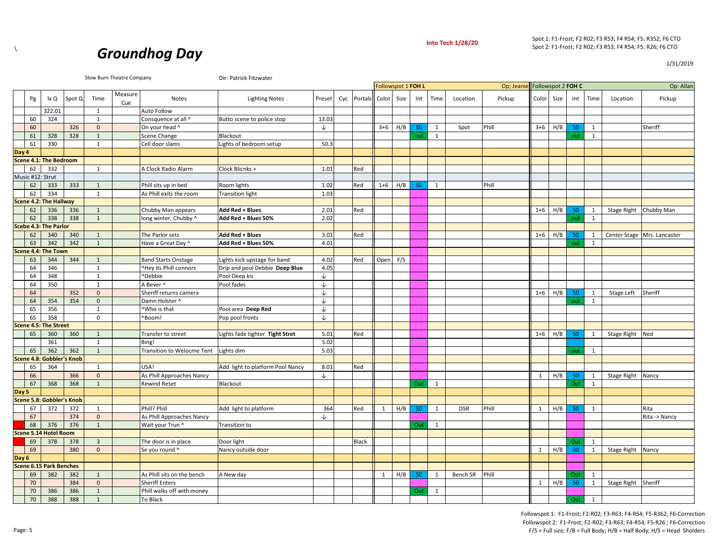

1/31/2019



|       |                  |                                |        |                | Slow Burn Theatre Company |                            | Dir: Patrick Fitzwater           |              |     |         |         |                    |     |              |            |            |                    |     |     |              |                        |                             |
|-------|------------------|--------------------------------|--------|----------------|---------------------------|----------------------------|----------------------------------|--------------|-----|---------|---------|--------------------|-----|--------------|------------|------------|--------------------|-----|-----|--------------|------------------------|-----------------------------|
|       |                  |                                |        |                |                           |                            |                                  |              |     |         |         | Followspot 1 FOH L |     |              |            | Op; Jeanie | Followspot 2 FOH C |     |     |              |                        | Op: Allan                   |
|       | Pg               | lx Q                           | Spot Q | Time           | Measure<br>Cue            | Notes                      | <b>Lighting Notes</b>            | Preset       | Cyc | Portals | Color   | Size               | Int | Time         | Location   | Pickup     | Color Size         |     | Int | Time         | Location               | Pickup                      |
|       |                  | 322.01                         |        | 1              |                           | Auto Follow                |                                  |              |     |         |         |                    |     |              |            |            |                    |     |     |              |                        |                             |
|       | 60               | 324                            |        | $\mathbf{1}$   |                           | Consquence at all ^        | Butto scene to police stop       | 13.03        |     |         |         |                    |     |              |            |            |                    |     |     |              |                        |                             |
|       | 60               |                                | 326    | $\mathbf{0}$   |                           | On your head ^             |                                  | $\downarrow$ |     |         | $3 + 6$ | H/B                | 50  | 1            | Spot       | Phill      | $3+6$              | H/B | 50  | 1            |                        | Sheriff                     |
|       | 61               | 328                            | 328    | $\mathbf{1}$   |                           | Scene Change               | Blackout                         |              |     |         |         |                    | out | $\mathbf{1}$ |            |            |                    |     | out | 1            |                        |                             |
|       | 61               | 330                            |        | $\mathbf{1}$   |                           | Cell door slams            | ights of bedroom setup           | 50.3         |     |         |         |                    |     |              |            |            |                    |     |     |              |                        |                             |
| Day 4 |                  |                                |        |                |                           |                            |                                  |              |     |         |         |                    |     |              |            |            |                    |     |     |              |                        |                             |
|       |                  | Scene 4.1: The Bedroom         |        |                |                           |                            |                                  |              |     |         |         |                    |     |              |            |            |                    |     |     |              |                        |                             |
|       | 62               | 332                            |        | $\mathbf{1}$   |                           | A Clock Radio Alarm        | Clock Blicnks +                  | 1.01         |     | Red     |         |                    |     |              |            |            |                    |     |     |              |                        |                             |
|       | Music #12: Strut |                                |        |                |                           |                            |                                  |              |     |         |         |                    |     |              |            |            |                    |     |     |              |                        |                             |
|       | 62               | 333                            | 333    | $\mathbf{1}$   |                           | Phill sits up in bed       | Room lights                      | 1.02         |     | Red     | $1 + 6$ | H/B                | 50  | 1            |            | Phill      |                    |     |     |              |                        |                             |
|       | 62               | 334                            |        | 1              |                           | As Phill exits the room    | <b>Transition light</b>          | 1.03         |     |         |         |                    |     |              |            |            |                    |     |     |              |                        |                             |
|       |                  | Scene 4.2: The Hallway         |        |                |                           |                            |                                  |              |     |         |         |                    |     |              |            |            |                    |     |     |              |                        |                             |
|       | 62               | 336                            | 336    | $\mathbf{1}$   |                           | Chubby Man appears         | Add Red + Blues                  | 2.01         |     | Red     |         |                    |     |              |            |            | $1+6$              | H/B | 50  | 1            | Stage Right Chubby Man |                             |
|       | 62               | 338                            | 338    | $\mathbf{1}$   |                           | long winter, Chubby ^      | Add Red + Blues 50%              | 2.02         |     |         |         |                    |     |              |            |            |                    |     | out | 1            |                        |                             |
|       |                  | <b>Scebe 4.3: The Parlor</b>   |        |                |                           |                            |                                  |              |     |         |         |                    |     |              |            |            |                    |     |     |              |                        |                             |
|       | 62               | 340                            | 340    | $\mathbf{1}$   |                           | The Parlor sets            | Add Red + Blues                  | 3.01         |     | Red     |         |                    |     |              |            |            | $1 + 6$            | H/B | 50  | 1            |                        | Center Stage Mrs. Lancaster |
|       | 63               | 342                            | 342    | 1              |                           | Have a Great Day ^         | Add Red + Blues 50%              | 4.01         |     |         |         |                    |     |              |            |            |                    |     | out | 1            |                        |                             |
|       |                  | Scene 4.4: The Town            |        |                |                           |                            |                                  |              |     |         |         |                    |     |              |            |            |                    |     |     |              |                        |                             |
|       | 63               | 344                            | 344    | $\mathbf{1}$   |                           | <b>Band Starts Onstage</b> | ights kick upstage for band      | 4.02         |     | Red     | Open    | F/S                |     |              |            |            |                    |     |     |              |                        |                             |
|       | 64               | 346                            |        | $\mathbf{1}$   |                           | AHey its Phill connors     | Drip and pool Debbie Deep Blue   | 4.05         |     |         |         |                    |     |              |            |            |                    |     |     |              |                        |                             |
|       | 64               | 348                            |        | $\mathbf{1}$   |                           | ^Debbie                    | Pool Deep kis                    | ↓            |     |         |         |                    |     |              |            |            |                    |     |     |              |                        |                             |
|       | 64               | 350                            |        | $\mathbf{1}$   |                           | A Bever ^                  | Pool fades                       | ↓            |     |         |         |                    |     |              |            |            |                    |     |     |              |                        |                             |
|       | 64               |                                | 352    | $\mathbf{0}$   |                           | Sheriff returns camera     |                                  | $\downarrow$ |     |         |         |                    |     |              |            |            | $1+6$              | H/B | 50  | 1            | Stage Left             | Sheriff                     |
|       | 64               | 354                            | 354    | $\mathbf 0$    |                           | Damn Holster ^             |                                  | ↓            |     |         |         |                    |     |              |            |            |                    |     | out | 1            |                        |                             |
|       | 65               | 356                            |        | 1              |                           | ^Who is that               | Pool area Deep Red               | ↓            |     |         |         |                    |     |              |            |            |                    |     |     |              |                        |                             |
|       | 65               | 358                            |        | $\mathbf 0$    |                           | ^Boom!                     | Pop pool fronts                  | $\downarrow$ |     |         |         |                    |     |              |            |            |                    |     |     |              |                        |                             |
|       |                  | <b>Scene 4.5: The Street</b>   |        |                |                           |                            |                                  |              |     |         |         |                    |     |              |            |            |                    |     |     |              |                        |                             |
|       | 65               | 360                            | 360    | $\mathbf{1}$   |                           | Transfer to street         | ights fade tighter Tight Stret   | 5.01         |     | Red     |         |                    |     |              |            |            | $1+6$              | H/B | 50  | 1            | Stage Right            | Ned                         |
|       |                  | 361                            |        | $\mathbf{1}$   |                           | Bing!                      |                                  | 5.02         |     |         |         |                    |     |              |            |            |                    |     |     |              |                        |                             |
|       | 65               | 362                            | 362    | $\mathbf{1}$   |                           | Transition to Welocme Tent | Lights dim                       | 5.03         |     |         |         |                    |     |              |            |            |                    |     | out | 1            |                        |                             |
|       |                  | Scene 4.8: Gobbler's Knob      |        |                |                           |                            |                                  |              |     |         |         |                    |     |              |            |            |                    |     |     |              |                        |                             |
|       | 65               | 364                            |        | $\mathbf{1}$   |                           | USA!                       | Add light to platform Pool Nancy | 8.01         |     | Red     |         |                    |     |              |            |            |                    |     |     |              |                        |                             |
|       | 66               |                                | 366    | $\mathbf{0}$   |                           | As Phill Approaches Nancy  |                                  | ↓            |     |         |         |                    |     |              |            |            | 1                  | H/B | 50  | 1            | Stage Right            | Nancy                       |
|       | 67               | 368                            | 368    | $\mathbf{1}$   |                           | <b>Rewind Reset</b>        | Blackout                         |              |     |         |         |                    | Out | 1            |            |            |                    |     | Out | 1            |                        |                             |
| Day 5 |                  |                                |        |                |                           |                            |                                  |              |     |         |         |                    |     |              |            |            |                    |     |     |              |                        |                             |
|       |                  | Scene 5.8: Gobbler's Knob      |        |                |                           |                            |                                  |              |     |         |         |                    |     |              |            |            |                    |     |     |              |                        |                             |
|       | 67               | 372                            | 372    | 1              |                           | Phill? Phill               | Add light to platform            | 364          |     | Red     | 1       | H/B                | 50  | 1            | <b>DSR</b> | Phill      | 1                  | H/B | 50  | $\mathbf{1}$ |                        | Rita                        |
|       | 67               |                                | 374    | $\mathbf{0}$   |                           | As Phill Approaches Nancy  |                                  | ↓            |     |         |         |                    |     |              |            |            |                    |     |     |              |                        | Rita -> Nancy               |
|       | 68               | 376                            | 376    | $\mathbf{1}$   |                           | Wait your Trun ^           | Transition to                    |              |     |         |         |                    | Out | $\mathbf{1}$ |            |            |                    |     |     |              |                        |                             |
|       |                  | <b>Scene 5.14 Hotel Room</b>   |        |                |                           |                            |                                  |              |     |         |         |                    |     |              |            |            |                    |     |     |              |                        |                             |
|       | 69               | 378                            | 378    | $\overline{3}$ |                           | The door is in place       | Door light                       |              |     | Black   |         |                    |     |              |            |            |                    |     | Out | 1            |                        |                             |
|       | 69               |                                | 380    | $\overline{0}$ |                           | Se you round ^             | Nancy outside door               |              |     |         |         |                    |     |              |            |            | 1                  | H/B | 50  | 1            | Stage Right            | Nancy                       |
| Day 6 |                  |                                |        |                |                           |                            |                                  |              |     |         |         |                    |     |              |            |            |                    |     |     |              |                        |                             |
|       |                  | <b>Scene 6.15 Park Benches</b> |        |                |                           |                            |                                  |              |     |         |         |                    |     |              |            |            |                    |     |     |              |                        |                             |
|       | 69               | 382                            | 382    | $\mathbf{1}$   |                           | As Phill sits on the bench | A New day                        |              |     |         | 1       | H/B                | 50  | 1            | Bench SR   | Phill      |                    |     | Out | 1            |                        |                             |
|       | 70               |                                | 384    | $\mathbf{0}$   |                           | <b>Sheriff Enters</b>      |                                  |              |     |         |         |                    |     |              |            |            | $\mathbf{1}$       | H/B | 50  | 1            | <b>Stage Right</b>     | Sheriff                     |
|       | 70               | 386                            | 386    | $\mathbf{1}$   |                           | Phill walks off with money |                                  |              |     |         |         |                    | Out | 1            |            |            |                    |     |     |              |                        |                             |
|       | 70               | 388                            | 388    | $\mathbf{1}$   |                           | To Black                   |                                  |              |     |         |         |                    |     |              |            |            |                    |     | Out | 1            |                        |                             |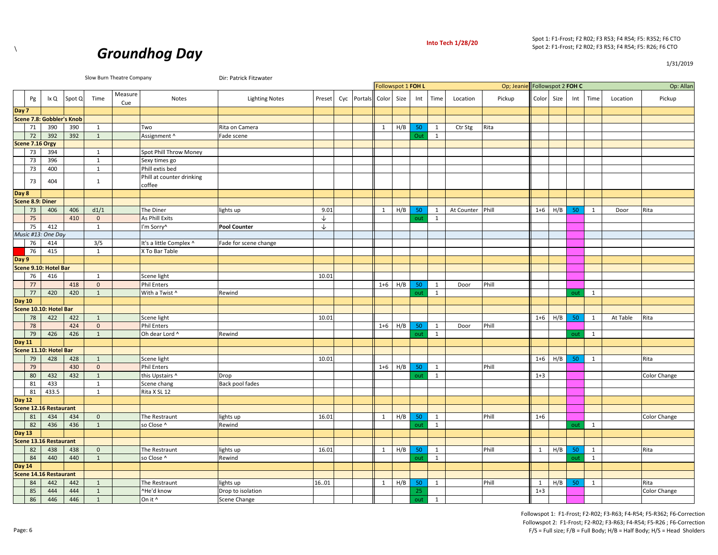



Slow Burn Theatre Company **Dir: Patrick Fitzwater** 

Op; Jeanie Op: Allan Followspot 1 **FOH L** Followspot 2 **FOH C**

|               | Pg               | lx Q                             | Spot Q                    | Time         | Measure<br>Cue | Notes                               | <b>Lighting Notes</b> | Preset | Cyc Portals Color Size |              |     | Int | Time | Location         | Pickup | Color Size |     | Int | Time | Location | Pickup       |
|---------------|------------------|----------------------------------|---------------------------|--------------|----------------|-------------------------------------|-----------------------|--------|------------------------|--------------|-----|-----|------|------------------|--------|------------|-----|-----|------|----------|--------------|
| Day 7         |                  |                                  |                           |              |                |                                     |                       |        |                        |              |     |     |      |                  |        |            |     |     |      |          |              |
|               |                  |                                  | Scene 7.8: Gobbler's Knob |              |                |                                     |                       |        |                        |              |     |     |      |                  |        |            |     |     |      |          |              |
|               | 71               | 390                              | 390                       | 1            |                | Two                                 | Rita on Camera        |        |                        | $\mathbf{1}$ | H/B | 50  | 1    | Ctr Stg          | Rita   |            |     |     |      |          |              |
|               | 72               | 392                              | 392                       | $\mathbf{1}$ |                | Assignment ^                        | Fade scene            |        |                        |              |     | Out | 1    |                  |        |            |     |     |      |          |              |
|               | Scene 7.16 Orgy  |                                  |                           |              |                |                                     |                       |        |                        |              |     |     |      |                  |        |            |     |     |      |          |              |
|               | 73               | 394                              |                           | 1            |                | Spot Phill Throw Money              |                       |        |                        |              |     |     |      |                  |        |            |     |     |      |          |              |
|               | 73               | 396                              |                           | 1            |                | Sexy times go                       |                       |        |                        |              |     |     |      |                  |        |            |     |     |      |          |              |
|               | 73               | 400                              |                           | 1            |                | Phill extis bed                     |                       |        |                        |              |     |     |      |                  |        |            |     |     |      |          |              |
|               | 73               | 404                              |                           | 1            |                | Phill at counter drinking<br>coffee |                       |        |                        |              |     |     |      |                  |        |            |     |     |      |          |              |
| Day 8         |                  |                                  |                           |              |                |                                     |                       |        |                        |              |     |     |      |                  |        |            |     |     |      |          |              |
|               | Scene 8.9: Diner |                                  |                           |              |                |                                     |                       |        |                        |              |     |     |      |                  |        |            |     |     |      |          |              |
|               | 73               | 406                              | 406                       | d1/1         |                | The Diner                           | lights up             | 9.01   |                        | 1            | H/B | 50  | 1    | At Counter Phill |        | $1 + 6$    | H/B | 50  | 1    | Door     | Rita         |
|               | 75               |                                  | 410                       | $\mathbf{0}$ |                | As Phill Exits                      |                       | ↓      |                        |              |     | out | 1    |                  |        |            |     |     |      |          |              |
|               | 75               | 412                              |                           | 1            |                | I'm Sorry^                          | <b>Pool Counter</b>   | ↓      |                        |              |     |     |      |                  |        |            |     |     |      |          |              |
|               |                  | Music #13: One Day               |                           |              |                |                                     |                       |        |                        |              |     |     |      |                  |        |            |     |     |      |          |              |
|               | 76               | 414                              |                           | 3/5          |                | It's a little Complex ^             | Fade for scene change |        |                        |              |     |     |      |                  |        |            |     |     |      |          |              |
|               | 76               | 415                              |                           | 1            |                | X To Bar Table                      |                       |        |                        |              |     |     |      |                  |        |            |     |     |      |          |              |
| Day 9         |                  |                                  |                           |              |                |                                     |                       |        |                        |              |     |     |      |                  |        |            |     |     |      |          |              |
|               |                  | Scene 9.10: Hotel Bar            |                           |              |                |                                     |                       |        |                        |              |     |     |      |                  |        |            |     |     |      |          |              |
|               | 76               | 416                              |                           | 1            |                | Scene light                         |                       | 10.01  |                        |              |     |     |      |                  |        |            |     |     |      |          |              |
|               | 77               |                                  | 418                       | $\mathbf{0}$ |                | <b>Phil Enters</b>                  |                       |        |                        | $1 + 6$      | H/B | 50  | 1    | Door             | Phill  |            |     |     |      |          |              |
|               | 77               | 420                              | 420                       | $\mathbf{1}$ |                | With a Twist ^                      | Rewind                |        |                        |              |     | out | 1    |                  |        |            |     | out | 1    |          |              |
|               |                  | Day 10<br>Scene 10.10: Hotel Bar |                           |              |                |                                     |                       |        |                        |              |     |     |      |                  |        |            |     |     |      |          |              |
|               |                  |                                  |                           |              |                |                                     |                       |        |                        |              |     |     |      |                  |        |            |     |     |      |          |              |
|               | 78               | 422                              | 422                       | 1            |                | Scene light                         |                       | 10.01  |                        |              |     |     |      |                  |        | $1 + 6$    | H/B | 50  | 1    | At Table | Rita         |
|               | 78               |                                  | 424                       | $\mathbf{0}$ |                | <b>Phil Enters</b>                  |                       |        |                        | $1 + 6$      | H/B | 50  | 1    | Door             | Phill  |            |     |     |      |          |              |
|               | 79               | 426                              | 426                       | $\mathbf{1}$ |                | Oh dear Lord ^                      | Rewind                |        |                        |              |     | out | 1    |                  |        |            |     | out | 1    |          |              |
| <b>Day 11</b> |                  |                                  |                           |              |                |                                     |                       |        |                        |              |     |     |      |                  |        |            |     |     |      |          |              |
|               |                  | Scene 11.10: Hotel Bar           |                           |              |                |                                     |                       |        |                        |              |     |     |      |                  |        |            |     |     |      |          |              |
|               | 79               | 428                              | 428                       | 1            |                | Scene light                         |                       | 10.01  |                        |              |     |     |      |                  |        | $1 + 6$    | H/B | 50  | 1    |          | Rita         |
|               | 79               |                                  | 430                       | $\mathbf{0}$ |                | <b>Phil Enters</b>                  |                       |        |                        | $1 + 6$      | H/B | 50  | 1    |                  | Phill  |            |     |     |      |          |              |
|               | 80               | 432                              | 432                       | $\mathbf{1}$ |                | this Upstairs ^                     | Drop                  |        |                        |              |     | out | 1    |                  |        | $1 + 3$    |     |     |      |          | Color Change |
|               | 81               | 433                              |                           | 1            |                | Scene chang                         | Back pool fades       |        |                        |              |     |     |      |                  |        |            |     |     |      |          |              |
|               | 81               | 433.5                            |                           | 1            |                | Rita X SL 12                        |                       |        |                        |              |     |     |      |                  |        |            |     |     |      |          |              |
| Day 12        |                  |                                  |                           |              |                |                                     |                       |        |                        |              |     |     |      |                  |        |            |     |     |      |          |              |
|               |                  | Scene 12.16 Restaurant           |                           |              |                |                                     |                       |        |                        |              |     |     |      |                  |        |            |     |     |      |          |              |
|               | 81               | 434                              | 434                       | $\mathbf 0$  |                | The Restraunt                       | lights up             | 16.01  |                        | 1            | H/B | 50  | 1    |                  | Phill  | $1 + 6$    |     |     |      |          | Color Change |

82 436 436 1 so Close ^ Rewind out 1 out 1

84 440 440 1 so Close ^ Rewind out 1 out 1

86 446 446 1 On it ^ Scene Change out 1

82 438 438 0 The Restraunt lights up 16.01 1 H/B 50 1 Phill 1 H/B 50 1 Rita

84 442 442 1 The Restraunt lights up 16..01 1 H/B 50 1 Phill 1 H/B 50 1 Rita 85 444 444 1 ^He'd know Drop to isolation 25 1+3 Color Change

**Day 13**

**Day 14**

**Scene 13.16 Restaurant** 

**Scene 14.16 Restaurant** 

1/31/2019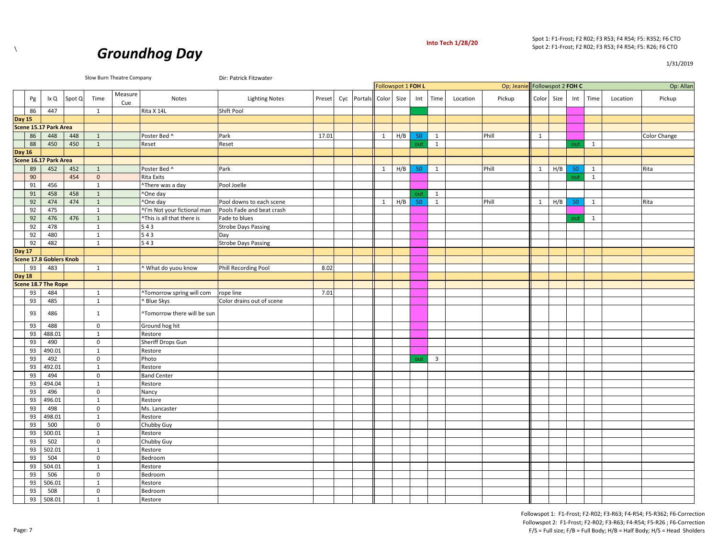



1/31/2019

|               |    |                                |        |              | Slow Burn Theatre Company |                             | Dir: Patrick Fitzwater     |        |     |         |                    |      |     |                         |          |                               |              |      |     |              |          |                     |
|---------------|----|--------------------------------|--------|--------------|---------------------------|-----------------------------|----------------------------|--------|-----|---------|--------------------|------|-----|-------------------------|----------|-------------------------------|--------------|------|-----|--------------|----------|---------------------|
|               |    |                                |        |              |                           |                             |                            |        |     |         | Followspot 1 FOH L |      |     |                         |          | Op; Jeanie Followspot 2 FOH C |              |      |     |              |          | Op: Allan           |
|               | Pg | lx Q                           | Spot Q | Time         | Measure<br>Cue            | Notes                       | <b>Lighting Notes</b>      | Preset | Cyc | Portals | Color              | Size | Int | Time                    | Location | Pickup                        | Color        | Size | Int | Time         | Location | Pickup              |
|               | 86 | 447                            |        | 1            |                           | Rita X 14L                  | Shift Pool                 |        |     |         |                    |      |     |                         |          |                               |              |      |     |              |          |                     |
| <b>Day 15</b> |    |                                |        |              |                           |                             |                            |        |     |         |                    |      |     |                         |          |                               |              |      |     |              |          |                     |
|               |    | Scene 15.17 Park Area          |        |              |                           |                             |                            |        |     |         |                    |      |     |                         |          |                               |              |      |     |              |          |                     |
|               | 86 | 448                            | 448    | 1            |                           | Poster Bed ^                | Park                       | 17.01  |     |         | 1                  | H/B  | 50  | 1                       |          | Phill                         | 1            |      |     |              |          | <b>Color Change</b> |
|               | 88 | 450                            | 450    | $\mathbf{1}$ |                           | Reset                       | Reset                      |        |     |         |                    |      | out | $\mathbf{1}$            |          |                               |              |      | out | $\mathbf{1}$ |          |                     |
| <b>Day 16</b> |    |                                |        |              |                           |                             |                            |        |     |         |                    |      |     |                         |          |                               |              |      |     |              |          |                     |
|               |    | Scene 16.17 Park Area          |        |              |                           |                             |                            |        |     |         |                    |      |     |                         |          |                               |              |      |     |              |          |                     |
|               | 89 | 452                            | 452    | $\mathbf{1}$ |                           | Poster Bed ^                | Park                       |        |     |         | 1                  | H/B  | 50  | 1                       |          | Phill                         | 1            | H/B  | 50  | $\mathbf{1}$ |          | Rita                |
|               | 90 |                                | 454    | $\mathbf{0}$ |                           | <b>Rita Exits</b>           |                            |        |     |         |                    |      |     |                         |          |                               |              |      | out | $\mathbf{1}$ |          |                     |
|               | 91 | 456                            |        | $\mathbf{1}$ |                           | "There was a day            | Pool Joelle                |        |     |         |                    |      |     |                         |          |                               |              |      |     |              |          |                     |
|               | 91 | 458                            | 458    | 1            |                           | ^One day                    |                            |        |     |         |                    |      | out | 1                       |          |                               |              |      |     |              |          |                     |
|               | 92 | 474                            | 474    | $\mathbf{1}$ |                           | ^One day                    | Pool downs to each scene   |        |     |         | $\mathbf{1}$       | H/B  | 50  | $\mathbf{1}$            |          | Phill                         | $\mathbf{1}$ | H/B  | 50  | $\mathbf{1}$ |          | Rita                |
|               | 92 | 475                            |        | 1            |                           | ^I'm Not your fictional man | Pools Fade and beat crash  |        |     |         |                    |      |     |                         |          |                               |              |      |     |              |          |                     |
|               | 92 | 476                            | 476    | $\mathbf{1}$ |                           | ^This is all that there is  | Fade to blues              |        |     |         |                    |      |     |                         |          |                               |              |      | out | 1            |          |                     |
|               | 92 | 478                            |        | $\mathbf{1}$ |                           | 543                         | <b>Strobe Days Passing</b> |        |     |         |                    |      |     |                         |          |                               |              |      |     |              |          |                     |
|               | 92 | 480                            |        | $\mathbf{1}$ |                           | 543                         | Day                        |        |     |         |                    |      |     |                         |          |                               |              |      |     |              |          |                     |
|               | 92 | 482                            |        | 1            |                           | 543                         | <b>Strobe Days Passing</b> |        |     |         |                    |      |     |                         |          |                               |              |      |     |              |          |                     |
| <b>Day 17</b> |    |                                |        |              |                           |                             |                            |        |     |         |                    |      |     |                         |          |                               |              |      |     |              |          |                     |
|               |    | <b>Scene 17.8 Goblers Knob</b> |        |              |                           |                             |                            |        |     |         |                    |      |     |                         |          |                               |              |      |     |              |          |                     |
|               | 93 | 483                            |        | 1            |                           | What do yuou know           | Phill Recording Pool       | 8.02   |     |         |                    |      |     |                         |          |                               |              |      |     |              |          |                     |
| <b>Day 18</b> |    |                                |        |              |                           |                             |                            |        |     |         |                    |      |     |                         |          |                               |              |      |     |              |          |                     |
|               |    | Scene 18.7 The Rope            |        |              |                           |                             |                            |        |     |         |                    |      |     |                         |          |                               |              |      |     |              |          |                     |
|               | 93 | 484                            |        | 1            |                           | ^Tomorrow spring will com   | rope line                  | 7.01   |     |         |                    |      |     |                         |          |                               |              |      |     |              |          |                     |
|               | 93 | 485                            |        | 1            |                           | <b>Blue Skys</b>            | Color drains out of scene  |        |     |         |                    |      |     |                         |          |                               |              |      |     |              |          |                     |
|               | 93 | 486                            |        | 1            |                           | ^Tomorrow there will be sun |                            |        |     |         |                    |      |     |                         |          |                               |              |      |     |              |          |                     |
|               | 93 | 488                            |        | $\mathbf 0$  |                           | Ground hog hit              |                            |        |     |         |                    |      |     |                         |          |                               |              |      |     |              |          |                     |
|               | 93 | 488.01                         |        | $\mathbf{1}$ |                           | Restore                     |                            |        |     |         |                    |      |     |                         |          |                               |              |      |     |              |          |                     |
|               | 93 | 490                            |        | $\mathbf 0$  |                           | Sheriff Drops Gun           |                            |        |     |         |                    |      |     |                         |          |                               |              |      |     |              |          |                     |
|               | 93 | 490.01                         |        | $\mathbf{1}$ |                           | Restore                     |                            |        |     |         |                    |      |     |                         |          |                               |              |      |     |              |          |                     |
|               | 93 | 492                            |        | $\mathbf 0$  |                           | Photo                       |                            |        |     |         |                    |      | out | $\overline{\mathbf{3}}$ |          |                               |              |      |     |              |          |                     |
|               | 93 | 492.01                         |        | 1            |                           | Restore                     |                            |        |     |         |                    |      |     |                         |          |                               |              |      |     |              |          |                     |
|               | 93 | 494                            |        | $\mathbf 0$  |                           | <b>Band Center</b>          |                            |        |     |         |                    |      |     |                         |          |                               |              |      |     |              |          |                     |
|               | 93 | 494.04                         |        | $\mathbf{1}$ |                           | Restore                     |                            |        |     |         |                    |      |     |                         |          |                               |              |      |     |              |          |                     |
|               | 93 | 496                            |        | $\mathbf 0$  |                           | Nancy                       |                            |        |     |         |                    |      |     |                         |          |                               |              |      |     |              |          |                     |
|               | 93 | 496.01                         |        | $\mathbf{1}$ |                           | Restore                     |                            |        |     |         |                    |      |     |                         |          |                               |              |      |     |              |          |                     |
|               | 93 | 498                            |        | $\mathsf 0$  |                           | Ms. Lancaster               |                            |        |     |         |                    |      |     |                         |          |                               |              |      |     |              |          |                     |
|               | 93 | 498.01                         |        | $\mathbf{1}$ |                           | Restore                     |                            |        |     |         |                    |      |     |                         |          |                               |              |      |     |              |          |                     |
|               | 93 | 500                            |        | $\mathbf 0$  |                           | Chubby Guy                  |                            |        |     |         |                    |      |     |                         |          |                               |              |      |     |              |          |                     |
|               | 93 | 500.01                         |        | 1            |                           | Restore                     |                            |        |     |         |                    |      |     |                         |          |                               |              |      |     |              |          |                     |
|               | 93 | 502                            |        | $\mathbf 0$  |                           | Chubby Guy                  |                            |        |     |         |                    |      |     |                         |          |                               |              |      |     |              |          |                     |
|               | 93 | 502.01                         |        | $\mathbf{1}$ |                           | Restore                     |                            |        |     |         |                    |      |     |                         |          |                               |              |      |     |              |          |                     |
|               | 93 | 504                            |        | $\mathbf 0$  |                           | Bedroom                     |                            |        |     |         |                    |      |     |                         |          |                               |              |      |     |              |          |                     |
|               | 93 | 504.01                         |        | $\mathbf{1}$ |                           | Restore                     |                            |        |     |         |                    |      |     |                         |          |                               |              |      |     |              |          |                     |
|               | 93 | 506                            |        | $\mathbf 0$  |                           | Bedroom                     |                            |        |     |         |                    |      |     |                         |          |                               |              |      |     |              |          |                     |
|               | 93 | 506.01                         |        | 1            |                           | Restore                     |                            |        |     |         |                    |      |     |                         |          |                               |              |      |     |              |          |                     |
|               | 93 | 508                            |        | $\mathbf 0$  |                           | Bedroom                     |                            |        |     |         |                    |      |     |                         |          |                               |              |      |     |              |          |                     |
|               | 93 | 508.01                         |        | 1            |                           | Restore                     |                            |        |     |         |                    |      |     |                         |          |                               |              |      |     |              |          |                     |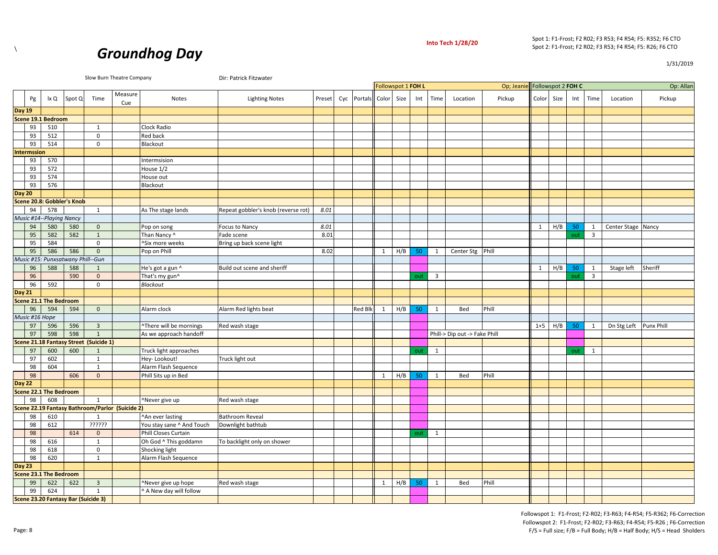

1/31/2019



| Slow Burn Theatre Company<br>Dir: Patrick Fitzwater<br>Followspot 1 FOH L<br>Followspot 2 FOH C<br>Op; Jeani<br>Measure<br>Cyc Portals |                    |                               |                                   |                                        |                                                 |                           |                                     |        |  |                |       |      |     |                |                               |        |         |      |     |                |                    |                   |
|----------------------------------------------------------------------------------------------------------------------------------------|--------------------|-------------------------------|-----------------------------------|----------------------------------------|-------------------------------------------------|---------------------------|-------------------------------------|--------|--|----------------|-------|------|-----|----------------|-------------------------------|--------|---------|------|-----|----------------|--------------------|-------------------|
|                                                                                                                                        |                    |                               |                                   |                                        |                                                 |                           |                                     |        |  |                |       |      |     |                |                               |        |         |      |     |                |                    | Op: Allan         |
|                                                                                                                                        | Pg                 | lx Q                          | Spot Q                            | Time                                   | Cue                                             | Notes                     | <b>Lighting Notes</b>               | Preset |  |                | Color | Size | Int | Time           | Location                      | Pickup | Color   | Size | Int | Time           | Location           | Pickup            |
| Day 19                                                                                                                                 |                    |                               |                                   |                                        |                                                 |                           |                                     |        |  |                |       |      |     |                |                               |        |         |      |     |                |                    |                   |
|                                                                                                                                        |                    | Scene 19.1 Bedroom            |                                   |                                        |                                                 |                           |                                     |        |  |                |       |      |     |                |                               |        |         |      |     |                |                    |                   |
|                                                                                                                                        | 93                 | 510                           |                                   | $\mathbf{1}$                           |                                                 | Clock Radio               |                                     |        |  |                |       |      |     |                |                               |        |         |      |     |                |                    |                   |
|                                                                                                                                        | 93                 | 512                           |                                   | $\mathbf 0$                            |                                                 | <b>Red back</b>           |                                     |        |  |                |       |      |     |                |                               |        |         |      |     |                |                    |                   |
|                                                                                                                                        | 93                 | 514                           |                                   | $\mathbf 0$                            |                                                 | Blackout                  |                                     |        |  |                |       |      |     |                |                               |        |         |      |     |                |                    |                   |
|                                                                                                                                        | <b>Intermssion</b> |                               |                                   |                                        |                                                 |                           |                                     |        |  |                |       |      |     |                |                               |        |         |      |     |                |                    |                   |
|                                                                                                                                        | 93                 | 570                           |                                   |                                        |                                                 | Intermsision              |                                     |        |  |                |       |      |     |                |                               |        |         |      |     |                |                    |                   |
|                                                                                                                                        | 93                 | 572                           |                                   |                                        |                                                 | House 1/2                 |                                     |        |  |                |       |      |     |                |                               |        |         |      |     |                |                    |                   |
|                                                                                                                                        | 93                 | 574                           |                                   |                                        |                                                 | House out                 |                                     |        |  |                |       |      |     |                |                               |        |         |      |     |                |                    |                   |
|                                                                                                                                        | 93                 | 576                           |                                   |                                        |                                                 | Blackout                  |                                     |        |  |                |       |      |     |                |                               |        |         |      |     |                |                    |                   |
| Day 20                                                                                                                                 |                    |                               |                                   |                                        |                                                 |                           |                                     |        |  |                |       |      |     |                |                               |        |         |      |     |                |                    |                   |
|                                                                                                                                        |                    |                               | Scene 20.8: Gobbler's Knob        |                                        |                                                 |                           |                                     |        |  |                |       |      |     |                |                               |        |         |      |     |                |                    |                   |
|                                                                                                                                        | 94                 | 578                           |                                   | 1                                      |                                                 | As The stage lands        | Repeat gobbler's knob (reverse rot) | 8.01   |  |                |       |      |     |                |                               |        |         |      |     |                |                    |                   |
|                                                                                                                                        |                    | Music #14--Playing Nancy      |                                   |                                        |                                                 |                           |                                     |        |  |                |       |      |     |                |                               |        |         |      |     |                |                    |                   |
|                                                                                                                                        | 94                 | 580                           | 580                               | $\mathbf 0$                            |                                                 | Pop on song               | <b>Focus to Nancy</b>               | 8.01   |  |                |       |      |     |                |                               |        | 1       | H/B  | 50  | 1              | Center Stage Nancy |                   |
|                                                                                                                                        | 95                 | 582                           | 582                               | $\mathbf{1}$                           |                                                 | Than Nancy ^              | Fade scene                          | 8.01   |  |                |       |      |     |                |                               |        |         |      | out | $\overline{3}$ |                    |                   |
|                                                                                                                                        | 95                 | 584                           |                                   | $\mathbf 0$                            |                                                 | ^Six more weeks           | Bring up back scene light           |        |  |                |       |      |     |                |                               |        |         |      |     |                |                    |                   |
|                                                                                                                                        | 95                 | 586                           | 586                               | $\mathbf{0}$                           |                                                 | Pop on Phill              |                                     | 8.02   |  |                | 1     | H/B  | 50  | <sup>1</sup>   | Center Stg                    | Phill  |         |      |     |                |                    |                   |
|                                                                                                                                        |                    |                               | Music #15: Punxsatwany Phill--Gun |                                        |                                                 |                           |                                     |        |  |                |       |      |     |                |                               |        |         |      |     |                |                    |                   |
|                                                                                                                                        | 96                 | 588                           | 588                               | $\mathbf{1}$                           |                                                 | He's got a gun ^          | Build out scene and sheriff         |        |  |                |       |      |     |                |                               |        | 1       | H/B  | 50  | 1              | Stage left         | Sheriff           |
|                                                                                                                                        | 96                 |                               | 590                               | $\mathbf{0}$                           |                                                 | That's my gun^            |                                     |        |  |                |       |      | out | $\overline{3}$ |                               |        |         |      | out | $\overline{3}$ |                    |                   |
|                                                                                                                                        | 96                 | 592                           |                                   | $\Omega$                               |                                                 | Blackout                  |                                     |        |  |                |       |      |     |                |                               |        |         |      |     |                |                    |                   |
| Day 21                                                                                                                                 |                    |                               |                                   |                                        |                                                 |                           |                                     |        |  |                |       |      |     |                |                               |        |         |      |     |                |                    |                   |
|                                                                                                                                        |                    | <b>Scene 21.1 The Bedroom</b> |                                   |                                        |                                                 |                           |                                     |        |  |                |       |      |     |                |                               |        |         |      |     |                |                    |                   |
|                                                                                                                                        | 96                 | 594                           | 594                               | $\mathbf{0}$                           |                                                 | Alarm clock               | Alarm Red lights beat               |        |  | <b>Red Blk</b> | 1     | H/B  | 50  | 1              | Bed                           | Phill  |         |      |     |                |                    |                   |
|                                                                                                                                        | Music #16 Hope     |                               |                                   |                                        |                                                 |                           |                                     |        |  |                |       |      |     |                |                               |        |         |      |     |                |                    |                   |
|                                                                                                                                        | 97                 | 596                           | 596                               | $\overline{3}$                         |                                                 | "There will be mornings   | Red wash stage                      |        |  |                |       |      |     |                |                               |        | $1 + 5$ | H/B  | 50  | 1              | Dn Stg Left        | <b>Punx Phill</b> |
|                                                                                                                                        | 97                 | 598                           | 598                               | $\mathbf{1}$                           |                                                 | As we approach handoff    |                                     |        |  |                |       |      |     |                | Phill-> Dip out -> Fake Phill |        |         |      |     |                |                    |                   |
|                                                                                                                                        |                    |                               |                                   | Scene 21.18 Fantasy Street (Suicide 1) |                                                 |                           |                                     |        |  |                |       |      |     |                |                               |        |         |      |     |                |                    |                   |
|                                                                                                                                        | 97                 | 600                           | 600                               | $\mathbf{1}$                           |                                                 | Truck light approaches    |                                     |        |  |                |       |      | out | 1              |                               |        |         |      | out | $\mathbf{1}$   |                    |                   |
|                                                                                                                                        | 97                 | 602                           |                                   | 1                                      |                                                 | Hey-Lookout!              | Truck light out                     |        |  |                |       |      |     |                |                               |        |         |      |     |                |                    |                   |
|                                                                                                                                        | 98                 | 604                           |                                   | $\mathbf{1}$                           |                                                 | Alarm Flash Sequence      |                                     |        |  |                |       |      |     |                |                               |        |         |      |     |                |                    |                   |
|                                                                                                                                        | 98                 |                               | 606                               | $\mathbf{0}$                           |                                                 | Phill Sits up in Bed      |                                     |        |  |                | 1     | H/B  | 50  | 1              | Bed                           | Phill  |         |      |     |                |                    |                   |
| Day 22                                                                                                                                 |                    |                               |                                   |                                        |                                                 |                           |                                     |        |  |                |       |      |     |                |                               |        |         |      |     |                |                    |                   |
|                                                                                                                                        |                    | <b>Scene 22.1 The Bedroom</b> |                                   |                                        |                                                 |                           |                                     |        |  |                |       |      |     |                |                               |        |         |      |     |                |                    |                   |
|                                                                                                                                        | 98                 | 608                           |                                   | 1                                      |                                                 | ^Never give up            | Red wash stage                      |        |  |                |       |      |     |                |                               |        |         |      |     |                |                    |                   |
|                                                                                                                                        |                    |                               |                                   |                                        | Scene 22.19 Fantasy Bathroom/Parlor (Suicide 2) |                           |                                     |        |  |                |       |      |     |                |                               |        |         |      |     |                |                    |                   |
|                                                                                                                                        | 98                 | 610                           |                                   | 1                                      |                                                 | ^An ever lasting          | <b>Bathroom Reveal</b>              |        |  |                |       |      |     |                |                               |        |         |      |     |                |                    |                   |
|                                                                                                                                        | 98                 | 612                           |                                   | ??????                                 |                                                 | You stay sane ^ And Touch | Downlight bathtub                   |        |  |                |       |      |     |                |                               |        |         |      |     |                |                    |                   |
|                                                                                                                                        | 98                 |                               | 614                               | $\mathbf{0}$                           |                                                 | Phill Closes Curtain      |                                     |        |  |                |       |      | out | 1              |                               |        |         |      |     |                |                    |                   |
|                                                                                                                                        | 98                 | 616                           |                                   | $\mathbf{1}$                           |                                                 | Oh God ^ This goddamn     | To backlight only on shower         |        |  |                |       |      |     |                |                               |        |         |      |     |                |                    |                   |
|                                                                                                                                        | 98                 | 618                           |                                   | $\mathsf 0$                            |                                                 | Shocking light            |                                     |        |  |                |       |      |     |                |                               |        |         |      |     |                |                    |                   |
|                                                                                                                                        | 98                 | 620                           |                                   | 1                                      |                                                 | Alarm Flash Sequence      |                                     |        |  |                |       |      |     |                |                               |        |         |      |     |                |                    |                   |
| Day 23                                                                                                                                 |                    |                               |                                   |                                        |                                                 |                           |                                     |        |  |                |       |      |     |                |                               |        |         |      |     |                |                    |                   |
|                                                                                                                                        |                    | <b>Scene 23.1 The Bedroom</b> |                                   |                                        |                                                 |                           |                                     |        |  |                |       |      |     |                |                               |        |         |      |     |                |                    |                   |
|                                                                                                                                        | 99                 | 622                           | 622                               | $\mathbf{3}$                           |                                                 | Never give up hope        | Red wash stage                      |        |  |                | 1     | H/B  | 50  | 1              | Bed                           | Phill  |         |      |     |                |                    |                   |
|                                                                                                                                        | 99                 | 624                           |                                   | $\mathbf{1}$                           |                                                 | A New day will follow     |                                     |        |  |                |       |      |     |                |                               |        |         |      |     |                |                    |                   |
|                                                                                                                                        |                    |                               |                                   | Scene 23.20 Fantasy Bar (Suicide 3)    |                                                 |                           |                                     |        |  |                |       |      |     |                |                               |        |         |      |     |                |                    |                   |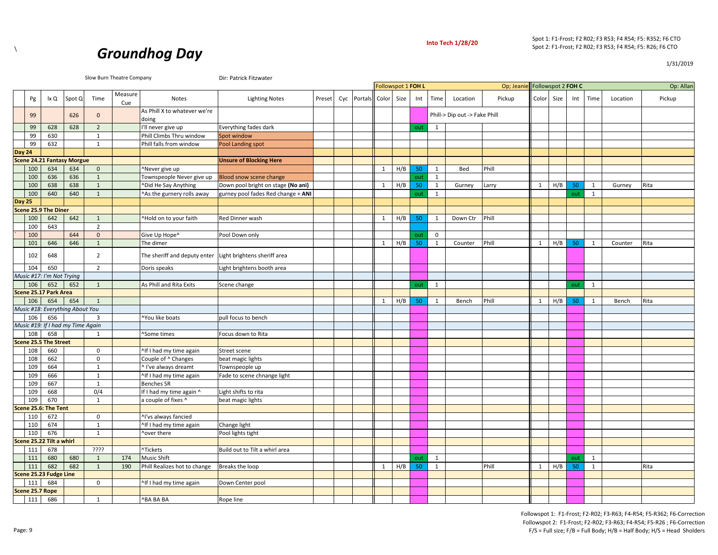



Slow Burn Theatre Company **Direct Company** Dir: Patrick Fitzwater

|        |                 |                              |                                   |                |                |                                       |                                    |        |     |         |       | Followspot 1 FOH L |     |              |                               | Op; Jeanie Followspot 2 FOH C |       |      |     |              |          | Op: Allan |
|--------|-----------------|------------------------------|-----------------------------------|----------------|----------------|---------------------------------------|------------------------------------|--------|-----|---------|-------|--------------------|-----|--------------|-------------------------------|-------------------------------|-------|------|-----|--------------|----------|-----------|
|        | Pg              | lx Q                         | Spot Q                            | Time           | Measure<br>Cue | <b>Notes</b>                          | <b>Lighting Notes</b>              | Preset | Cyc | Portals | Color | Size               | Int | Time         | Location                      | Pickup                        | Color | Size | Int | Time         | Location | Pickup    |
|        | 99              |                              | 626                               | $\mathbf 0$    |                | As Phill X to whatever we're<br>doing |                                    |        |     |         |       |                    |     |              | Phill-> Dip out -> Fake Phill |                               |       |      |     |              |          |           |
|        | 99              | 628                          | 628                               | $\overline{2}$ |                | I'll never give up                    | Everything fades dark              |        |     |         |       |                    | out | 1            |                               |                               |       |      |     |              |          |           |
|        | 99              | 630                          |                                   | $\mathbf{1}$   |                | Phill Climbs Thru window              | Spot window                        |        |     |         |       |                    |     |              |                               |                               |       |      |     |              |          |           |
|        | 99              | 632                          |                                   | $\mathbf{1}$   |                | Phill falls from window               | Pool Landing spot                  |        |     |         |       |                    |     |              |                               |                               |       |      |     |              |          |           |
| Day 24 |                 |                              |                                   |                |                |                                       |                                    |        |     |         |       |                    |     |              |                               |                               |       |      |     |              |          |           |
|        |                 |                              | <b>Scene 24.21 Fantasy Morgue</b> |                |                |                                       | <b>Unsure of Blocking Here</b>     |        |     |         |       |                    |     |              |                               |                               |       |      |     |              |          |           |
|        | 100             | 634                          | 634                               | $\mathbf 0$    |                | Never give up                         |                                    |        |     |         | 1     | H/B                | 50  | 1            | Bed                           | Phill                         |       |      |     |              |          |           |
|        | 100             | 636                          | 636                               | $\mathbf{1}$   |                | Townspeople Never give up             | Blood snow scene change            |        |     |         |       |                    | out | $\mathbf{1}$ |                               |                               |       |      |     |              |          |           |
|        | 100             | 638                          | 638                               | $\mathbf{1}$   |                | <b>NDid He Say Anything</b>           | Down pool bright on stage (No ani) |        |     |         | 1     | H/B                | 50  | $\mathbf{1}$ | Gurney                        | Larry                         | 1     | H/B  | 50  | 1            | Gurney   | Rita      |
|        | 100             | 640                          | 640                               | $\mathbf{1}$   |                | ^As the gurnery rolls away            | gurney pool fades Red change + ANI |        |     |         |       |                    | out | 1            |                               |                               |       |      | out | $\mathbf{1}$ |          |           |
| Day 25 |                 |                              |                                   |                |                |                                       |                                    |        |     |         |       |                    |     |              |                               |                               |       |      |     |              |          |           |
|        |                 | <b>Scene 25.9 The Diner</b>  |                                   |                |                |                                       |                                    |        |     |         |       |                    |     |              |                               |                               |       |      |     |              |          |           |
|        | 100             | 642                          | 642                               | 1              |                | "Hold on to your faith                | Red Dinner wash                    |        |     |         | 1     | H/B                | 50  | 1            | Down Ctr                      | Phill                         |       |      |     |              |          |           |
|        | 100             | 643                          |                                   | $\overline{2}$ |                |                                       |                                    |        |     |         |       |                    |     |              |                               |                               |       |      |     |              |          |           |
|        | 100             |                              | 644                               | $\mathbf 0$    |                | Give Up Hope^                         | Pool Down only                     |        |     |         |       |                    | out | 0            |                               |                               |       |      |     |              |          |           |
|        | 101             | 646                          | 646                               | $\mathbf{1}$   |                | The dimer                             |                                    |        |     |         | 1     | H/B                | 50  | 1            | Counter                       | Phill                         | 1     | H/B  | 50  | 1            | Counter  | Rita      |
|        | 102             | 648                          |                                   | $\overline{2}$ |                | The sheriff and deputy enter          | Light brightens sheriff area       |        |     |         |       |                    |     |              |                               |                               |       |      |     |              |          |           |
|        | 104             | 650                          |                                   | $\overline{2}$ |                | Doris speaks                          | Light brightens booth area         |        |     |         |       |                    |     |              |                               |                               |       |      |     |              |          |           |
|        |                 | Music #17: I'm Not Trying    |                                   |                |                |                                       |                                    |        |     |         |       |                    |     |              |                               |                               |       |      |     |              |          |           |
|        | 106             | 652                          | 652                               | $\mathbf{1}$   |                | As Phill and Rita Exits               | Scene change                       |        |     |         |       |                    | out | $\mathbf{1}$ |                               |                               |       |      | out | $\mathbf{1}$ |          |           |
|        |                 | Scene 25.17 Park Area        |                                   |                |                |                                       |                                    |        |     |         |       |                    |     |              |                               |                               |       |      |     |              |          |           |
|        | 106             | 654                          | 654                               | $\mathbf{1}$   |                |                                       |                                    |        |     |         | 1     | H/B                | 50  | $\mathbf{1}$ | Bench                         | Phill                         | 1     | H/B  | 50  | 1            | Bench    | Rita      |
|        |                 |                              | Music #18: Everything About You   |                |                |                                       |                                    |        |     |         |       |                    |     |              |                               |                               |       |      |     |              |          |           |
|        | 106             | 656                          |                                   | 3              |                | <b>Nou like boats</b>                 | pull focus to bench                |        |     |         |       |                    |     |              |                               |                               |       |      |     |              |          |           |
|        |                 |                              | Music #19: If I had my Time Again |                |                |                                       |                                    |        |     |         |       |                    |     |              |                               |                               |       |      |     |              |          |           |
|        | 108             | 658                          |                                   | $\mathbf{1}$   |                | ^Some times                           | Focus down to Rita                 |        |     |         |       |                    |     |              |                               |                               |       |      |     |              |          |           |
|        |                 | <b>Scene 25.5 The Street</b> |                                   |                |                |                                       |                                    |        |     |         |       |                    |     |              |                               |                               |       |      |     |              |          |           |
|        | 108             | 660                          |                                   | $\mathbf 0$    |                | ^If I had my time again               | Street scene                       |        |     |         |       |                    |     |              |                               |                               |       |      |     |              |          |           |
|        | 108             | 662                          |                                   | $\mathsf 0$    |                | Couple of ^ Changes                   | beat magic lights                  |        |     |         |       |                    |     |              |                               |                               |       |      |     |              |          |           |
|        | 109             | 664                          |                                   | $\mathbf{1}$   |                | ^ I've always dreamt                  | Townspeople up                     |        |     |         |       |                    |     |              |                               |                               |       |      |     |              |          |           |
|        | 109             | 666                          |                                   | $\mathbf{1}$   |                | ^If I had my time again               | Fade to scene chnange light        |        |     |         |       |                    |     |              |                               |                               |       |      |     |              |          |           |
|        | 109             | 667                          |                                   | 1              |                | Benches SR                            |                                    |        |     |         |       |                    |     |              |                               |                               |       |      |     |              |          |           |
|        | 109             | 668                          |                                   | 0/4            |                | If I had my time again ^              | Light shifts to rita               |        |     |         |       |                    |     |              |                               |                               |       |      |     |              |          |           |
|        | 109             | 670                          |                                   | $\mathbf{1}$   |                | a couple of fixes ^                   | beat magic lights                  |        |     |         |       |                    |     |              |                               |                               |       |      |     |              |          |           |
|        |                 | Scene 25.6: The Tent         |                                   |                |                |                                       |                                    |        |     |         |       |                    |     |              |                               |                               |       |      |     |              |          |           |
|        | 110             | 672                          |                                   | $\mathbf 0$    |                | ^I'vs always fancied                  |                                    |        |     |         |       |                    |     |              |                               |                               |       |      |     |              |          |           |
|        | 110             | 674                          |                                   | $\mathbf{1}$   |                | ^If I had my time again               | Change light                       |        |     |         |       |                    |     |              |                               |                               |       |      |     |              |          |           |
|        | 110             | 676                          |                                   | 1              |                | ^over there                           | Pool lights tight                  |        |     |         |       |                    |     |              |                               |                               |       |      |     |              |          |           |
|        |                 | Scene 25.22 Tilt a whirl     |                                   |                |                |                                       |                                    |        |     |         |       |                    |     |              |                               |                               |       |      |     |              |          |           |
|        | 111             | 678                          |                                   | ????           |                | ^Tickets                              | Build out to Tilt a whirl area     |        |     |         |       |                    |     |              |                               |                               |       |      |     |              |          |           |
|        | 111             | 680                          | 680                               | $\mathbf{1}$   | 174            | Music Shift                           |                                    |        |     |         |       |                    | out | 1            |                               |                               |       |      | out | $\mathbf{1}$ |          |           |
|        | 111             | 682                          | 682                               | $\mathbf{1}$   | 190            | Phill Realizes hot to change          | Breaks the loop                    |        |     |         | 1     | H/B                | 50  | 1            |                               | Phill                         | 1     | H/B  | 50  | $\mathbf{1}$ |          | Rita      |
|        |                 | Scene 25.23 Fudge Line       |                                   |                |                |                                       |                                    |        |     |         |       |                    |     |              |                               |                               |       |      |     |              |          |           |
|        | 111             | 684                          |                                   | $\mathsf 0$    |                | ^If I had my time again               | Down Center pool                   |        |     |         |       |                    |     |              |                               |                               |       |      |     |              |          |           |
|        | Scene 25.7 Rope |                              |                                   |                |                |                                       |                                    |        |     |         |       |                    |     |              |                               |                               |       |      |     |              |          |           |
|        | 111             | 686                          |                                   | $\mathbf{1}$   |                | <b>^BA BA BA</b>                      | Rope line                          |        |     |         |       |                    |     |              |                               |                               |       |      |     |              |          |           |

Followspot 1: F1‐Frost; F2‐R02; F3‐R63; F4‐R54; F5‐R362; F6‐Correction Followspot 2: F1‐Frost; F2‐R02; F3‐R63; F4‐R54; F5‐R26 ; F6‐Correction F/S = Full size; F/B = Full Body; H/B = Half Body; H/S = Head Sholders

1/31/2019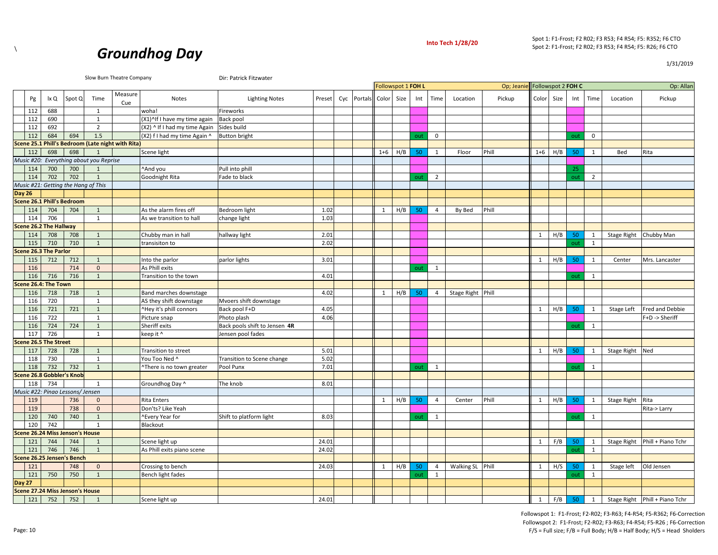

1/31/2019



|                               |      |                                     |                                         | Slow Burn Theatre Company                         |                               |                               | Followspot 1 FOH L |             |              |      |     | Op; Jeanie Followspot 2 FOH C |                   |        |              |            |     | Op: Allan      |                         |                                |
|-------------------------------|------|-------------------------------------|-----------------------------------------|---------------------------------------------------|-------------------------------|-------------------------------|--------------------|-------------|--------------|------|-----|-------------------------------|-------------------|--------|--------------|------------|-----|----------------|-------------------------|--------------------------------|
|                               |      |                                     |                                         | Measure                                           |                               |                               |                    |             |              |      |     |                               |                   |        |              |            |     |                |                         |                                |
| Pg                            | lx Q | Spot Q                              | Time                                    | Cue                                               | Notes                         | <b>Lighting Notes</b>         | Preset             | Cyc Portals | Color        | Size | Int | Time                          | Location          | Pickup |              | Color Size | Int | Time           | Location                | Pickup                         |
| 112                           | 688  |                                     | 1                                       |                                                   | woha!                         | Fireworks                     |                    |             |              |      |     |                               |                   |        |              |            |     |                |                         |                                |
| 112                           | 690  |                                     | $\mathbf{1}$                            |                                                   | (X1)^If I have my time again  | Back pool                     |                    |             |              |      |     |                               |                   |        |              |            |     |                |                         |                                |
| 112                           | 692  |                                     | 2                                       |                                                   | (X2) ^ If I had my time Again | Sides build                   |                    |             |              |      |     |                               |                   |        |              |            |     |                |                         |                                |
| 112                           | 684  | 694                                 | 1.5                                     |                                                   | (X2) f I had my time Again ^  | <b>Button bright</b>          |                    |             |              |      | out | $\mathbf 0$                   |                   |        |              |            | out | $\mathbf 0$    |                         |                                |
|                               |      |                                     |                                         | Scene 25.1 Phill's Bedroom (Late night with Rita) |                               |                               |                    |             |              |      |     |                               |                   |        |              |            |     |                |                         |                                |
| 112                           | 698  | 698                                 | 1                                       |                                                   | Scene light                   |                               |                    |             | $1 + 6$      | H/B  | 50  | 1                             | Floor             | Phill  | $1 + 6$      | H/B        | 50  | 1              | Bed                     | Rita                           |
|                               |      |                                     | Music #20: Everything about you Reprise |                                                   |                               |                               |                    |             |              |      |     |                               |                   |        |              |            |     |                |                         |                                |
| 114                           | 700  | 700                                 | 1                                       |                                                   | ^And you                      | Pull into phill               |                    |             |              |      |     |                               |                   |        |              |            | 25  |                |                         |                                |
| 114                           | 702  | 702                                 | $\mathbf{1}$                            |                                                   | Goodnight Rita                | Fade to black                 |                    |             |              |      | out | $\overline{2}$                |                   |        |              |            | out | $\overline{2}$ |                         |                                |
|                               |      | Music #21: Getting the Hang of This |                                         |                                                   |                               |                               |                    |             |              |      |     |                               |                   |        |              |            |     |                |                         |                                |
| <b>Day 26</b>                 |      |                                     |                                         |                                                   |                               |                               |                    |             |              |      |     |                               |                   |        |              |            |     |                |                         |                                |
|                               |      | <b>Scene 26.1 Phill's Bedroom</b>   |                                         |                                                   |                               |                               |                    |             |              |      |     |                               |                   |        |              |            |     |                |                         |                                |
| 114                           | 704  | 704                                 | 1                                       |                                                   | As the alarm fires off        | Bedroom light                 | 1.02               |             | $\mathbf{1}$ | H/B  | 50  | $\overline{4}$                | By Bed            | Phill  |              |            |     |                |                         |                                |
| 114                           | 706  |                                     | 1                                       |                                                   | As we transition to hall      | change light                  | 1.03               |             |              |      |     |                               |                   |        |              |            |     |                |                         |                                |
| <b>Scene 26.2 The Hallway</b> |      |                                     |                                         |                                                   |                               |                               |                    |             |              |      |     |                               |                   |        |              |            |     |                |                         |                                |
| 114                           | 708  | 708                                 | $\mathbf{1}$                            |                                                   | Chubby man in hall            | hallway light                 | 2.01               |             |              |      |     |                               |                   |        | $\mathbf{1}$ | H/B        | 50  | 1              | Stage Right Chubby Man  |                                |
| 115                           | 710  | 710                                 | $\mathbf{1}$                            |                                                   | transisiton to                |                               | 2.02               |             |              |      |     |                               |                   |        |              |            | out | 1              |                         |                                |
| <b>Scene 26.3 The Parlor</b>  |      |                                     |                                         |                                                   |                               |                               |                    |             |              |      |     |                               |                   |        |              |            |     |                |                         |                                |
| 115                           | 712  | 712                                 | $\mathbf{1}$                            |                                                   | Into the parlor               | parlor lights                 | 3.01               |             |              |      |     |                               |                   |        | 1            | H/B        | 50  | 1              | Center                  | Mrs. Lancaster                 |
| 116                           |      | 714                                 | $\mathbf 0$                             |                                                   | As Phill exits                |                               |                    |             |              |      | out | 1                             |                   |        |              |            |     |                |                         |                                |
| 116                           | 716  | 716                                 | $\mathbf{1}$                            |                                                   | Transition to the town        |                               | 4.01               |             |              |      |     |                               |                   |        |              |            | out | 1              |                         |                                |
| Scene 26.4: The Town          |      |                                     |                                         |                                                   |                               |                               |                    |             |              |      |     |                               |                   |        |              |            |     |                |                         |                                |
| 116                           | 718  | 718                                 | $\mathbf{1}$                            |                                                   | Band marches downstage        |                               | 4.02               |             | 1            | H/B  | 50  | $\overline{4}$                | Stage Right Phill |        |              |            |     |                |                         |                                |
| 116                           | 720  |                                     | $\mathbf{1}$                            |                                                   | AS they shift downstage       | Mvoers shift downstage        |                    |             |              |      |     |                               |                   |        |              |            |     |                |                         |                                |
| 116                           | 721  | 721                                 | 1                                       |                                                   | ^Hey it's phill connors       | Back pool F+D                 | 4.05               |             |              |      |     |                               |                   |        | 1            | H/B        | 50  | 1              | Stage Left              | Fred and Debbie                |
| 116                           | 722  |                                     | 1                                       |                                                   | Picture snap                  | Photo plash                   | 4.06               |             |              |      |     |                               |                   |        |              |            |     |                |                         |                                |
| 116                           | 724  |                                     | $\mathbf{1}$                            |                                                   |                               |                               |                    |             |              |      |     |                               |                   |        |              |            |     |                |                         | F+D -> Sheriff                 |
| 117                           | 726  | 724                                 |                                         |                                                   | Sheriff exits                 | Back pools shift to Jensen 4R |                    |             |              |      |     |                               |                   |        |              |            | out | 1              |                         |                                |
|                               |      |                                     | 1                                       |                                                   | keep it ^                     | Jensen pool fades             |                    |             |              |      |     |                               |                   |        |              |            |     |                |                         |                                |
| <b>Scene 26.5 The Street</b>  |      |                                     |                                         |                                                   |                               |                               |                    |             |              |      |     |                               |                   |        |              |            |     |                |                         |                                |
| 117                           | 728  | 728                                 | 1                                       |                                                   | Transition to street          |                               | 5.01               |             |              |      |     |                               |                   |        | $\mathbf{1}$ | H/B        | 50  | 1              | <b>Stage Right</b>      | Ned                            |
| 118                           | 730  |                                     | 1                                       |                                                   | You Too Ned ^                 | Transition to Scene change    | 5.02               |             |              |      |     |                               |                   |        |              |            |     |                |                         |                                |
| 118                           | 732  | 732                                 | 1                                       |                                                   | ^There is no town greater     | Pool Punx                     | 7.01               |             |              |      | out | 1                             |                   |        |              |            | out | 1              |                         |                                |
|                               |      | <b>Scene 26.8 Gobbler's Knob</b>    |                                         |                                                   |                               |                               |                    |             |              |      |     |                               |                   |        |              |            |     |                |                         |                                |
| 118                           | 734  |                                     | 1                                       |                                                   | Groundhog Day ^               | The knob                      | 8.01               |             |              |      |     |                               |                   |        |              |            |     |                |                         |                                |
|                               |      | Music #22: Pinao Lessons/ Jensen    |                                         |                                                   |                               |                               |                    |             |              |      |     |                               |                   |        |              |            |     |                |                         |                                |
| 119                           |      | 736                                 | $\mathbf{0}$                            |                                                   | <b>Rita Enters</b>            |                               |                    |             | 1            | H/B  | 50  | $\overline{4}$                | Center            | Phill  | 1            | H/B        | 50  | 1              | Stage Right             | Rita                           |
| 119                           |      | 738                                 | $\mathbf{0}$                            |                                                   | Don'ts? Like Yeah             |                               |                    |             |              |      |     |                               |                   |        |              |            |     |                |                         | Rita-> Larry                   |
| 120                           | 740  | 740                                 | $\mathbf{1}$                            |                                                   | ^Every Year for               | Shift to platform light       | 8.03               |             |              |      | out | 1                             |                   |        |              |            | out | 1              |                         |                                |
| 120                           | 742  |                                     | 1                                       |                                                   | Blackout                      |                               |                    |             |              |      |     |                               |                   |        |              |            |     |                |                         |                                |
|                               |      | Scene 26.24 Miss Jenson's House     |                                         |                                                   |                               |                               |                    |             |              |      |     |                               |                   |        |              |            |     |                |                         |                                |
| 121                           | 744  | 744                                 | 1                                       |                                                   | Scene light up                |                               | 24.01              |             |              |      |     |                               |                   |        | $\mathbf{1}$ | F/B        | 50  | 1              |                         | Stage Right Phill + Piano Tchr |
| 121                           | 746  | 746                                 | $\mathbf{1}$                            |                                                   | As Phill exits piano scene    |                               | 24.02              |             |              |      |     |                               |                   |        |              |            | out | 1              |                         |                                |
|                               |      | Scene 26.25 Jensen's Bench          |                                         |                                                   |                               |                               |                    |             |              |      |     |                               |                   |        |              |            |     |                |                         |                                |
| 121                           |      | 748                                 | $\mathbf{0}$                            |                                                   | Crossing to bench             |                               | 24.03              |             | 1            | H/B  | 50  | $\overline{4}$                | Walking SL Phill  |        | 1            | H/S        | 50  | 1              | Stage left   Old Jensen |                                |
| 121                           | 750  | 750                                 | $\mathbf{1}$                            |                                                   | Bench light fades             |                               |                    |             |              |      | out | $\mathbf{1}$                  |                   |        |              |            | out | 1              |                         |                                |
| <b>Day 27</b>                 |      |                                     |                                         |                                                   |                               |                               |                    |             |              |      |     |                               |                   |        |              |            |     |                |                         |                                |
|                               |      | Scene 27.24 Miss Jenson's House     |                                         |                                                   |                               |                               |                    |             |              |      |     |                               |                   |        |              |            |     |                |                         |                                |

121 752 752 1 Scene light up 24.01 1 F/B 50 1 Stage Right Phill + Piano Tchr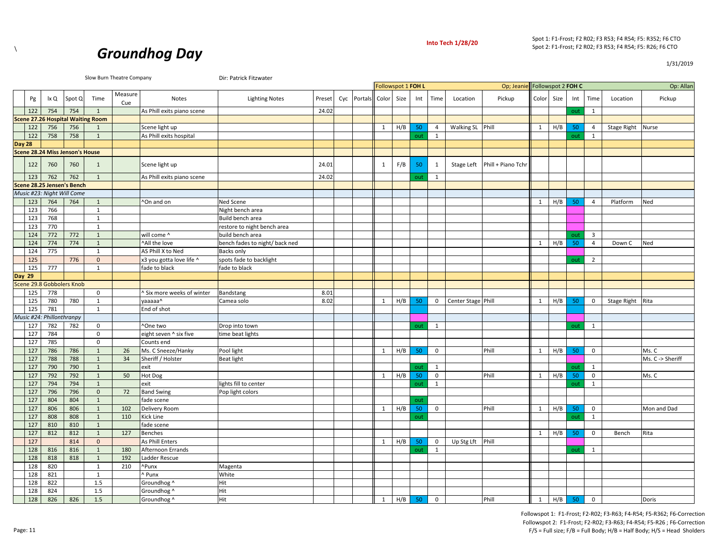

1/31/2019



Slow Burn Theatre Company **Dir: Patrick Fitzwater** 

|               |     |                           |                                 |                                          |                |                            |                                |        |                        | Followspot 1 FOH L |     |     |                |                    | Op; Jeanie Followspot 2 FOH C   |              |     |     |                |                    | Op: Allan        |
|---------------|-----|---------------------------|---------------------------------|------------------------------------------|----------------|----------------------------|--------------------------------|--------|------------------------|--------------------|-----|-----|----------------|--------------------|---------------------------------|--------------|-----|-----|----------------|--------------------|------------------|
|               | Pg  | lx Q                      | Spot Q                          | Time                                     | Measure<br>Cue | Notes                      | <b>Lighting Notes</b>          | Preset | Cyc Portals Color Size |                    |     | Int | Time           | Location           | Pickup                          | Color Size   |     | Int | Time           | Location           | Pickup           |
|               | 122 | 754                       | 754                             | $\mathbf{1}$                             |                | As Phill exits piano scene |                                | 24.02  |                        |                    |     |     |                |                    |                                 |              |     | out | 1              |                    |                  |
|               |     |                           |                                 | <b>Scene 27.26 Hospital Waiting Room</b> |                |                            |                                |        |                        |                    |     |     |                |                    |                                 |              |     |     |                |                    |                  |
|               | 122 | 756                       | 756                             | 1                                        |                | Scene light up             |                                |        |                        | $\mathbf{1}$       | H/B | 50  | $\overline{4}$ | Walking SL Phill   |                                 | $\mathbf{1}$ | H/B | 50  | $\overline{4}$ | <b>Stage Right</b> | Nurse            |
|               | 122 | 758                       | 758                             | $\overline{1}$                           |                | As Phill exits hospital    |                                |        |                        |                    |     | out | 1              |                    |                                 |              |     | out | 1              |                    |                  |
| <b>Day 28</b> |     |                           |                                 |                                          |                |                            |                                |        |                        |                    |     |     |                |                    |                                 |              |     |     |                |                    |                  |
|               |     |                           | Scene 28.24 Miss Jenson's House |                                          |                |                            |                                |        |                        |                    |     |     |                |                    |                                 |              |     |     |                |                    |                  |
|               | 122 | 760                       | 760                             | 1                                        |                | Scene light up             |                                | 24.01  |                        | 1                  | F/B | -50 | 1              |                    | Stage Left   Phill + Piano Tchr |              |     |     |                |                    |                  |
|               | 123 | 762                       | 762                             | $\mathbf{1}$                             |                | As Phill exits piano scene |                                | 24.02  |                        |                    |     | out | 1              |                    |                                 |              |     |     |                |                    |                  |
|               |     |                           | Scene 28.25 Jensen's Bench      |                                          |                |                            |                                |        |                        |                    |     |     |                |                    |                                 |              |     |     |                |                    |                  |
|               |     |                           | Music #23: Night Will Come      |                                          |                |                            |                                |        |                        |                    |     |     |                |                    |                                 |              |     |     |                |                    |                  |
|               | 123 | 764                       | 764                             | $\mathbf{1}$                             |                | ^On and on                 | Ned Scene                      |        |                        |                    |     |     |                |                    |                                 | 1            | H/B | 50  | $\overline{4}$ | Platform           | Ned              |
|               | 123 | 766                       |                                 | 1                                        |                |                            | Night bench area               |        |                        |                    |     |     |                |                    |                                 |              |     |     |                |                    |                  |
|               | 123 | 768                       |                                 | $\mathbf{1}$                             |                |                            | Build bench area               |        |                        |                    |     |     |                |                    |                                 |              |     |     |                |                    |                  |
|               | 123 | 770                       |                                 | $\mathbf{1}$                             |                |                            | restore to night bench area    |        |                        |                    |     |     |                |                    |                                 |              |     |     |                |                    |                  |
|               | 124 | 772                       | 772                             | $\mathbf{1}$                             |                | will come ^                | build bench area               |        |                        |                    |     |     |                |                    |                                 |              |     | out | $\overline{3}$ |                    |                  |
|               | 124 | 774                       | 774                             | $\mathbf{1}$                             |                | ^All the love              | bench fades to night/ back ned |        |                        |                    |     |     |                |                    |                                 | 1            | H/B | 50  | $\overline{4}$ | Down C             | Ned              |
|               | 124 | 775                       |                                 | $\mathbf{1}$                             |                | AS Phill X to Ned          | Backs only                     |        |                        |                    |     |     |                |                    |                                 |              |     |     |                |                    |                  |
|               | 125 |                           | 776                             | $\mathsf{O}\xspace$                      |                | x3 you gotta love life ^   | spots fade to backlight        |        |                        |                    |     |     |                |                    |                                 |              |     | out | $\overline{2}$ |                    |                  |
|               | 125 | 777                       |                                 | $\mathbf{1}$                             |                | fade to black              | fade to black                  |        |                        |                    |     |     |                |                    |                                 |              |     |     |                |                    |                  |
| Day 29        |     |                           |                                 |                                          |                |                            |                                |        |                        |                    |     |     |                |                    |                                 |              |     |     |                |                    |                  |
|               |     |                           | Scene 29.8 Gobbolers Knob       |                                          |                |                            |                                |        |                        |                    |     |     |                |                    |                                 |              |     |     |                |                    |                  |
|               | 125 | 778                       |                                 | $\mathbf 0$                              |                | ^ Six more weeks of winter | Bandstang                      | 8.01   |                        |                    |     |     |                |                    |                                 |              |     |     |                |                    |                  |
|               | 125 | 780                       | 780                             | $\mathbf{1}$                             |                | vaaaaa^                    | Camea solo                     | 8.02   |                        | 1                  | H/B | 50  | $\mathbf{0}$   | Center Stage Phill |                                 | 1            | H/B | 50  | 0              | Stage Right        | Rita             |
|               | 125 | 781                       |                                 | $\mathbf{1}$                             |                | End of shot                |                                |        |                        |                    |     |     |                |                    |                                 |              |     |     |                |                    |                  |
|               |     | Music #24: Phillonthranpy |                                 |                                          |                |                            |                                |        |                        |                    |     |     |                |                    |                                 |              |     |     |                |                    |                  |
|               | 127 | 782                       | 782                             | $\mathsf{O}$                             |                | ^One two                   | Drop into town                 |        |                        |                    |     | out | 1              |                    |                                 |              |     | out | 1              |                    |                  |
|               | 127 | 784                       |                                 | $\mathbf 0$                              |                | eight seven ^ six five     | time beat lights               |        |                        |                    |     |     |                |                    |                                 |              |     |     |                |                    |                  |
|               | 127 | 785                       |                                 | $\mathbf 0$                              |                | Counts end                 |                                |        |                        |                    |     |     |                |                    |                                 |              |     |     |                |                    |                  |
|               | 127 | 786                       | 786                             | $\mathbf{1}$                             | 26             | Ms. C Sneeze/Hanky         | Pool light                     |        |                        | 1                  | H/B | 50  | $\mathbf 0$    |                    | Phill                           | 1            | H/B | 50  | $\mathbf 0$    |                    | Ms. C            |
|               | 127 | 788                       | 788                             | $\mathbf{1}$                             | 34             | Sheriff / Holster          | <b>Beat light</b>              |        |                        |                    |     |     |                |                    |                                 |              |     |     |                |                    | Ms. C -> Sheriff |
|               | 127 | 790                       | 790                             | $\mathbf{1}$                             |                | exit                       |                                |        |                        |                    |     | out | 1              |                    |                                 |              |     | out | 1              |                    |                  |
|               | 127 | 792                       | 792                             | $\mathbf{1}$                             | 50             | Hot Dog                    |                                |        |                        | 1                  | H/B | 50  | $\mathbf 0$    |                    | Phill                           | 1            | H/B | 50  | $\mathsf 0$    |                    | Ms. C            |
|               | 127 | 794                       | 794                             | $\mathbf{1}$                             |                | exit                       | lights fill to center          |        |                        |                    |     | out | 1              |                    |                                 |              |     | out | $\mathbf{1}$   |                    |                  |
|               | 127 | 796                       | 796                             | $\mathsf 0$                              | 72             | <b>Band Swing</b>          | Pop light colors               |        |                        |                    |     |     |                |                    |                                 |              |     |     |                |                    |                  |
|               | 127 | 804                       | 804                             | $\mathbf{1}$                             |                | fade scene                 |                                |        |                        |                    |     | out |                |                    |                                 |              |     |     |                |                    |                  |
|               | 127 | 806                       | 806                             | $\mathbf{1}$                             | 102            | Delivery Room              |                                |        |                        | 1                  | H/B | 50  | $\mathbf{0}$   |                    | Phill                           | 1            | H/B | 50  | $\mathsf{O}$   |                    | Mon and Dad      |
|               | 127 | 808                       | 808                             | $\mathbf{1}$                             | 110            | Kick Line                  |                                |        |                        |                    |     | out |                |                    |                                 |              |     | out | 1              |                    |                  |
|               | 127 | 810                       | 810                             | $\mathbf{1}$                             |                | fade scene                 |                                |        |                        |                    |     |     |                |                    |                                 |              |     |     |                |                    |                  |
|               | 127 | 812                       | 812                             | $\mathbf{1}$                             | 127            | <b>Benches</b>             |                                |        |                        |                    |     |     |                |                    |                                 | 1            | H/B | 50  | $\mathbf 0$    | Bench              | Rita             |
|               | 127 |                           | 814                             | $\mathbf{0}$                             |                | As Phill Enters            |                                |        |                        | $\mathbf{1}$       | H/B | 50  | $\mathbf 0$    | Up Stg Lft         | Phill                           |              |     |     |                |                    |                  |
|               | 128 | 816                       | 816                             | $\mathbf{1}$                             | 180            | Afternoon Errands          |                                |        |                        |                    |     | out | 1              |                    |                                 |              |     | out | $\mathbf{1}$   |                    |                  |
|               | 128 | 818                       | 818                             | $\mathbf{1}$                             | 192            | Ladder Rescue              |                                |        |                        |                    |     |     |                |                    |                                 |              |     |     |                |                    |                  |
|               | 128 | 820                       |                                 | $\mathbf{1}$                             | 210            | ^Punx                      | Magenta                        |        |                        |                    |     |     |                |                    |                                 |              |     |     |                |                    |                  |
|               | 128 | 821                       |                                 | $\mathbf{1}$                             |                | ^ Punx                     | White                          |        |                        |                    |     |     |                |                    |                                 |              |     |     |                |                    |                  |
|               | 128 | 822                       |                                 | 1.5                                      |                | Groundhog ^                | Hit                            |        |                        |                    |     |     |                |                    |                                 |              |     |     |                |                    |                  |
|               | 128 | 824                       |                                 | 1.5                                      |                | Groundhog ^                | Hit                            |        |                        |                    |     |     |                |                    |                                 |              |     |     |                |                    |                  |
|               | 128 | 826                       | 826                             | 1.5                                      |                | Groundhog ^                | Hit                            |        |                        | 1                  | H/B | 50  | $\mathbf 0$    |                    | Phill                           | <sup>1</sup> | H/B | 50  | $\mathbf 0$    |                    | Doris            |
|               |     |                           |                                 |                                          |                |                            |                                |        |                        |                    |     |     |                |                    |                                 |              |     |     |                |                    |                  |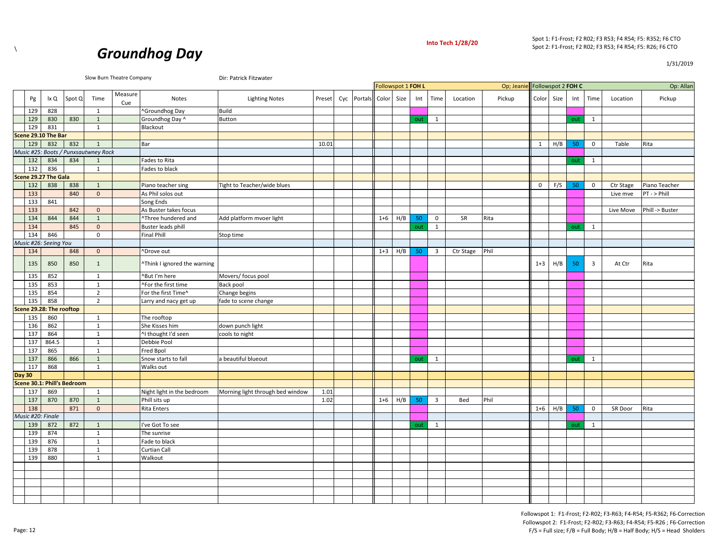



1/31/2019

|                   |     |                          |                             |                                      | Slow Burn Theatre Company |                              | Dir: Patrick Fitzwater           |        |     |                | Followspot 1 FOH L |      |     |                         | Op; Jeanie Followspot 2 FOH C |        |              |      |     |                         | Op: Allan |                 |
|-------------------|-----|--------------------------|-----------------------------|--------------------------------------|---------------------------|------------------------------|----------------------------------|--------|-----|----------------|--------------------|------|-----|-------------------------|-------------------------------|--------|--------------|------|-----|-------------------------|-----------|-----------------|
|                   |     |                          |                             |                                      | Measure                   |                              |                                  |        |     |                |                    |      |     |                         |                               |        |              |      |     |                         |           |                 |
|                   | Pg  | lx Q                     | Spot Q                      | Time                                 | Cue                       | Notes                        | <b>Lighting Notes</b>            | Preset | Cyc | <b>Portals</b> | Color              | Size | Int | Time                    | Location                      | Pickup | Color        | Size | Int | Time                    | Location  | Pickup          |
|                   | 129 | 828                      |                             | 1                                    |                           | ^Groundhog Day               | <b>Build</b>                     |        |     |                |                    |      |     |                         |                               |        |              |      |     |                         |           |                 |
|                   | 129 | 830                      | 830                         | $\mathbf{1}$                         |                           | Groundhog Day ^              | <b>Button</b>                    |        |     |                |                    |      | out | 1                       |                               |        |              |      | out | 1                       |           |                 |
|                   | 129 | 831                      |                             | $\mathbf{1}$                         |                           | Blackout                     |                                  |        |     |                |                    |      |     |                         |                               |        |              |      |     |                         |           |                 |
|                   |     | Scene 29.10 The Bar      |                             |                                      |                           |                              |                                  |        |     |                |                    |      |     |                         |                               |        |              |      |     |                         |           |                 |
|                   | 129 | 832                      | 832                         | $\mathbf{1}$                         |                           | Bar                          |                                  | 10.01  |     |                |                    |      |     |                         |                               |        | $\mathbf{1}$ | H/B  | 50  | $\mathsf 0$             | Table     | Rita            |
|                   |     |                          |                             | Music #25: Boots / Punxsautwney Rock |                           |                              |                                  |        |     |                |                    |      |     |                         |                               |        |              |      |     |                         |           |                 |
|                   | 132 | 834                      | 834                         | $\mathbf{1}$                         |                           | Fades to Rita                |                                  |        |     |                |                    |      |     |                         |                               |        |              |      | out | 1                       |           |                 |
| 132               |     | 836                      |                             | 1                                    |                           | Fades to black               |                                  |        |     |                |                    |      |     |                         |                               |        |              |      |     |                         |           |                 |
|                   |     | Scene 29.27 The Gala     |                             |                                      |                           |                              |                                  |        |     |                |                    |      |     |                         |                               |        |              |      |     |                         |           |                 |
|                   | 132 | 838                      | 838                         | 1                                    |                           | Piano teacher sing           | Tight to Teacher/wide blues      |        |     |                |                    |      |     |                         |                               |        | $\mathbf 0$  | F/S  | 50  | $\mathbf 0$             | Ctr Stage | Piano Teacher   |
|                   | 133 |                          | 840                         | $\mathbf 0$                          |                           | As Phil solos out            |                                  |        |     |                |                    |      |     |                         |                               |        |              |      |     |                         | Live mve  | PT - > Phill    |
| 133               |     | 841                      |                             |                                      |                           | Song Ends                    |                                  |        |     |                |                    |      |     |                         |                               |        |              |      |     |                         |           |                 |
|                   | 133 |                          | 842                         | $\mathbf{0}$                         |                           | As Buster takes focus        |                                  |        |     |                |                    |      |     |                         |                               |        |              |      |     |                         | Live Move | Phill -> Buster |
|                   | 134 | 844                      | 844                         | $\mathbf{1}$                         |                           | ^Three hundered and          | Add platform mvoer light         |        |     |                | $1 + 6$            | H/B  | 50  | $\mathsf 0$             | SR                            | Rita   |              |      |     |                         |           |                 |
|                   | 134 |                          | 845                         | $\mathbf 0$                          |                           | <b>Buster leads phill</b>    |                                  |        |     |                |                    |      | out | $\mathbf{1}$            |                               |        |              |      | out | $\mathbf{1}$            |           |                 |
|                   | 134 | 846                      |                             | $\mathbf 0$                          |                           | <b>Final Phill</b>           | Stop time                        |        |     |                |                    |      |     |                         |                               |        |              |      |     |                         |           |                 |
|                   |     | Music #26: Seeing You    |                             |                                      |                           |                              |                                  |        |     |                |                    |      |     |                         |                               |        |              |      |     |                         |           |                 |
|                   | 134 |                          | 848                         | $\mathbf{0}$                         |                           | ^Drove out                   |                                  |        |     |                | $1 + 3$            | H/B  | 50  | $\overline{\mathbf{3}}$ | Ctr Stage                     | Phil   |              |      |     |                         |           |                 |
|                   | 135 | 850                      | 850                         | $\mathbf{1}$                         |                           | "Think I ignored the warning |                                  |        |     |                |                    |      |     |                         |                               |        | $1 + 3$      | H/B  | 50  | $\overline{\mathbf{3}}$ | At Ctr    | Rita            |
|                   | 135 | 852                      |                             | 1                                    |                           | ^But I'm here                | Movers/ focus pool               |        |     |                |                    |      |     |                         |                               |        |              |      |     |                         |           |                 |
|                   | 135 | 853                      |                             | $\mathbf{1}$                         |                           | ^For the first time          | Back pool                        |        |     |                |                    |      |     |                         |                               |        |              |      |     |                         |           |                 |
|                   | 135 | 854                      |                             | $\overline{2}$                       |                           | For the first Time^          | Change begins                    |        |     |                |                    |      |     |                         |                               |        |              |      |     |                         |           |                 |
|                   | 135 | 858                      |                             | $\overline{2}$                       |                           | Larry and nacy get up        | fade to scene change             |        |     |                |                    |      |     |                         |                               |        |              |      |     |                         |           |                 |
|                   |     | Scene 29.28: The rooftop |                             |                                      |                           |                              |                                  |        |     |                |                    |      |     |                         |                               |        |              |      |     |                         |           |                 |
|                   | 135 | 860                      |                             | $\mathbf{1}$                         |                           | The rooftop                  |                                  |        |     |                |                    |      |     |                         |                               |        |              |      |     |                         |           |                 |
|                   | 136 | 862                      |                             | $\mathbf{1}$                         |                           | She Kisses him               | down punch light                 |        |     |                |                    |      |     |                         |                               |        |              |      |     |                         |           |                 |
| 137               |     | 864                      |                             | 1                                    |                           | ^I thought I'd seen          | cools to night                   |        |     |                |                    |      |     |                         |                               |        |              |      |     |                         |           |                 |
| 137               |     | 864.5                    |                             | 1                                    |                           | Debbie Pool                  |                                  |        |     |                |                    |      |     |                         |                               |        |              |      |     |                         |           |                 |
| 137               |     | 865                      |                             | 1                                    |                           | Fred Bpol                    |                                  |        |     |                |                    |      |     |                         |                               |        |              |      |     |                         |           |                 |
| 137               |     | 866                      | 866                         | $\mathbf{1}$                         |                           | Snow starts to fall          | a beautiful blueout              |        |     |                |                    |      | out | 1                       |                               |        |              |      | out | $\mathbf{1}$            |           |                 |
| 117               |     | 868                      |                             | 1                                    |                           | Walks out                    |                                  |        |     |                |                    |      |     |                         |                               |        |              |      |     |                         |           |                 |
| <b>Day 30</b>     |     |                          |                             |                                      |                           |                              |                                  |        |     |                |                    |      |     |                         |                               |        |              |      |     |                         |           |                 |
|                   |     |                          | Scene 30.1: Phill's Bedroom |                                      |                           |                              |                                  |        |     |                |                    |      |     |                         |                               |        |              |      |     |                         |           |                 |
| 137               |     | 869                      |                             | $\mathbf{1}$                         |                           | Night light in the bedroom   | Morning light through bed window | 1.01   |     |                |                    |      |     |                         |                               |        |              |      |     |                         |           |                 |
|                   | 137 | 870                      | 870                         | $\mathbf{1}$                         |                           | Phill sits up                |                                  | 1.02   |     |                | $1 + 6$            | H/B  | 50  | $\overline{3}$          | Bed                           | Phil   |              |      |     |                         |           |                 |
|                   | 138 |                          | 871                         | $\mathbf{0}$                         |                           | <b>Rita Enters</b>           |                                  |        |     |                |                    |      |     |                         |                               |        | $1 + 6$      | H/B  | 50  | $\mathbf 0$             | SR Door   | Rita            |
| Music #20: Finale |     |                          |                             |                                      |                           |                              |                                  |        |     |                |                    |      |     |                         |                               |        |              |      |     |                         |           |                 |
|                   | 139 | 872                      | 872                         | 1                                    |                           | I've Got To see              |                                  |        |     |                |                    |      | out | 1                       |                               |        |              |      | out | 1                       |           |                 |
|                   | 139 | 874                      |                             | 1                                    |                           | The sunrise                  |                                  |        |     |                |                    |      |     |                         |                               |        |              |      |     |                         |           |                 |
|                   | 139 | 876                      |                             | 1                                    |                           | Fade to black                |                                  |        |     |                |                    |      |     |                         |                               |        |              |      |     |                         |           |                 |
|                   | 139 | 878                      |                             | 1                                    |                           | Curtian Call                 |                                  |        |     |                |                    |      |     |                         |                               |        |              |      |     |                         |           |                 |
|                   | 139 | 880                      |                             | 1                                    |                           | Walkout                      |                                  |        |     |                |                    |      |     |                         |                               |        |              |      |     |                         |           |                 |
|                   |     |                          |                             |                                      |                           |                              |                                  |        |     |                |                    |      |     |                         |                               |        |              |      |     |                         |           |                 |
|                   |     |                          |                             |                                      |                           |                              |                                  |        |     |                |                    |      |     |                         |                               |        |              |      |     |                         |           |                 |
|                   |     |                          |                             |                                      |                           |                              |                                  |        |     |                |                    |      |     |                         |                               |        |              |      |     |                         |           |                 |
|                   |     |                          |                             |                                      |                           |                              |                                  |        |     |                |                    |      |     |                         |                               |        |              |      |     |                         |           |                 |
|                   |     |                          |                             |                                      |                           |                              |                                  |        |     |                |                    |      |     |                         |                               |        |              |      |     |                         |           |                 |